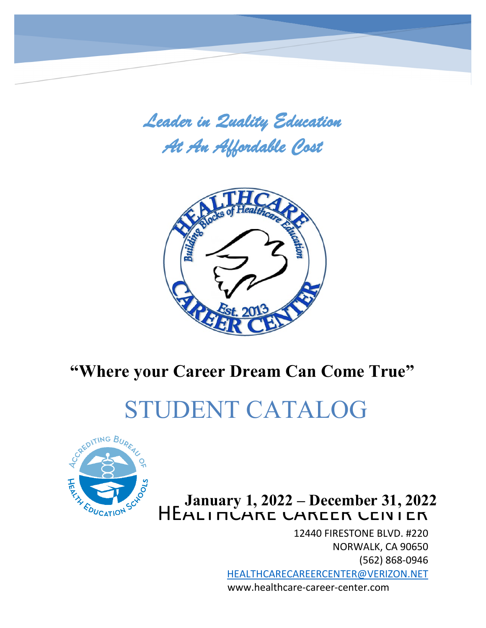*Leader in Quality Education At An Affordable Cost* 



# **"Where your Career Dream Can Come True"**

# STUDENT CATALOG



m

# HEALINCARE CAREER CEIVIER **January 1, 2022 – December 31, 2022**

12440 FIRESTONE BLVD. #220 NORWALK, CA 90650 (562) 868-0946 [HEALTHCARECAREERCENTER@VERIZON.NET](mailto:HEALTHCARECAREERCENTER@VERIZON.NET) www.healthcare-career-center.com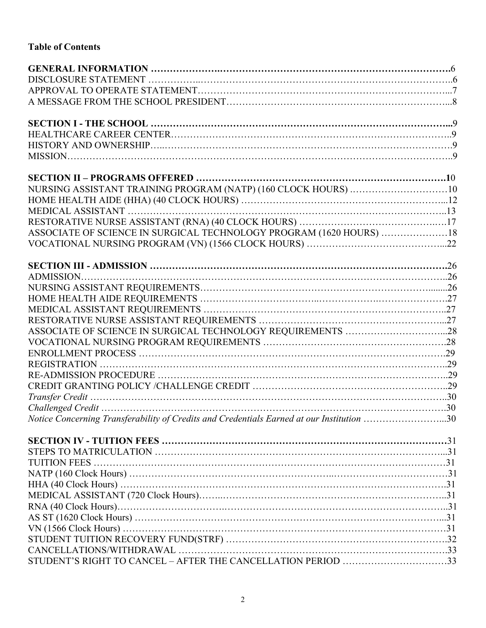# **Table of Contents**

| NURSING ASSISTANT TRAINING PROGRAM (NATP) (160 CLOCK HOURS) 10                            |  |
|-------------------------------------------------------------------------------------------|--|
|                                                                                           |  |
|                                                                                           |  |
|                                                                                           |  |
| ASSOCIATE OF SCIENCE IN SURGICAL TECHNOLOGY PROGRAM (1620 HOURS) 18                       |  |
|                                                                                           |  |
|                                                                                           |  |
|                                                                                           |  |
|                                                                                           |  |
|                                                                                           |  |
|                                                                                           |  |
|                                                                                           |  |
|                                                                                           |  |
|                                                                                           |  |
|                                                                                           |  |
|                                                                                           |  |
|                                                                                           |  |
|                                                                                           |  |
|                                                                                           |  |
|                                                                                           |  |
| Notice Concerning Transferability of Credits and Credentials Earned at our Institution 30 |  |
|                                                                                           |  |
|                                                                                           |  |
|                                                                                           |  |
|                                                                                           |  |
|                                                                                           |  |
|                                                                                           |  |
|                                                                                           |  |
|                                                                                           |  |
|                                                                                           |  |
|                                                                                           |  |
|                                                                                           |  |
| STUDENT'S RIGHT TO CANCEL - AFTER THE CANCELLATION PERIOD 33                              |  |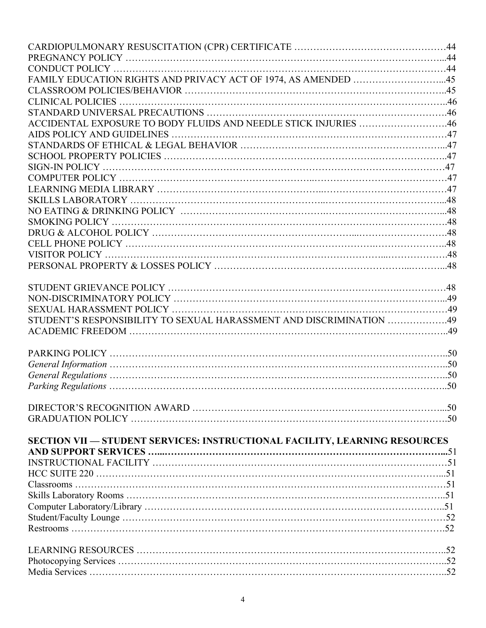| FAMILY EDUCATION RIGHTS AND PRIVACY ACT OF 1974, AS AMENDED 45             |  |
|----------------------------------------------------------------------------|--|
|                                                                            |  |
|                                                                            |  |
|                                                                            |  |
| ACCIDENTAL EXPOSURE TO BODY FLUIDS AND NEEDLE STICK INJURIES 46            |  |
|                                                                            |  |
|                                                                            |  |
|                                                                            |  |
|                                                                            |  |
|                                                                            |  |
|                                                                            |  |
|                                                                            |  |
|                                                                            |  |
|                                                                            |  |
|                                                                            |  |
|                                                                            |  |
|                                                                            |  |
|                                                                            |  |
|                                                                            |  |
|                                                                            |  |
|                                                                            |  |
|                                                                            |  |
| STUDENT'S RESPONSIBILITY TO SEXUAL HARASSMENT AND DISCRIMINATION 49        |  |
|                                                                            |  |
|                                                                            |  |
|                                                                            |  |
|                                                                            |  |
|                                                                            |  |
|                                                                            |  |
|                                                                            |  |
|                                                                            |  |
|                                                                            |  |
|                                                                            |  |
| SECTION VII — STUDENT SERVICES: INSTRUCTIONAL FACILITY, LEARNING RESOURCES |  |
|                                                                            |  |
|                                                                            |  |
|                                                                            |  |
|                                                                            |  |
|                                                                            |  |
|                                                                            |  |
|                                                                            |  |
|                                                                            |  |
|                                                                            |  |
|                                                                            |  |
|                                                                            |  |
|                                                                            |  |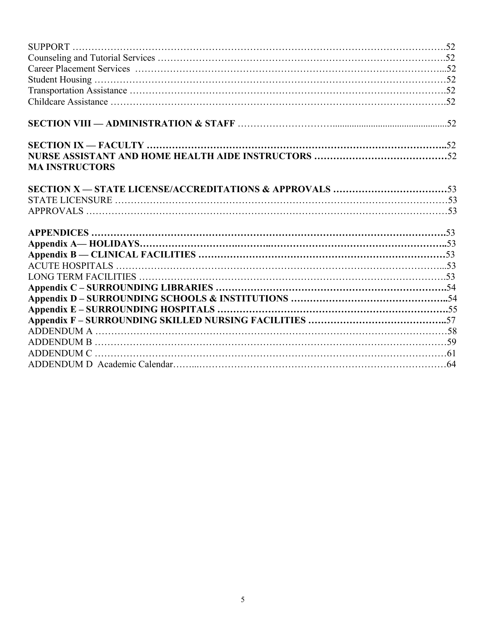| <b>MA INSTRUCTORS</b> |  |
|-----------------------|--|
|                       |  |
|                       |  |
|                       |  |
|                       |  |
|                       |  |
|                       |  |
|                       |  |
|                       |  |
|                       |  |
|                       |  |
|                       |  |
|                       |  |
|                       |  |
|                       |  |
|                       |  |
|                       |  |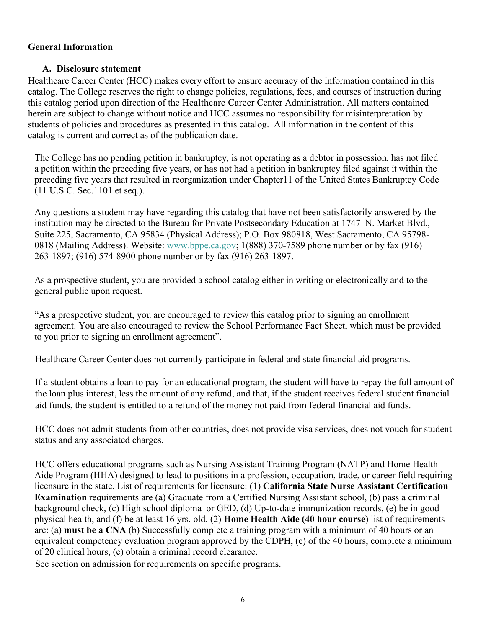#### **General Information**

#### **A. Disclosure statement**

Healthcare Career Center (HCC) makes every effort to ensure accuracy of the information contained in this catalog. The College reserves the right to change policies, regulations, fees, and courses of instruction during this catalog period upon direction of the Healthcare Career Center Administration. All matters contained herein are subject to change without notice and HCC assumes no responsibility for misinterpretation by students of policies and procedures as presented in this catalog. All information in the content of this catalog is current and correct as of the publication date.

The College has no pending petition in bankruptcy, is not operating as a debtor in possession, has not filed a petition within the preceding five years, or has not had a petition in bankruptcy filed against it within the preceding five years that resulted in reorganization under Chapter11 of the United States Bankruptcy Code (11 U.S.C. Sec.1101 et seq.).

Any questions a student may have regarding this catalog that have not been satisfactorily answered by the institution may be directed to the Bureau for Private Postsecondary Education at 1747 N. Market Blvd., Suite 225, Sacramento, CA 95834 (Physical Address); P.O. Box 980818, West Sacramento, CA 95798- 0818 (Mailing Address). Website: [www.bppe.ca.gov;](http://www.bppe.ca.gov/) 1(888) 370-7589 phone number or by fax (916) 263-1897; (916) 574-8900 phone number or by fax (916) 263-1897.

As a prospective student, you are provided a school catalog either in writing or electronically and to the general public upon request.

"As a prospective student, you are encouraged to review this catalog prior to signing an enrollment agreement. You are also encouraged to review the School Performance Fact Sheet, which must be provided to you prior to signing an enrollment agreement".

Healthcare Career Center does not currently participate in federal and state financial aid programs.

 If a student obtains a loan to pay for an educational program, the student will have to repay the full amount of the loan plus interest, less the amount of any refund, and that, if the student receives federal student financial aid funds, the student is entitled to a refund of the money not paid from federal financial aid funds.

HCC does not admit students from other countries, does not provide visa services, does not vouch for student status and any associated charges.

HCC offers educational programs such as Nursing Assistant Training Program (NATP) and Home Health Aide Program (HHA) designed to lead to positions in a profession, occupation, trade, or career field requiring licensure in the state. List of requirements for licensure: (1) **California State Nurse Assistant Certification Examination** requirements are (a) Graduate from a Certified Nursing Assistant school, (b) pass a criminal background check, (c) High school diploma or GED, (d) Up-to-date immunization records, (e) be in good physical health, and (f) be at least 16 yrs. old. (2) **Home Health Aide (40 hour course**) list of requirements are: (a) **must be a CNA** (b) Successfully complete a training program with a minimum of 40 hours or an equivalent competency evaluation program approved by the CDPH, (c) of the 40 hours, complete a minimum of 20 clinical hours, (c) obtain a criminal record clearance.

See section on admission for requirements on specific programs.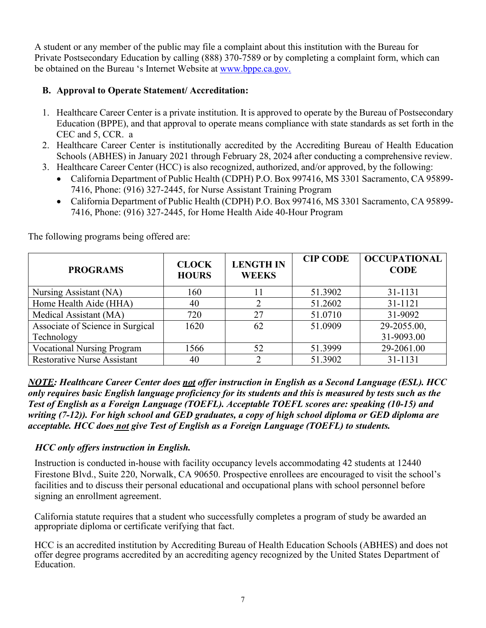A student or any member of the public may file a complaint about this institution with the Bureau for Private Postsecondary Education by calling (888) 370-7589 or by completing a complaint form, which can be obtained on the Bureau 's Internet Website at [www.bppe.ca.gov.](http://www.bppe.ca.gov/)

# **B. Approval to Operate Statement/ Accreditation:**

- 1. Healthcare Career Center is a private institution. It is approved to operate by the Bureau of Postsecondary Education (BPPE), and that approval to operate means compliance with state standards as set forth in the CEC and 5, CCR. a
- 2. Healthcare Career Center is institutionally accredited by the Accrediting Bureau of Health Education Schools (ABHES) in January 2021 through February 28, 2024 after conducting a comprehensive review.
- 3. Healthcare Career Center (HCC) is also recognized, authorized, and/or approved, by the following:
	- California Department of Public Health (CDPH) P.O. Box 997416, MS 3301 Sacramento, CA 95899- 7416, Phone: (916) 327-2445, for Nurse Assistant Training Program
	- California Department of Public Health (CDPH) P.O. Box 997416, MS 3301 Sacramento, CA 95899- 7416, Phone: (916) 327-2445, for Home Health Aide 40-Hour Program

**PROGRAMS CLOCK HOURS LENGTH IN WEEKS CIP CODE OCCUPATIONAL CODE** Nursing Assistant (NA)  $\begin{array}{|c|c|c|c|c|c|c|c|c|} \hline \end{array}$  160 11 51.3902 31-1131 Home Health Aide (HHA)  $\begin{array}{|c|c|c|c|c|c|c|c|c|c|c|} \hline \end{array}$  40  $\begin{array}{|c|c|c|c|c|c|c|c|} \hline \end{array}$  51.2602  $\begin{array}{|c|c|c|c|c|c|} \hline \end{array}$  31-1121 Medical Assistant (MA) 720 27 51.0710 31-9092 Associate of Science in Surgical Technology 1620 62 51.0909 29-2055.00, 31-9093.00 Vocational Nursing Program 1566 1 52 51.3999 29-2061.00 Restorative Nurse Assistant  $\begin{array}{|c|c|c|c|c|c|c|c|c|} \hline \end{array}$  40  $\begin{array}{|c|c|c|c|c|c|c|c|} \hline \end{array}$  51.3902  $\begin{array}{|c|c|c|c|c|c|} \hline \end{array}$  31-1131

The following programs being offered are:

*NOTE: Healthcare Career Center does not offer instruction in English as a Second Language (ESL). HCC only requires basic English language proficiency for its students and this is measured by tests such as the Test of English as a Foreign Language (TOEFL). Acceptable TOEFL scores are: speaking (10-15) and writing (7-12)). For high school and GED graduates, a copy of high school diploma or GED diploma are acceptable. HCC does not give Test of English as a Foreign Language (TOEFL) to students.* 

# *HCC only offers instruction in English.*

Instruction is conducted in-house with facility occupancy levels accommodating 42 students at 12440 Firestone Blvd., Suite 220, Norwalk, CA 90650. Prospective enrollees are encouraged to visit the school's facilities and to discuss their personal educational and occupational plans with school personnel before signing an enrollment agreement.

California statute requires that a student who successfully completes a program of study be awarded an appropriate diploma or certificate verifying that fact.

HCC is an accredited institution by Accrediting Bureau of Health Education Schools (ABHES) and does not offer degree programs accredited by an accrediting agency recognized by the United States Department of Education.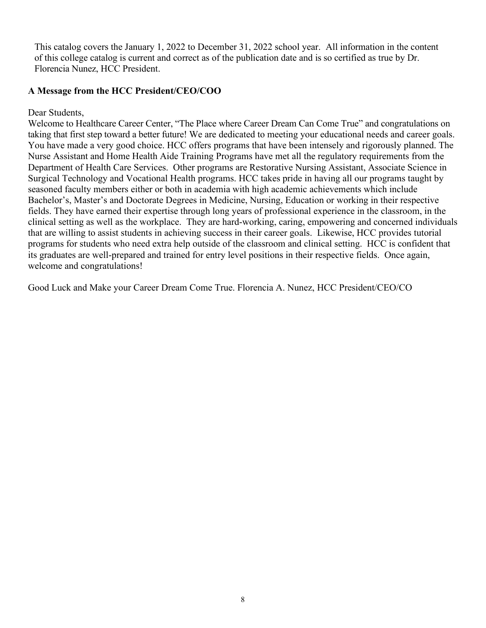This catalog covers the January 1, 2022 to December 31, 2022 school year. All information in the content of this college catalog is current and correct as of the publication date and is so certified as true by Dr. Florencia Nunez, HCC President.

#### **A Message from the HCC President/CEO/COO**

Dear Students,

Welcome to Healthcare Career Center, "The Place where Career Dream Can Come True" and congratulations on taking that first step toward a better future! We are dedicated to meeting your educational needs and career goals. You have made a very good choice. HCC offers programs that have been intensely and rigorously planned. The Nurse Assistant and Home Health Aide Training Programs have met all the regulatory requirements from the Department of Health Care Services. Other programs are Restorative Nursing Assistant, Associate Science in Surgical Technology and Vocational Health programs. HCC takes pride in having all our programs taught by seasoned faculty members either or both in academia with high academic achievements which include Bachelor's, Master's and Doctorate Degrees in Medicine, Nursing, Education or working in their respective fields. They have earned their expertise through long years of professional experience in the classroom, in the clinical setting as well as the workplace. They are hard-working, caring, empowering and concerned individuals that are willing to assist students in achieving success in their career goals. Likewise, HCC provides tutorial programs for students who need extra help outside of the classroom and clinical setting. HCC is confident that its graduates are well-prepared and trained for entry level positions in their respective fields. Once again, welcome and congratulations!

Good Luck and Make your Career Dream Come True. Florencia A. Nunez, HCC President/CEO/CO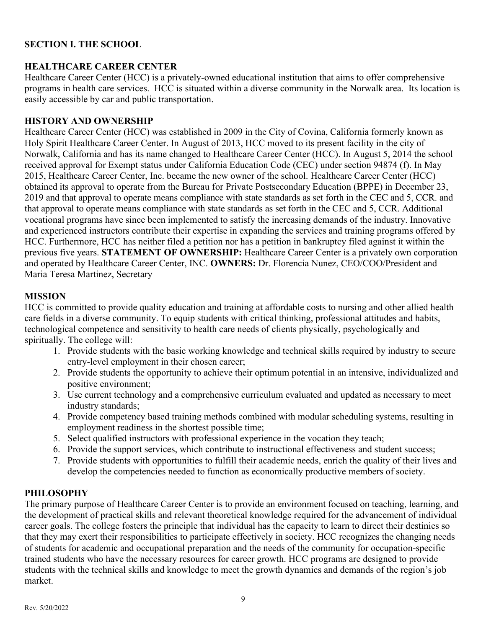#### **SECTION I. THE SCHOOL**

#### **HEALTHCARE CAREER CENTER**

Healthcare Career Center (HCC) is a privately-owned educational institution that aims to offer comprehensive programs in health care services. HCC is situated within a diverse community in the Norwalk area. Its location is easily accessible by car and public transportation.

#### **HISTORY AND OWNERSHIP**

Healthcare Career Center (HCC) was established in 2009 in the City of Covina, California formerly known as Holy Spirit Healthcare Career Center. In August of 2013, HCC moved to its present facility in the city of Norwalk, California and has its name changed to Healthcare Career Center (HCC). In August 5, 2014 the school received approval for Exempt status under California Education Code (CEC) under section 94874 (f). In May 2015, Healthcare Career Center, Inc. became the new owner of the school. Healthcare Career Center (HCC) obtained its approval to operate from the Bureau for Private Postsecondary Education (BPPE) in December 23, 2019 and that approval to operate means compliance with state standards as set forth in the CEC and 5, CCR. and that approval to operate means compliance with state standards as set forth in the CEC and 5, CCR. Additional vocational programs have since been implemented to satisfy the increasing demands of the industry. Innovative and experienced instructors contribute their expertise in expanding the services and training programs offered by HCC. Furthermore, HCC has neither filed a petition nor has a petition in bankruptcy filed against it within the previous five years. **STATEMENT OF OWNERSHIP:** Healthcare Career Center is a privately own corporation and operated by Healthcare Career Center, INC. **OWNERS:** Dr. Florencia Nunez, CEO/COO/President and Maria Teresa Martinez, Secretary

#### **MISSION**

HCC is committed to provide quality education and training at affordable costs to nursing and other allied health care fields in a diverse community. To equip students with critical thinking, professional attitudes and habits, technological competence and sensitivity to health care needs of clients physically, psychologically and spiritually. The college will:

- 1. Provide students with the basic working knowledge and technical skills required by industry to secure entry-level employment in their chosen career;
- 2. Provide students the opportunity to achieve their optimum potential in an intensive, individualized and positive environment;
- 3. Use current technology and a comprehensive curriculum evaluated and updated as necessary to meet industry standards;
- 4. Provide competency based training methods combined with modular scheduling systems, resulting in employment readiness in the shortest possible time;
- 5. Select qualified instructors with professional experience in the vocation they teach;
- 6. Provide the support services, which contribute to instructional effectiveness and student success;
- 7. Provide students with opportunities to fulfill their academic needs, enrich the quality of their lives and develop the competencies needed to function as economically productive members of society.

#### **PHILOSOPHY**

The primary purpose of Healthcare Career Center is to provide an environment focused on teaching, learning, and the development of practical skills and relevant theoretical knowledge required for the advancement of individual career goals. The college fosters the principle that individual has the capacity to learn to direct their destinies so that they may exert their responsibilities to participate effectively in society. HCC recognizes the changing needs of students for academic and occupational preparation and the needs of the community for occupation-specific trained students who have the necessary resources for career growth. HCC programs are designed to provide students with the technical skills and knowledge to meet the growth dynamics and demands of the region's job market.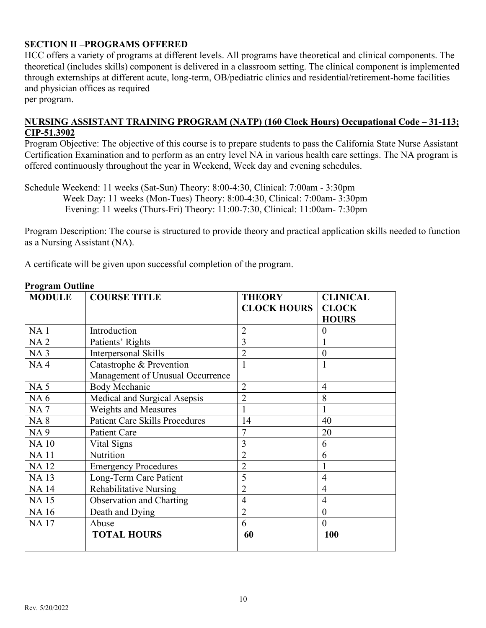#### **SECTION II –PROGRAMS OFFERED**

HCC offers a variety of programs at different levels. All programs have theoretical and clinical components. The theoretical (includes skills) component is delivered in a classroom setting. The clinical component is implemented through externships at different acute, long-term, OB/pediatric clinics and residential/retirement-home facilities and physician offices as required

per program.

#### **NURSING ASSISTANT TRAINING PROGRAM (NATP) (160 Clock Hours) Occupational Code – 31-113; CIP-51.3902**

Program Objective: The objective of this course is to prepare students to pass the California State Nurse Assistant Certification Examination and to perform as an entry level NA in various health care settings. The NA program is offered continuously throughout the year in Weekend, Week day and evening schedules.

Schedule Weekend: 11 weeks (Sat-Sun) Theory: 8:00-4:30, Clinical: 7:00am - 3:30pm Week Day: 11 weeks (Mon-Tues) Theory: 8:00-4:30, Clinical: 7:00am- 3:30pm Evening: 11 weeks (Thurs-Fri) Theory: 11:00-7:30, Clinical: 11:00am- 7:30pm

Program Description: The course is structured to provide theory and practical application skills needed to function as a Nursing Assistant (NA).

A certificate will be given upon successful completion of the program.

| <b>MODULE</b>   | <b>COURSE TITLE</b>                   | <b>THEORY</b>      | <b>CLINICAL</b> |
|-----------------|---------------------------------------|--------------------|-----------------|
|                 |                                       | <b>CLOCK HOURS</b> | <b>CLOCK</b>    |
|                 |                                       |                    | <b>HOURS</b>    |
| NA <sub>1</sub> | Introduction                          | $\overline{2}$     | $\theta$        |
| <b>NA2</b>      | Patients' Rights                      | 3                  |                 |
| NA <sub>3</sub> | Interpersonal Skills                  | $\overline{2}$     | $\overline{0}$  |
| NA <sub>4</sub> | Catastrophe & Prevention              | $\mathbf{1}$       |                 |
|                 | Management of Unusual Occurrence      |                    |                 |
| <b>NA5</b>      | <b>Body Mechanic</b>                  | $\overline{2}$     | $\overline{4}$  |
| NA <sub>6</sub> | Medical and Surgical Asepsis          | $\overline{2}$     | 8               |
| <b>NA7</b>      | Weights and Measures                  | 1                  |                 |
| <b>NA8</b>      | <b>Patient Care Skills Procedures</b> | 14                 | 40              |
| <b>NA9</b>      | Patient Care                          | 7                  | 20              |
| <b>NA10</b>     | Vital Signs                           | 3                  | 6               |
| <b>NA11</b>     | Nutrition                             | $\overline{2}$     | 6               |
| <b>NA12</b>     | <b>Emergency Procedures</b>           | $\overline{2}$     |                 |
| <b>NA13</b>     | Long-Term Care Patient                | 5                  | $\overline{4}$  |
| <b>NA14</b>     | <b>Rehabilitative Nursing</b>         | $\overline{2}$     | $\overline{4}$  |
| <b>NA15</b>     | Observation and Charting              | $\overline{4}$     | $\overline{4}$  |
| <b>NA16</b>     | Death and Dying                       | $\overline{2}$     | $\theta$        |
| <b>NA17</b>     | Abuse                                 | 6                  | $\theta$        |
|                 | <b>TOTAL HOURS</b>                    | 60                 | 100             |
|                 |                                       |                    |                 |

#### **Program Outline**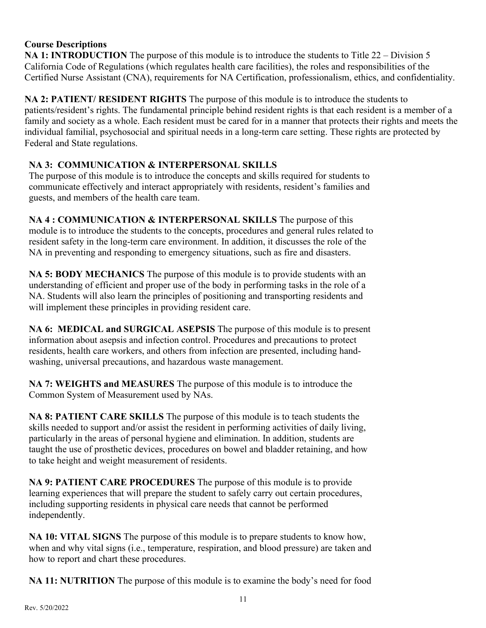#### **Course Descriptions**

**NA 1: INTRODUCTION** The purpose of this module is to introduce the students to Title 22 – Division 5 California Code of Regulations (which regulates health care facilities), the roles and responsibilities of the Certified Nurse Assistant (CNA), requirements for NA Certification, professionalism, ethics, and confidentiality.

**NA 2: PATIENT/ RESIDENT RIGHTS** The purpose of this module is to introduce the students to patients/resident's rights. The fundamental principle behind resident rights is that each resident is a member of a family and society as a whole. Each resident must be cared for in a manner that protects their rights and meets the individual familial, psychosocial and spiritual needs in a long-term care setting. These rights are protected by Federal and State regulations.

#### **NA 3: COMMUNICATION & INTERPERSONAL SKILLS**

The purpose of this module is to introduce the concepts and skills required for students to communicate effectively and interact appropriately with residents, resident's families and guests, and members of the health care team.

**NA 4 : COMMUNICATION & INTERPERSONAL SKILLS** The purpose of this module is to introduce the students to the concepts, procedures and general rules related to resident safety in the long-term care environment. In addition, it discusses the role of the NA in preventing and responding to emergency situations, such as fire and disasters.

**NA 5: BODY MECHANICS** The purpose of this module is to provide students with an understanding of efficient and proper use of the body in performing tasks in the role of a NA. Students will also learn the principles of positioning and transporting residents and will implement these principles in providing resident care.

**NA 6: MEDICAL and SURGICAL ASEPSIS** The purpose of this module is to present information about asepsis and infection control. Procedures and precautions to protect residents, health care workers, and others from infection are presented, including handwashing, universal precautions, and hazardous waste management.

**NA 7: WEIGHTS and MEASURES** The purpose of this module is to introduce the Common System of Measurement used by NAs.

**NA 8: PATIENT CARE SKILLS** The purpose of this module is to teach students the skills needed to support and/or assist the resident in performing activities of daily living, particularly in the areas of personal hygiene and elimination. In addition, students are taught the use of prosthetic devices, procedures on bowel and bladder retaining, and how to take height and weight measurement of residents.

**NA 9: PATIENT CARE PROCEDURES** The purpose of this module is to provide learning experiences that will prepare the student to safely carry out certain procedures, including supporting residents in physical care needs that cannot be performed independently.

**NA 10: VITAL SIGNS** The purpose of this module is to prepare students to know how, when and why vital signs (i.e., temperature, respiration, and blood pressure) are taken and how to report and chart these procedures.

**NA 11: NUTRITION** The purpose of this module is to examine the body's need for food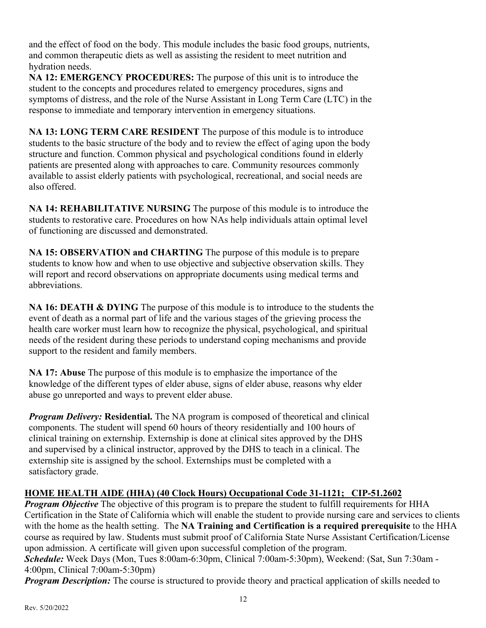and the effect of food on the body. This module includes the basic food groups, nutrients, and common therapeutic diets as well as assisting the resident to meet nutrition and hydration needs.

**NA 12: EMERGENCY PROCEDURES:** The purpose of this unit is to introduce the student to the concepts and procedures related to emergency procedures, signs and symptoms of distress, and the role of the Nurse Assistant in Long Term Care (LTC) in the response to immediate and temporary intervention in emergency situations.

**NA 13: LONG TERM CARE RESIDENT** The purpose of this module is to introduce students to the basic structure of the body and to review the effect of aging upon the body structure and function. Common physical and psychological conditions found in elderly patients are presented along with approaches to care. Community resources commonly available to assist elderly patients with psychological, recreational, and social needs are also offered.

**NA 14: REHABILITATIVE NURSING** The purpose of this module is to introduce the students to restorative care. Procedures on how NAs help individuals attain optimal level of functioning are discussed and demonstrated.

**NA 15: OBSERVATION and CHARTING** The purpose of this module is to prepare students to know how and when to use objective and subjective observation skills. They will report and record observations on appropriate documents using medical terms and abbreviations.

**NA 16: DEATH & DYING** The purpose of this module is to introduce to the students the event of death as a normal part of life and the various stages of the grieving process the health care worker must learn how to recognize the physical, psychological, and spiritual needs of the resident during these periods to understand coping mechanisms and provide support to the resident and family members.

**NA 17: Abuse** The purpose of this module is to emphasize the importance of the knowledge of the different types of elder abuse, signs of elder abuse, reasons why elder abuse go unreported and ways to prevent elder abuse.

*Program Delivery:* **Residential.** The NA program is composed of theoretical and clinical components. The student will spend 60 hours of theory residentially and 100 hours of clinical training on externship. Externship is done at clinical sites approved by the DHS and supervised by a clinical instructor, approved by the DHS to teach in a clinical. The externship site is assigned by the school. Externships must be completed with a satisfactory grade.

# **HOME HEALTH AIDE (HHA) (40 Clock Hours) Occupational Code 31-1121; CIP-51.2602**

*Program Objective* The objective of this program is to prepare the student to fulfill requirements for HHA Certification in the State of California which will enable the student to provide nursing care and services to clients with the home as the health setting. The **NA Training and Certification is a required prerequisite** to the HHA course as required by law. Students must submit proof of California State Nurse Assistant Certification/License upon admission. A certificate will given upon successful completion of the program. *Schedule:* Week Days (Mon, Tues 8:00am-6:30pm, Clinical 7:00am-5:30pm), Weekend: (Sat, Sun 7:30am -

4:00pm, Clinical 7:00am-5:30pm)

*Program Description:* The course is structured to provide theory and practical application of skills needed to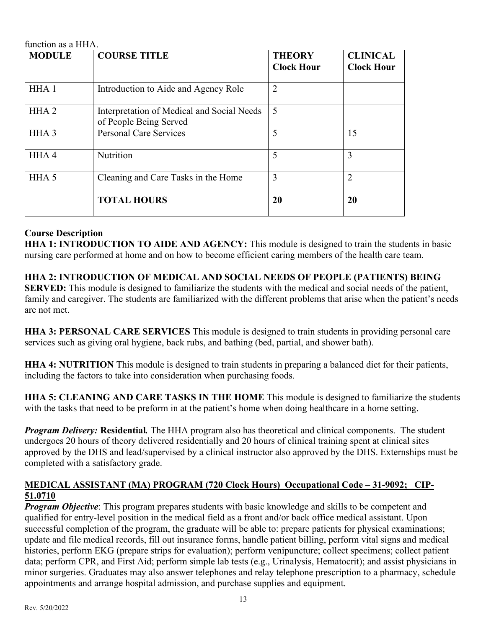| function as a HHA. |                                                                      |                                    |                                      |
|--------------------|----------------------------------------------------------------------|------------------------------------|--------------------------------------|
| <b>MODULE</b>      | <b>COURSE TITLE</b>                                                  | <b>THEORY</b><br><b>Clock Hour</b> | <b>CLINICAL</b><br><b>Clock Hour</b> |
| HHA <sub>1</sub>   | Introduction to Aide and Agency Role                                 | $\overline{2}$                     |                                      |
| HHA <sub>2</sub>   | Interpretation of Medical and Social Needs<br>of People Being Served | 5                                  |                                      |
| HHA <sub>3</sub>   | <b>Personal Care Services</b>                                        | 5                                  | 15                                   |
| HHA4               | Nutrition                                                            | 5                                  | 3                                    |
| HHA <sub>5</sub>   | Cleaning and Care Tasks in the Home                                  | 3                                  | $\overline{2}$                       |
|                    | <b>TOTAL HOURS</b>                                                   | 20                                 | 20                                   |

#### **Course Description**

**HHA 1: INTRODUCTION TO AIDE AND AGENCY:** This module is designed to train the students in basic nursing care performed at home and on how to become efficient caring members of the health care team.

**HHA 2: INTRODUCTION OF MEDICAL AND SOCIAL NEEDS OF PEOPLE (PATIENTS) BEING SERVED:** This module is designed to familiarize the students with the medical and social needs of the patient, family and caregiver. The students are familiarized with the different problems that arise when the patient's needs are not met.

**HHA 3: PERSONAL CARE SERVICES** This module is designed to train students in providing personal care services such as giving oral hygiene, back rubs, and bathing (bed, partial, and shower bath).

**HHA 4: NUTRITION** This module is designed to train students in preparing a balanced diet for their patients, including the factors to take into consideration when purchasing foods.

**HHA 5: CLEANING AND CARE TASKS IN THE HOME** This module is designed to familiarize the students with the tasks that need to be preform in at the patient's home when doing healthcare in a home setting.

*Program Delivery:* **Residential***.* The HHA program also has theoretical and clinical components. The student undergoes 20 hours of theory delivered residentially and 20 hours of clinical training spent at clinical sites approved by the DHS and lead/supervised by a clinical instructor also approved by the DHS. Externships must be completed with a satisfactory grade.

#### **MEDICAL ASSISTANT (MA) PROGRAM (720 Clock Hours) Occupational Code – 31-9092; CIP-51.0710**

*Program Objective*: This program prepares students with basic knowledge and skills to be competent and qualified for entry-level position in the medical field as a front and/or back office medical assistant. Upon successful completion of the program, the graduate will be able to: prepare patients for physical examinations; update and file medical records, fill out insurance forms, handle patient billing, perform vital signs and medical histories, perform EKG (prepare strips for evaluation); perform venipuncture; collect specimens; collect patient data; perform CPR, and First Aid; perform simple lab tests (e.g., Urinalysis, Hematocrit); and assist physicians in minor surgeries. Graduates may also answer telephones and relay telephone prescription to a pharmacy, schedule appointments and arrange hospital admission, and purchase supplies and equipment.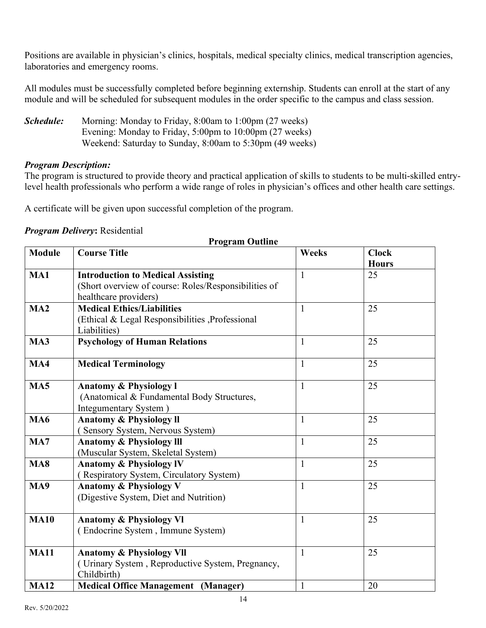Positions are available in physician's clinics, hospitals, medical specialty clinics, medical transcription agencies, laboratories and emergency rooms.

All modules must be successfully completed before beginning externship. Students can enroll at the start of any module and will be scheduled for subsequent modules in the order specific to the campus and class session.

*Schedule:* Morning: Monday to Friday, 8:00am to 1:00pm (27 weeks) Evening: Monday to Friday, 5:00pm to 10:00pm (27 weeks) Weekend: Saturday to Sunday, 8:00am to 5:30pm (49 weeks)

#### *Program Description:*

The program is structured to provide theory and practical application of skills to students to be multi-skilled entrylevel health professionals who perform a wide range of roles in physician's offices and other health care settings.

A certificate will be given upon successful completion of the program.

#### *Program Delivery***:** Residential

|                 | <b>Program Outline</b>                                                                                                    |              |                              |
|-----------------|---------------------------------------------------------------------------------------------------------------------------|--------------|------------------------------|
| <b>Module</b>   | <b>Course Title</b>                                                                                                       | <b>Weeks</b> | <b>Clock</b><br><b>Hours</b> |
| MA1             | <b>Introduction to Medical Assisting</b><br>(Short overview of course: Roles/Responsibilities of<br>healthcare providers) | $\mathbf{1}$ | 25                           |
| MA2             | <b>Medical Ethics/Liabilities</b><br>(Ethical & Legal Responsibilities , Professional<br>Liabilities)                     | $\mathbf{1}$ | 25                           |
| MA3             | <b>Psychology of Human Relations</b>                                                                                      | $\mathbf{1}$ | 25                           |
| MA4             | <b>Medical Terminology</b>                                                                                                | $\mathbf{1}$ | 25                           |
| MA <sub>5</sub> | <b>Anatomy &amp; Physiology I</b><br>(Anatomical & Fundamental Body Structures,<br>Integumentary System)                  | $\mathbf{1}$ | 25                           |
| <b>MA6</b>      | <b>Anatomy &amp; Physiology II</b><br>(Sensory System, Nervous System)                                                    | $\mathbf{1}$ | 25                           |
| MA7             | <b>Anatomy &amp; Physiology III</b><br>(Muscular System, Skeletal System)                                                 | $\mathbf{1}$ | 25                           |
| <b>MA8</b>      | <b>Anatomy &amp; Physiology IV</b><br>(Respiratory System, Circulatory System)                                            | $\mathbf{1}$ | 25                           |
| MA9             | <b>Anatomy &amp; Physiology V</b><br>(Digestive System, Diet and Nutrition)                                               | $\mathbf{1}$ | 25                           |
| <b>MA10</b>     | <b>Anatomy &amp; Physiology VI</b><br>(Endocrine System, Immune System)                                                   | $\mathbf{1}$ | 25                           |
| <b>MA11</b>     | <b>Anatomy &amp; Physiology VII</b><br>(Urinary System, Reproductive System, Pregnancy,<br>Childbirth)                    | $\mathbf{1}$ | 25                           |
| <b>MA12</b>     | <b>Medical Office Management (Manager)</b>                                                                                | $\mathbf{1}$ | 20                           |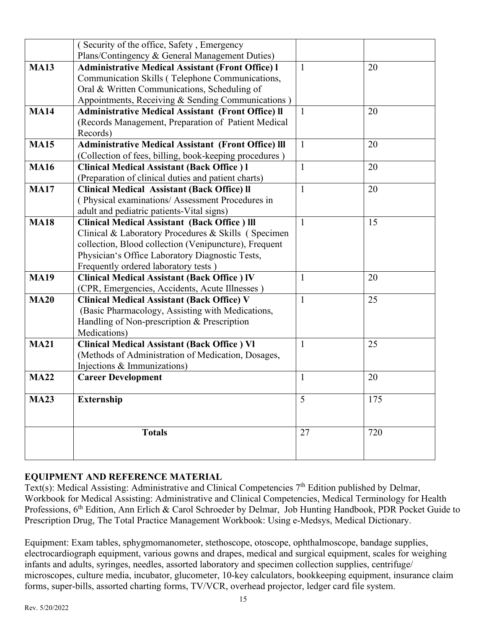|             | (Security of the office, Safety, Emergency                 |              |     |
|-------------|------------------------------------------------------------|--------------|-----|
|             | Plans/Contingency & General Management Duties)             |              |     |
| <b>MA13</b> | <b>Administrative Medical Assistant (Front Office) I</b>   | $\mathbf{1}$ | 20  |
|             | Communication Skills (Telephone Communications,            |              |     |
|             | Oral & Written Communications, Scheduling of               |              |     |
|             | Appointments, Receiving & Sending Communications)          |              |     |
| <b>MA14</b> | <b>Administrative Medical Assistant (Front Office) II</b>  | $\mathbf{1}$ | 20  |
|             | (Records Management, Preparation of Patient Medical        |              |     |
|             | Records)                                                   |              |     |
| <b>MA15</b> | <b>Administrative Medical Assistant (Front Office) III</b> | $\mathbf{1}$ | 20  |
|             | (Collection of fees, billing, book-keeping procedures)     |              |     |
| <b>MA16</b> | <b>Clinical Medical Assistant (Back Office) l</b>          | $\mathbf{1}$ | 20  |
|             | (Preparation of clinical duties and patient charts)        |              |     |
| <b>MA17</b> | <b>Clinical Medical Assistant (Back Office) II</b>         | $\mathbf{1}$ | 20  |
|             | (Physical examinations/Assessment Procedures in            |              |     |
|             | adult and pediatric patients-Vital signs)                  |              |     |
| <b>MA18</b> | <b>Clinical Medical Assistant (Back Office) III</b>        | $\mathbf{1}$ | 15  |
|             | Clinical & Laboratory Procedures & Skills (Specimen        |              |     |
|             | collection, Blood collection (Venipuncture), Frequent      |              |     |
|             | Physician's Office Laboratory Diagnostic Tests,            |              |     |
|             | Frequently ordered laboratory tests)                       |              |     |
| <b>MA19</b> | <b>Clinical Medical Assistant (Back Office ) IV</b>        | $\mathbf{1}$ | 20  |
|             | (CPR, Emergencies, Accidents, Acute Illnesses)             |              |     |
| <b>MA20</b> | <b>Clinical Medical Assistant (Back Office) V</b>          | $\mathbf{1}$ | 25  |
|             | (Basic Pharmacology, Assisting with Medications,           |              |     |
|             | Handling of Non-prescription & Prescription                |              |     |
|             | Medications)                                               |              |     |
| <b>MA21</b> | <b>Clinical Medical Assistant (Back Office) VI</b>         | $\mathbf{1}$ | 25  |
|             | (Methods of Administration of Medication, Dosages,         |              |     |
|             | Injections & Immunizations)                                |              |     |
| <b>MA22</b> | <b>Career Development</b>                                  | $\mathbf{1}$ | 20  |
| <b>MA23</b> | <b>Externship</b>                                          | 5            | 175 |
|             |                                                            |              |     |
|             |                                                            |              |     |
|             | <b>Totals</b>                                              | 27           | 720 |
|             |                                                            |              |     |
|             |                                                            |              |     |

# **EQUIPMENT AND REFERENCE MATERIAL**

Text(s): Medical Assisting: Administrative and Clinical Competencies 7<sup>th</sup> Edition published by Delmar, Workbook for Medical Assisting: Administrative and Clinical Competencies, Medical Terminology for Health Professions, 6<sup>th</sup> Edition, Ann Erlich & Carol Schroeder by Delmar, Job Hunting Handbook, PDR Pocket Guide to Prescription Drug, The Total Practice Management Workbook: Using e-Medsys, Medical Dictionary.

Equipment: Exam tables, sphygmomanometer, stethoscope, otoscope, ophthalmoscope, bandage supplies, electrocardiograph equipment, various gowns and drapes, medical and surgical equipment, scales for weighing infants and adults, syringes, needles, assorted laboratory and specimen collection supplies, centrifuge/ microscopes, culture media, incubator, glucometer, 10-key calculators, bookkeeping equipment, insurance claim forms, super-bills, assorted charting forms, TV/VCR, overhead projector, ledger card file system.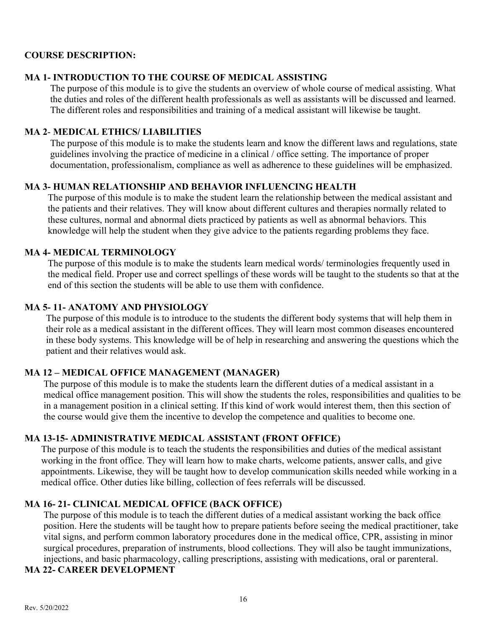#### **COURSE DESCRIPTION:**

#### **MA 1- INTRODUCTION TO THE COURSE OF MEDICAL ASSISTING**

The purpose of this module is to give the students an overview of whole course of medical assisting. What the duties and roles of the different health professionals as well as assistants will be discussed and learned. The different roles and responsibilities and training of a medical assistant will likewise be taught.

#### **MA 2**- **MEDICAL ETHICS/ LIABILITIES**

The purpose of this module is to make the students learn and know the different laws and regulations, state guidelines involving the practice of medicine in a clinical / office setting. The importance of proper documentation, professionalism, compliance as well as adherence to these guidelines will be emphasized.

#### **MA 3- HUMAN RELATIONSHIP AND BEHAVIOR INFLUENCING HEALTH**

The purpose of this module is to make the student learn the relationship between the medical assistant and the patients and their relatives. They will know about different cultures and therapies normally related to these cultures, normal and abnormal diets practiced by patients as well as abnormal behaviors. This knowledge will help the student when they give advice to the patients regarding problems they face.

#### **MA 4- MEDICAL TERMINOLOGY**

The purpose of this module is to make the students learn medical words/ terminologies frequently used in the medical field. Proper use and correct spellings of these words will be taught to the students so that at the end of this section the students will be able to use them with confidence.

#### **MA 5- 11- ANATOMY AND PHYSIOLOGY**

The purpose of this module is to introduce to the students the different body systems that will help them in their role as a medical assistant in the different offices. They will learn most common diseases encountered in these body systems. This knowledge will be of help in researching and answering the questions which the patient and their relatives would ask.

#### **MA 12 – MEDICAL OFFICE MANAGEMENT (MANAGER)**

The purpose of this module is to make the students learn the different duties of a medical assistant in a medical office management position. This will show the students the roles, responsibilities and qualities to be in a management position in a clinical setting. If this kind of work would interest them, then this section of the course would give them the incentive to develop the competence and qualities to become one.

#### **MA 13-15- ADMINISTRATIVE MEDICAL ASSISTANT (FRONT OFFICE)**

The purpose of this module is to teach the students the responsibilities and duties of the medical assistant working in the front office. They will learn how to make charts, welcome patients, answer calls, and give appointments. Likewise, they will be taught how to develop communication skills needed while working in a medical office. Other duties like billing, collection of fees referrals will be discussed.

# **MA 16- 21- CLINICAL MEDICAL OFFICE (BACK OFFICE)**

The purpose of this module is to teach the different duties of a medical assistant working the back office position. Here the students will be taught how to prepare patients before seeing the medical practitioner, take vital signs, and perform common laboratory procedures done in the medical office, CPR, assisting in minor surgical procedures, preparation of instruments, blood collections. They will also be taught immunizations, injections, and basic pharmacology, calling prescriptions, assisting with medications, oral or parenteral.

# **MA 22- CAREER DEVELOPMENT**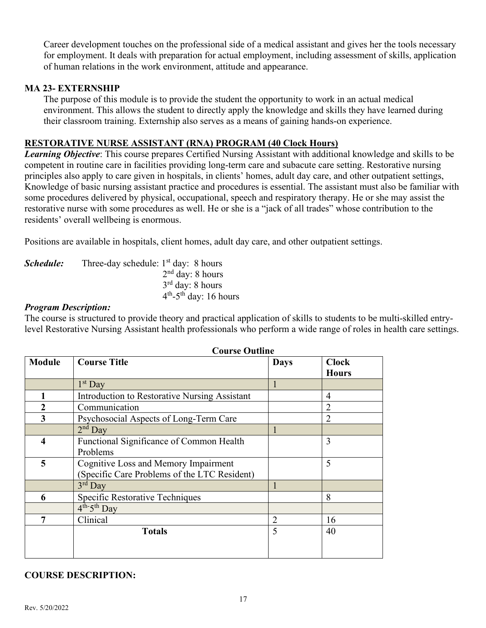Career development touches on the professional side of a medical assistant and gives her the tools necessary for employment. It deals with preparation for actual employment, including assessment of skills, application of human relations in the work environment, attitude and appearance.

#### **MA 23- EXTERNSHIP**

The purpose of this module is to provide the student the opportunity to work in an actual medical environment. This allows the student to directly apply the knowledge and skills they have learned during their classroom training. Externship also serves as a means of gaining hands-on experience.

#### **RESTORATIVE NURSE ASSISTANT (RNA) PROGRAM (40 Clock Hours)**

*Learning Objective*: This course prepares Certified Nursing Assistant with additional knowledge and skills to be competent in routine care in facilities providing long-term care and subacute care setting. Restorative nursing principles also apply to care given in hospitals, in clients' homes, adult day care, and other outpatient settings, Knowledge of basic nursing assistant practice and procedures is essential. The assistant must also be familiar with some procedures delivered by physical, occupational, speech and respiratory therapy. He or she may assist the restorative nurse with some procedures as well. He or she is a "jack of all trades" whose contribution to the residents' overall wellbeing is enormous.

Positions are available in hospitals, client homes, adult day care, and other outpatient settings.

| Schedule: | Three-day schedule: $1st$ day: 8 hours |
|-----------|----------------------------------------|
|           | $2nd$ day: 8 hours                     |
|           | $3rd$ day: 8 hours                     |
|           | $4th$ -5 <sup>th</sup> day: 16 hours   |

#### *Program Description:*

The course is structured to provide theory and practical application of skills to students to be multi-skilled entrylevel Restorative Nursing Assistant health professionals who perform a wide range of roles in health care settings.

|                  | Course Outnine                                |                |                              |
|------------------|-----------------------------------------------|----------------|------------------------------|
| <b>Module</b>    | <b>Course Title</b>                           | <b>Days</b>    | <b>Clock</b><br><b>Hours</b> |
|                  | $1st$ Day                                     |                |                              |
|                  | Introduction to Restorative Nursing Assistant |                | 4                            |
| $\boldsymbol{2}$ | Communication                                 |                | 2                            |
| 3                | Psychosocial Aspects of Long-Term Care        |                | 2                            |
|                  | $2nd$ Day                                     |                |                              |
| 4                | Functional Significance of Common Health      |                | 3                            |
|                  | Problems                                      |                |                              |
| 5                | <b>Cognitive Loss and Memory Impairment</b>   |                | 5                            |
|                  | (Specific Care Problems of the LTC Resident)  |                |                              |
|                  | $3rd$ Day                                     |                |                              |
| 6                | Specific Restorative Techniques               |                | 8                            |
|                  | $4^{th-5}$ <sup>th</sup> Day                  |                |                              |
| 7                | Clinical                                      | $\overline{2}$ | 16                           |
|                  | <b>Totals</b>                                 | 5              | 40                           |
|                  |                                               |                |                              |
|                  |                                               |                |                              |

#### **Course Outline**

#### **COURSE DESCRIPTION:**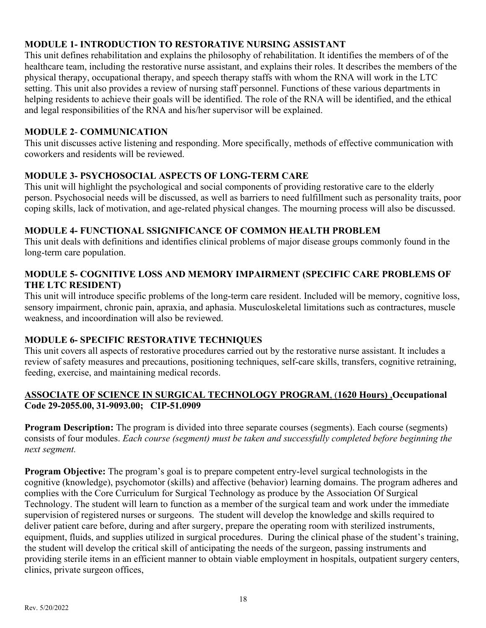#### **MODULE 1- INTRODUCTION TO RESTORATIVE NURSING ASSISTANT**

This unit defines rehabilitation and explains the philosophy of rehabilitation. It identifies the members of of the healthcare team, including the restorative nurse assistant, and explains their roles. It describes the members of the physical therapy, occupational therapy, and speech therapy staffs with whom the RNA will work in the LTC setting. This unit also provides a review of nursing staff personnel. Functions of these various departments in helping residents to achieve their goals will be identified. The role of the RNA will be identified, and the ethical and legal responsibilities of the RNA and his/her supervisor will be explained.

#### **MODULE 2**- **COMMUNICATION**

This unit discusses active listening and responding. More specifically, methods of effective communication with coworkers and residents will be reviewed.

#### **MODULE 3- PSYCHOSOCIAL ASPECTS OF LONG-TERM CARE**

This unit will highlight the psychological and social components of providing restorative care to the elderly person. Psychosocial needs will be discussed, as well as barriers to need fulfillment such as personality traits, poor coping skills, lack of motivation, and age-related physical changes. The mourning process will also be discussed.

#### **MODULE 4- FUNCTIONAL SSIGNIFICANCE OF COMMON HEALTH PROBLEM**

This unit deals with definitions and identifies clinical problems of major disease groups commonly found in the long-term care population.

#### **MODULE 5- COGNITIVE LOSS AND MEMORY IMPAIRMENT (SPECIFIC CARE PROBLEMS OF THE LTC RESIDENT)**

This unit will introduce specific problems of the long-term care resident. Included will be memory, cognitive loss, sensory impairment, chronic pain, apraxia, and aphasia. Musculoskeletal limitations such as contractures, muscle weakness, and incoordination will also be reviewed.

# **MODULE 6- SPECIFIC RESTORATIVE TECHNIQUES**

This unit covers all aspects of restorative procedures carried out by the restorative nurse assistant. It includes a review of safety measures and precautions, positioning techniques, self-care skills, transfers, cognitive retraining, feeding, exercise, and maintaining medical records.

#### **ASSOCIATE OF SCIENCE IN SURGICAL TECHNOLOGY PROGRAM**, (**1620 Hours)** ,**Occupational Code 29-2055.00, 31-9093.00; CIP-51.0909**

**Program Description:** The program is divided into three separate courses (segments). Each course (segments) consists of four modules. *Each course (segment) must be taken and successfully completed before beginning the next segment.* 

**Program Objective:** The program's goal is to prepare competent entry-level surgical technologists in the cognitive (knowledge), psychomotor (skills) and affective (behavior) learning domains. The program adheres and complies with the Core Curriculum for Surgical Technology as produce by the Association Of Surgical Technology. The student will learn to function as a member of the surgical team and work under the immediate supervision of registered nurses or surgeons. The student will develop the knowledge and skills required to deliver patient care before, during and after surgery, prepare the operating room with sterilized instruments, equipment, fluids, and supplies utilized in surgical procedures. During the clinical phase of the student's training, the student will develop the critical skill of anticipating the needs of the surgeon, passing instruments and providing sterile items in an efficient manner to obtain viable employment in hospitals, outpatient surgery centers, clinics, private surgeon offices,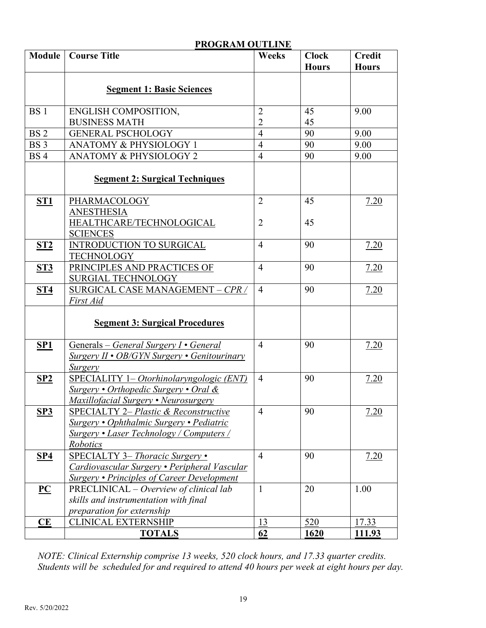|                           | I ROQIVANI OVTERNE                                |                |              |               |
|---------------------------|---------------------------------------------------|----------------|--------------|---------------|
| <b>Module</b>             | <b>Course Title</b>                               | <b>Weeks</b>   | <b>Clock</b> | <b>Credit</b> |
|                           |                                                   |                | <b>Hours</b> | <b>Hours</b>  |
|                           |                                                   |                |              |               |
|                           | <b>Segment 1: Basic Sciences</b>                  |                |              |               |
|                           |                                                   |                |              |               |
| <b>BS1</b>                | ENGLISH COMPOSITION,                              | $\overline{2}$ | 45           | 9.00          |
|                           | <b>BUSINESS MATH</b>                              | $\overline{2}$ | 45           |               |
| BS <sub>2</sub>           | <b>GENERAL PSCHOLOGY</b>                          | $\overline{4}$ | 90           | 9.00          |
| BS <sub>3</sub>           | <b>ANATOMY &amp; PHYSIOLOGY 1</b>                 | $\overline{4}$ | 90           | 9.00          |
| <b>BS4</b>                | <b>ANATOMY &amp; PHYSIOLOGY 2</b>                 | $\overline{4}$ | 90           | 9.00          |
|                           | <b>Segment 2: Surgical Techniques</b>             |                |              |               |
|                           |                                                   |                |              |               |
| ST <sub>1</sub>           | PHARMACOLOGY                                      | $\overline{2}$ | 45           | 7.20          |
|                           | <b>ANESTHESIA</b>                                 |                |              |               |
|                           | HEALTHCARE/TECHNOLOGICAL                          | $\overline{2}$ | 45           |               |
|                           | <b>SCIENCES</b>                                   |                |              |               |
| ST2                       | <b>INTRODUCTION TO SURGICAL</b>                   | $\overline{4}$ | 90           | 7.20          |
|                           | <b>TECHNOLOGY</b>                                 |                |              |               |
| ST3                       | PRINCIPLES AND PRACTICES OF                       | $\overline{4}$ | 90           | 7.20          |
|                           | SURGIAL TECHNOLOGY                                |                |              |               |
| ST4                       | SURGICAL CASE MANAGEMENT - CPR /                  | $\overline{4}$ | 90           | 7.20          |
|                           | First Aid                                         |                |              |               |
|                           |                                                   |                |              |               |
|                           | <b>Segment 3: Surgical Procedures</b>             |                |              |               |
| SP1                       | Generals – General Surgery I • General            | $\overline{4}$ | 90           | 7.20          |
|                           | Surgery II • OB/GYN Surgery • Genitourinary       |                |              |               |
|                           | <b>Surgery</b>                                    |                |              |               |
| SP2                       | SPECIALITY 1- Otorhinolaryngologic (ENT)          | $\overline{4}$ | 90           | 7.20          |
|                           | Surgery • Orthopedic Surgery • Oral $\&$          |                |              |               |
|                           | Maxillofacial Surgery • Neurosurgery              |                |              |               |
| SP3                       | <b>SPECIALTY 2– Plastic &amp; Reconstructive</b>  | $\overline{4}$ | 90           | 7.20          |
|                           | Surgery • Ophthalmic Surgery • Pediatric          |                |              |               |
|                           | Surgery • Laser Technology / Computers /          |                |              |               |
|                           | Robotics                                          |                |              |               |
| <b>SP4</b>                | <b>SPECIALTY 3– Thoracic Surgery •</b>            | $\overline{4}$ | 90           | 7.20          |
|                           | Cardiovascular Surgery • Peripheral Vascular      |                |              |               |
|                           | <b>Surgery • Principles of Career Development</b> |                |              |               |
| $\underline{\mathbf{PC}}$ | PRECLINICAL – Overview of clinical lab            | $\mathbf{1}$   | 20           | 1.00          |
|                           | skills and instrumentation with final             |                |              |               |
|                           | preparation for externship                        |                |              |               |
| CE                        | <b>CLINICAL EXTERNSHIP</b>                        | 13             | 520          | 17.33         |
|                           | <b>TOTALS</b>                                     | 62             | 1620         | 111.93        |

#### **PROGRAM OUTLINE**

*NOTE: Clinical Externship comprise 13 weeks, 520 clock hours, and 17.33 quarter credits. Students will be scheduled for and required to attend 40 hours per week at eight hours per day.*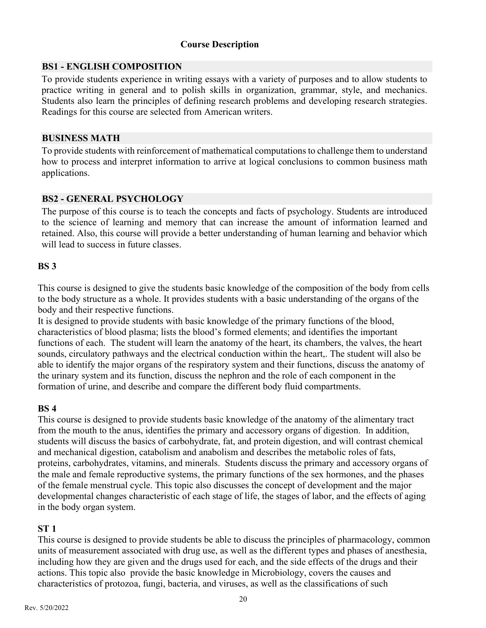#### **Course Description**

#### **BS1 - ENGLISH COMPOSITION**

To provide students experience in writing essays with a variety of purposes and to allow students to practice writing in general and to polish skills in organization, grammar, style, and mechanics. Students also learn the principles of defining research problems and developing research strategies. Readings for this course are selected from American writers.

#### **BUSINESS MATH**

To provide students with reinforcement of mathematical computations to challenge them to understand how to process and interpret information to arrive at logical conclusions to common business math applications.

#### **BS2 - GENERAL PSYCHOLOGY**

The purpose of this course is to teach the concepts and facts of psychology. Students are introduced to the science of learning and memory that can increase the amount of information learned and retained. Also, this course will provide a better understanding of human learning and behavior which will lead to success in future classes.

#### **BS 3**

This course is designed to give the students basic knowledge of the composition of the body from cells to the body structure as a whole. It provides students with a basic understanding of the organs of the body and their respective functions.

It is designed to provide students with basic knowledge of the primary functions of the blood, characteristics of blood plasma; lists the blood's formed elements; and identifies the important functions of each. The student will learn the anatomy of the heart, its chambers, the valves, the heart sounds, circulatory pathways and the electrical conduction within the heart,. The student will also be able to identify the major organs of the respiratory system and their functions, discuss the anatomy of the urinary system and its function, discuss the nephron and the role of each component in the formation of urine, and describe and compare the different body fluid compartments.

#### **BS 4**

This course is designed to provide students basic knowledge of the anatomy of the alimentary tract from the mouth to the anus, identifies the primary and accessory organs of digestion. In addition, students will discuss the basics of carbohydrate, fat, and protein digestion, and will contrast chemical and mechanical digestion, catabolism and anabolism and describes the metabolic roles of fats, proteins, carbohydrates, vitamins, and minerals. Students discuss the primary and accessory organs of the male and female reproductive systems, the primary functions of the sex hormones, and the phases of the female menstrual cycle. This topic also discusses the concept of development and the major developmental changes characteristic of each stage of life, the stages of labor, and the effects of aging in the body organ system.

#### **ST 1**

This course is designed to provide students be able to discuss the principles of pharmacology, common units of measurement associated with drug use, as well as the different types and phases of anesthesia, including how they are given and the drugs used for each, and the side effects of the drugs and their actions. This topic also provide the basic knowledge in Microbiology, covers the causes and characteristics of protozoa, fungi, bacteria, and viruses, as well as the classifications of such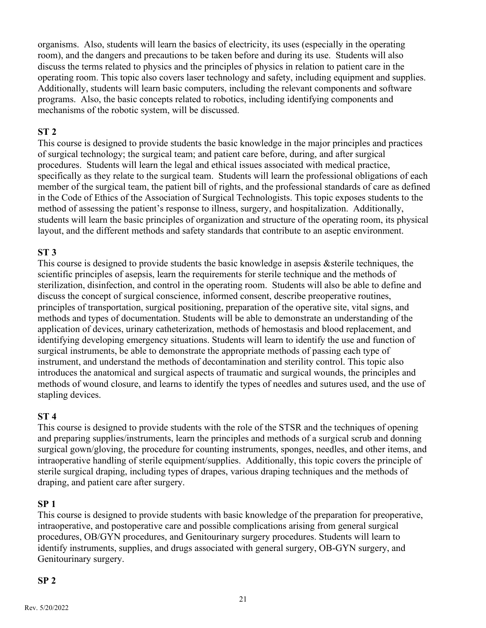organisms. Also, students will learn the basics of electricity, its uses (especially in the operating room), and the dangers and precautions to be taken before and during its use. Students will also discuss the terms related to physics and the principles of physics in relation to patient care in the operating room. This topic also covers laser technology and safety, including equipment and supplies. Additionally, students will learn basic computers, including the relevant components and software programs. Also, the basic concepts related to robotics, including identifying components and mechanisms of the robotic system, will be discussed.

#### **ST 2**

This course is designed to provide students the basic knowledge in the major principles and practices of surgical technology; the surgical team; and patient care before, during, and after surgical procedures. Students will learn the legal and ethical issues associated with medical practice, specifically as they relate to the surgical team. Students will learn the professional obligations of each member of the surgical team, the patient bill of rights, and the professional standards of care as defined in the Code of Ethics of the Association of Surgical Technologists. This topic exposes students to the method of assessing the patient's response to illness, surgery, and hospitalization. Additionally, students will learn the basic principles of organization and structure of the operating room, its physical layout, and the different methods and safety standards that contribute to an aseptic environment.

#### **ST 3**

This course is designed to provide students the basic knowledge in asepsis &sterile techniques, the scientific principles of asepsis, learn the requirements for sterile technique and the methods of sterilization, disinfection, and control in the operating room. Students will also be able to define and discuss the concept of surgical conscience, informed consent, describe preoperative routines, principles of transportation, surgical positioning, preparation of the operative site, vital signs, and methods and types of documentation. Students will be able to demonstrate an understanding of the application of devices, urinary catheterization, methods of hemostasis and blood replacement, and identifying developing emergency situations. Students will learn to identify the use and function of surgical instruments, be able to demonstrate the appropriate methods of passing each type of instrument, and understand the methods of decontamination and sterility control. This topic also introduces the anatomical and surgical aspects of traumatic and surgical wounds, the principles and methods of wound closure, and learns to identify the types of needles and sutures used, and the use of stapling devices.

#### **ST 4**

This course is designed to provide students with the role of the STSR and the techniques of opening and preparing supplies/instruments, learn the principles and methods of a surgical scrub and donning surgical gown/gloving, the procedure for counting instruments, sponges, needles, and other items, and intraoperative handling of sterile equipment/supplies. Additionally, this topic covers the principle of sterile surgical draping, including types of drapes, various draping techniques and the methods of draping, and patient care after surgery.

#### **SP 1**

This course is designed to provide students with basic knowledge of the preparation for preoperative, intraoperative, and postoperative care and possible complications arising from general surgical procedures, OB/GYN procedures, and Genitourinary surgery procedures. Students will learn to identify instruments, supplies, and drugs associated with general surgery, OB-GYN surgery, and Genitourinary surgery.

#### **SP 2**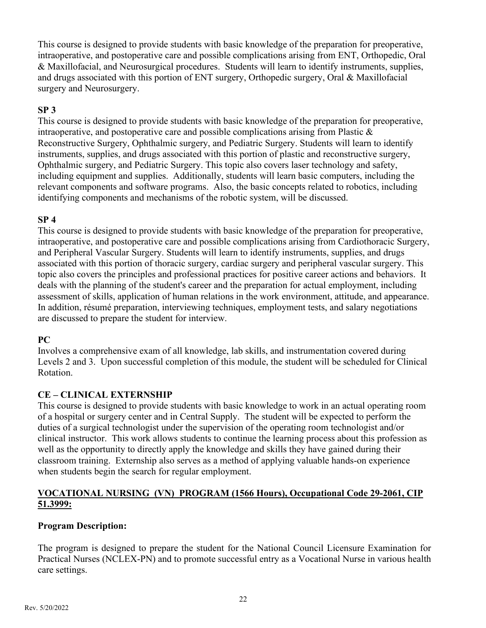This course is designed to provide students with basic knowledge of the preparation for preoperative, intraoperative, and postoperative care and possible complications arising from ENT, Orthopedic, Oral & Maxillofacial, and Neurosurgical procedures. Students will learn to identify instruments, supplies, and drugs associated with this portion of ENT surgery, Orthopedic surgery, Oral & Maxillofacial surgery and Neurosurgery.

#### **SP 3**

This course is designed to provide students with basic knowledge of the preparation for preoperative, intraoperative, and postoperative care and possible complications arising from Plastic  $\&$ Reconstructive Surgery, Ophthalmic surgery, and Pediatric Surgery. Students will learn to identify instruments, supplies, and drugs associated with this portion of plastic and reconstructive surgery, Ophthalmic surgery, and Pediatric Surgery. This topic also covers laser technology and safety, including equipment and supplies. Additionally, students will learn basic computers, including the relevant components and software programs. Also, the basic concepts related to robotics, including identifying components and mechanisms of the robotic system, will be discussed.

#### **SP 4**

This course is designed to provide students with basic knowledge of the preparation for preoperative, intraoperative, and postoperative care and possible complications arising from Cardiothoracic Surgery, and Peripheral Vascular Surgery. Students will learn to identify instruments, supplies, and drugs associated with this portion of thoracic surgery, cardiac surgery and peripheral vascular surgery. This topic also covers the principles and professional practices for positive career actions and behaviors. It deals with the planning of the student's career and the preparation for actual employment, including assessment of skills, application of human relations in the work environment, attitude, and appearance. In addition, résumé preparation, interviewing techniques, employment tests, and salary negotiations are discussed to prepare the student for interview.

#### **PC**

Involves a comprehensive exam of all knowledge, lab skills, and instrumentation covered during Levels 2 and 3. Upon successful completion of this module, the student will be scheduled for Clinical Rotation.

#### **CE – CLINICAL EXTERNSHIP**

This course is designed to provide students with basic knowledge to work in an actual operating room of a hospital or surgery center and in Central Supply. The student will be expected to perform the duties of a surgical technologist under the supervision of the operating room technologist and/or clinical instructor. This work allows students to continue the learning process about this profession as well as the opportunity to directly apply the knowledge and skills they have gained during their classroom training. Externship also serves as a method of applying valuable hands-on experience when students begin the search for regular employment.

#### **VOCATIONAL NURSING (VN) PROGRAM (1566 Hours), Occupational Code 29-2061, CIP 51.3999:**

#### **Program Description:**

The program is designed to prepare the student for the National Council Licensure Examination for Practical Nurses (NCLEX-PN) and to promote successful entry as a Vocational Nurse in various health care settings.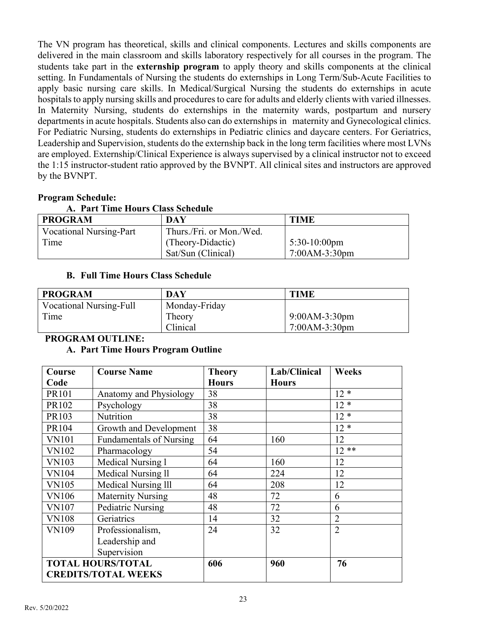The VN program has theoretical, skills and clinical components. Lectures and skills components are delivered in the main classroom and skills laboratory respectively for all courses in the program. The students take part in the **externship program** to apply theory and skills components at the clinical setting. In Fundamentals of Nursing the students do externships in Long Term/Sub-Acute Facilities to apply basic nursing care skills. In Medical/Surgical Nursing the students do externships in acute hospitals to apply nursing skills and procedures to care for adults and elderly clients with varied illnesses. In Maternity Nursing, students do externships in the maternity wards, postpartum and nursery departments in acute hospitals. Students also can do externships in maternity and Gynecological clinics. For Pediatric Nursing, students do externships in Pediatric clinics and daycare centers. For Geriatrics, Leadership and Supervision, students do the externship back in the long term facilities where most LVNs are employed. Externship/Clinical Experience is always supervised by a clinical instructor not to exceed the 1:15 instructor-student ratio approved by the BVNPT. All clinical sites and instructors are approved by the BVNPT.

#### **Program Schedule:**

| A. Part Time Hours Class Schedule |
|-----------------------------------|
|-----------------------------------|

| <b>PROGRAM</b>                 | <b>DAY</b>               | <b>TIME</b>     |
|--------------------------------|--------------------------|-----------------|
| <b>Vocational Nursing-Part</b> | Thurs./Fri. or Mon./Wed. |                 |
| Time                           | (Theory-Didactic)        | $5:30-10:00$ pm |
|                                | Sat/Sun (Clinical)       | 7:00AM-3:30pm   |

#### **B. Full Time Hours Class Schedule**

| <b>PROGRAM</b>          | DAY           | <b>TIME</b>     |
|-------------------------|---------------|-----------------|
| Vocational Nursing-Full | Monday-Friday |                 |
| Time                    | Theory        | $9:00AM-3:30pm$ |
|                         | Clinical      | $7:00AM-3:30pm$ |

#### **PROGRAM OUTLINE:**

#### **A. Part Time Hours Program Outline**

| Course       | <b>Course Name</b>             | <b>Theory</b> | Lab/Clinical | Weeks          |
|--------------|--------------------------------|---------------|--------------|----------------|
| Code         |                                | <b>Hours</b>  | <b>Hours</b> |                |
| PR101        | Anatomy and Physiology         | 38            |              | $12 *$         |
| PR102        | Psychology                     | 38            |              | $12 *$         |
| PR103        | Nutrition                      | 38            |              | $12 *$         |
| PR104        | Growth and Development         | 38            |              | $12 *$         |
| <b>VN101</b> | <b>Fundamentals of Nursing</b> | 64            | 160          | 12             |
| <b>VN102</b> | Pharmacology                   | 54            |              | $12**$         |
| <b>VN103</b> | Medical Nursing 1              | 64            | 160          | 12             |
| <b>VN104</b> | Medical Nursing ll             | 64            | 224          | 12             |
| <b>VN105</b> | Medical Nursing III            | 64            | 208          | 12             |
| <b>VN106</b> | <b>Maternity Nursing</b>       | 48            | 72           | 6              |
| <b>VN107</b> | <b>Pediatric Nursing</b>       | 48            | 72           | 6              |
| <b>VN108</b> | Geriatrics                     | 14            | 32           | $\overline{2}$ |
| <b>VN109</b> | Professionalism,               | 24            | 32           | $\overline{2}$ |
|              | Leadership and                 |               |              |                |
|              | Supervision                    |               |              |                |
|              | <b>TOTAL HOURS/TOTAL</b>       | 606           | 960          | 76             |
|              | <b>CREDITS/TOTAL WEEKS</b>     |               |              |                |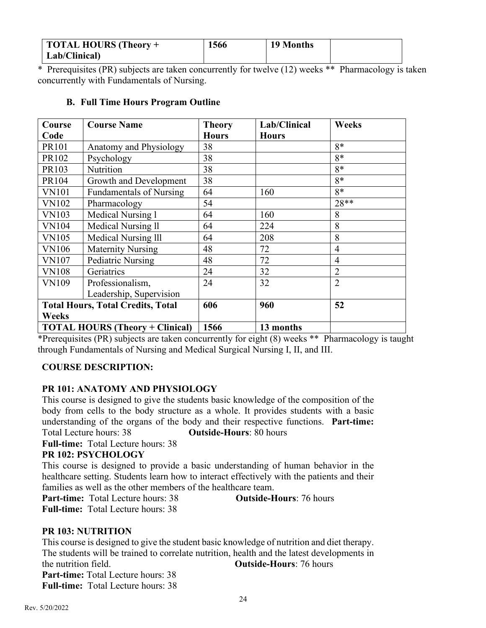| TOTAL HOURS (Theory + | 1566 | 19 Months |  |
|-----------------------|------|-----------|--|
| Lab/Clinical)         |      |           |  |

\* Prerequisites (PR) subjects are taken concurrently for twelve (12) weeks \*\* Pharmacology is taken concurrently with Fundamentals of Nursing.

#### **B. Full Time Hours Program Outline**

| Course       | <b>Course Name</b>                       | <b>Theory</b> | Lab/Clinical | Weeks          |
|--------------|------------------------------------------|---------------|--------------|----------------|
| Code         |                                          | <b>Hours</b>  | <b>Hours</b> |                |
| PR101        | Anatomy and Physiology                   | 38            |              | $8*$           |
| PR102        | Psychology                               | 38            |              | $8*$           |
| PR103        | Nutrition                                | 38            |              | $8*$           |
| PR104        | Growth and Development                   | 38            |              | $8*$           |
| <b>VN101</b> | <b>Fundamentals of Nursing</b>           | 64            | 160          | $8*$           |
| <b>VN102</b> | Pharmacology                             | 54            |              | $28**$         |
| <b>VN103</b> | Medical Nursing 1                        | 64            | 160          | 8              |
| <b>VN104</b> | Medical Nursing ll                       | 64            | 224          | 8              |
| <b>VN105</b> | Medical Nursing <sub>III</sub>           | 64            | 208          | 8              |
| <b>VN106</b> | <b>Maternity Nursing</b>                 | 48            | 72           | $\overline{4}$ |
| <b>VN107</b> | Pediatric Nursing                        | 48            | 72           | $\overline{4}$ |
| <b>VN108</b> | Geriatrics                               | 24            | 32           | $\overline{2}$ |
| VN109        | Professionalism,                         | 24            | 32           | $\overline{2}$ |
|              | Leadership, Supervision                  |               |              |                |
|              | <b>Total Hours, Total Credits, Total</b> | 606           | 960          | 52             |
| Weeks        |                                          |               |              |                |
|              | <b>TOTAL HOURS (Theory + Clinical)</b>   | 1566          | 13 months    |                |

\*Prerequisites (PR) subjects are taken concurrently for eight (8) weeks \*\* Pharmacology is taught through Fundamentals of Nursing and Medical Surgical Nursing I, II, and III.

#### **COURSE DESCRIPTION:**

#### **PR 101: ANATOMY AND PHYSIOLOGY**

This course is designed to give the students basic knowledge of the composition of the body from cells to the body structure as a whole. It provides students with a basic understanding of the organs of the body and their respective functions. **Part-time:** Total Lecture hours: 38 **Outside-Hours**: 80 hours

**Full-time:** Total Lecture hours: 38

#### **PR 102: PSYCHOLOGY**

This course is designed to provide a basic understanding of human behavior in the healthcare setting. Students learn how to interact effectively with the patients and their families as well as the other members of the healthcare team.<br>**Part-time:** Total Lecture hours: 38 **Outside-Hours**: 76 hours

**Part-time:** Total Lecture hours: 38

**Full-time:** Total Lecture hours: 38

#### **PR 103: NUTRITION**

This course is designed to give the student basic knowledge of nutrition and diet therapy. The students will be trained to correlate nutrition, health and the latest developments in the nutrition field. **Outside-Hours**: 76 hours **Part-time:** Total Lecture hours: 38 **Full-time:** Total Lecture hours: 38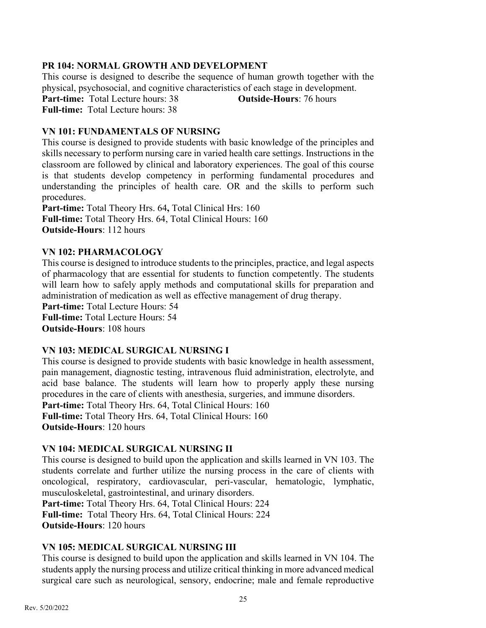#### **PR 104: NORMAL GROWTH AND DEVELOPMENT**

This course is designed to describe the sequence of human growth together with the physical, psychosocial, and cognitive characteristics of each stage in development. Part-time: Total Lecture hours: 38 **Outside-Hours**: 76 hours **Full-time:** Total Lecture hours: 38

#### **VN 101: FUNDAMENTALS OF NURSING**

This course is designed to provide students with basic knowledge of the principles and skills necessary to perform nursing care in varied health care settings. Instructions in the classroom are followed by clinical and laboratory experiences. The goal of this course is that students develop competency in performing fundamental procedures and understanding the principles of health care. OR and the skills to perform such procedures.

**Part-time:** Total Theory Hrs. 64**,** Total Clinical Hrs: 160 **Full-time:** Total Theory Hrs. 64, Total Clinical Hours: 160 **Outside-Hours**: 112 hours

#### **VN 102: PHARMACOLOGY**

This course is designed to introduce students to the principles, practice, and legal aspects of pharmacology that are essential for students to function competently. The students will learn how to safely apply methods and computational skills for preparation and administration of medication as well as effective management of drug therapy.

**Part-time:** Total Lecture Hours: 54 **Full-time:** Total Lecture Hours: 54 **Outside-Hours**: 108 hours

#### **VN 103: MEDICAL SURGICAL NURSING I**

This course is designed to provide students with basic knowledge in health assessment, pain management, diagnostic testing, intravenous fluid administration, electrolyte, and acid base balance. The students will learn how to properly apply these nursing procedures in the care of clients with anesthesia, surgeries, and immune disorders. Part-time: Total Theory Hrs. 64, Total Clinical Hours: 160

**Full-time:** Total Theory Hrs. 64, Total Clinical Hours: 160

**Outside-Hours**: 120 hours

#### **VN 104: MEDICAL SURGICAL NURSING II**

This course is designed to build upon the application and skills learned in VN 103. The students correlate and further utilize the nursing process in the care of clients with oncological, respiratory, cardiovascular, peri-vascular, hematologic, lymphatic, musculoskeletal, gastrointestinal, and urinary disorders.

Part-time: Total Theory Hrs. 64, Total Clinical Hours: 224 **Full-time:** Total Theory Hrs. 64, Total Clinical Hours: 224

**Outside-Hours**: 120 hours

#### **VN 105: MEDICAL SURGICAL NURSING III**

This course is designed to build upon the application and skills learned in VN 104. The students apply the nursing process and utilize critical thinking in more advanced medical surgical care such as neurological, sensory, endocrine; male and female reproductive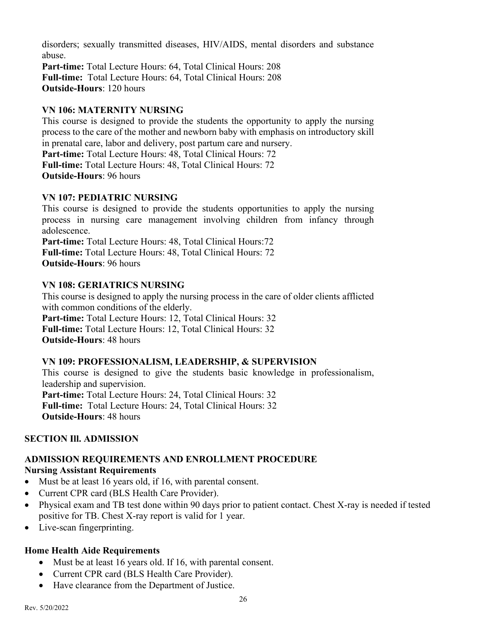disorders; sexually transmitted diseases, HIV/AIDS, mental disorders and substance abuse. **Part-time:** Total Lecture Hours: 64, Total Clinical Hours: 208 **Full-time:** Total Lecture Hours: 64, Total Clinical Hours: 208 **Outside-Hours**: 120 hours

#### **VN 106: MATERNITY NURSING**

This course is designed to provide the students the opportunity to apply the nursing process to the care of the mother and newborn baby with emphasis on introductory skill in prenatal care, labor and delivery, post partum care and nursery. Part-time: Total Lecture Hours: 48, Total Clinical Hours: 72 **Full-time:** Total Lecture Hours: 48, Total Clinical Hours: 72 **Outside-Hours**: 96 hours

#### **VN 107: PEDIATRIC NURSING**

This course is designed to provide the students opportunities to apply the nursing process in nursing care management involving children from infancy through adolescence.

**Part-time:** Total Lecture Hours: 48, Total Clinical Hours:72 **Full-time:** Total Lecture Hours: 48, Total Clinical Hours: 72 **Outside-Hours**: 96 hours

#### **VN 108: GERIATRICS NURSING**

This course is designed to apply the nursing process in the care of older clients afflicted with common conditions of the elderly. Part-time: Total Lecture Hours: 12, Total Clinical Hours: 32 **Full-time:** Total Lecture Hours: 12, Total Clinical Hours: 32 **Outside-Hours**: 48 hours

#### **VN 109: PROFESSIONALISM, LEADERSHIP, & SUPERVISION**

This course is designed to give the students basic knowledge in professionalism, leadership and supervision. Part-time: Total Lecture Hours: 24, Total Clinical Hours: 32 **Full-time:** Total Lecture Hours: 24, Total Clinical Hours: 32 **Outside-Hours**: 48 hours

#### **SECTION Ill. ADMISSION**

# **ADMISSION REQUIREMENTS AND ENROLLMENT PROCEDURE**

#### **Nursing Assistant Requirements**

- Must be at least 16 years old, if 16, with parental consent.
- Current CPR card (BLS Health Care Provider).
- Physical exam and TB test done within 90 days prior to patient contact. Chest X-ray is needed if tested positive for TB. Chest X-ray report is valid for 1 year.
- Live-scan fingerprinting.

#### **Home Health Aide Requirements**

- Must be at least 16 years old. If 16, with parental consent.
- Current CPR card (BLS Health Care Provider).
- Have clearance from the Department of Justice.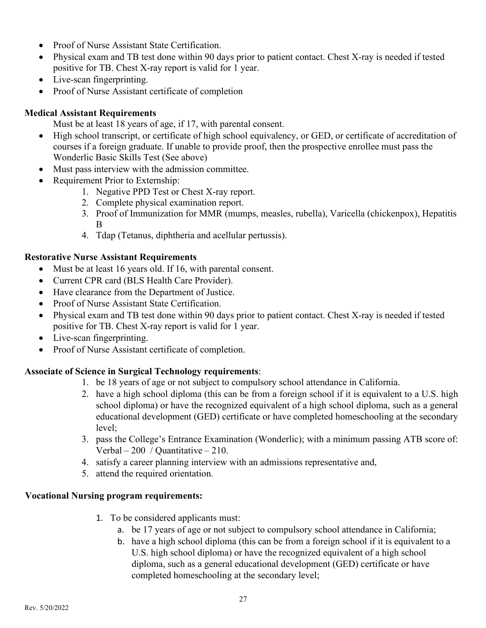- Proof of Nurse Assistant State Certification.
- Physical exam and TB test done within 90 days prior to patient contact. Chest X-ray is needed if tested positive for TB. Chest X-ray report is valid for 1 year.
- Live-scan fingerprinting.
- Proof of Nurse Assistant certificate of completion

#### **Medical Assistant Requirements**

Must be at least 18 years of age, if 17, with parental consent.

- High school transcript, or certificate of high school equivalency, or GED, or certificate of accreditation of courses if a foreign graduate. If unable to provide proof, then the prospective enrollee must pass the Wonderlic Basic Skills Test (See above)
- Must pass interview with the admission committee.
- Requirement Prior to Externship:
	- 1. Negative PPD Test or Chest X-ray report.
	- 2. Complete physical examination report.
	- 3. Proof of Immunization for MMR (mumps, measles, rubella), Varicella (chickenpox), Hepatitis B
	- 4. Tdap (Tetanus, diphtheria and acellular pertussis).

#### **Restorative Nurse Assistant Requirements**

- Must be at least 16 years old. If 16, with parental consent.
- Current CPR card (BLS Health Care Provider).
- Have clearance from the Department of Justice.
- Proof of Nurse Assistant State Certification.
- Physical exam and TB test done within 90 days prior to patient contact. Chest X-ray is needed if tested positive for TB. Chest X-ray report is valid for 1 year.
- Live-scan fingerprinting.
- Proof of Nurse Assistant certificate of completion.

# **Associate of Science in Surgical Technology requirements**:

- 1. be 18 years of age or not subject to compulsory school attendance in California.
- 2. have a high school diploma (this can be from a foreign school if it is equivalent to a U.S. high school diploma) or have the recognized equivalent of a high school diploma, such as a general educational development (GED) certificate or have completed homeschooling at the secondary level;
- 3. pass the College's Entrance Examination (Wonderlic); with a minimum passing ATB score of: Verbal – 200 / Quantitative – 210.
- 4. satisfy a career planning interview with an admissions representative and,
- 5. attend the required orientation.

#### **Vocational Nursing program requirements:**

- 1. To be considered applicants must:
	- a. be 17 years of age or not subject to compulsory school attendance in California;
	- b. have a high school diploma (this can be from a foreign school if it is equivalent to a U.S. high school diploma) or have the recognized equivalent of a high school diploma, such as a general educational development (GED) certificate or have completed homeschooling at the secondary level;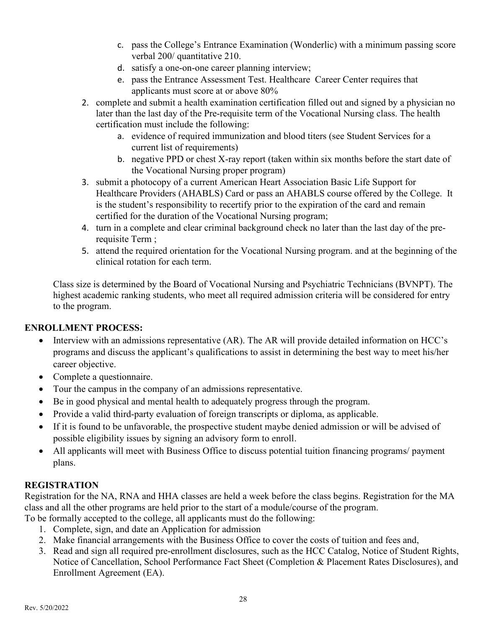- c. pass the College's Entrance Examination (Wonderlic) with a minimum passing score verbal 200/ quantitative 210.
- d. satisfy a one-on-one career planning interview;
- e. pass the Entrance Assessment Test. Healthcare Career Center requires that applicants must score at or above 80%
- 2. complete and submit a health examination certification filled out and signed by a physician no later than the last day of the Pre-requisite term of the Vocational Nursing class. The health certification must include the following:
	- a. evidence of required immunization and blood titers (see Student Services for a current list of requirements)
	- b. negative PPD or chest X-ray report (taken within six months before the start date of the Vocational Nursing proper program)
- 3. submit a photocopy of a current American Heart Association Basic Life Support for Healthcare Providers (AHABLS) Card or pass an AHABLS course offered by the College. It is the student's responsibility to recertify prior to the expiration of the card and remain certified for the duration of the Vocational Nursing program;
- 4. turn in a complete and clear criminal background check no later than the last day of the prerequisite Term ;
- 5. attend the required orientation for the Vocational Nursing program. and at the beginning of the clinical rotation for each term.

Class size is determined by the Board of Vocational Nursing and Psychiatric Technicians (BVNPT). The highest academic ranking students, who meet all required admission criteria will be considered for entry to the program.

# **ENROLLMENT PROCESS:**

- Interview with an admissions representative (AR). The AR will provide detailed information on HCC's programs and discuss the applicant's qualifications to assist in determining the best way to meet his/her career objective.
- Complete a questionnaire.
- Tour the campus in the company of an admissions representative.
- Be in good physical and mental health to adequately progress through the program.
- Provide a valid third-party evaluation of foreign transcripts or diploma, as applicable.
- If it is found to be unfavorable, the prospective student maybe denied admission or will be advised of possible eligibility issues by signing an advisory form to enroll.
- All applicants will meet with Business Office to discuss potential tuition financing programs/payment plans.

#### **REGISTRATION**

Registration for the NA, RNA and HHA classes are held a week before the class begins. Registration for the MA class and all the other programs are held prior to the start of a module/course of the program.

To be formally accepted to the college, all applicants must do the following:

- 1. Complete, sign, and date an Application for admission
- 2. Make financial arrangements with the Business Office to cover the costs of tuition and fees and,
- 3. Read and sign all required pre-enrollment disclosures, such as the HCC Catalog, Notice of Student Rights, Notice of Cancellation, School Performance Fact Sheet (Completion & Placement Rates Disclosures), and Enrollment Agreement (EA).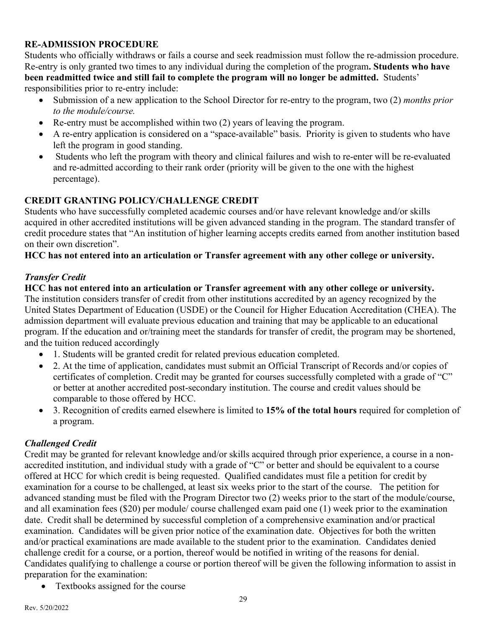#### **RE-ADMISSION PROCEDURE**

Students who officially withdraws or fails a course and seek readmission must follow the re-admission procedure. Re-entry is only granted two times to any individual during the completion of the program**. Students who have been readmitted twice and still fail to complete the program will no longer be admitted.** Students' responsibilities prior to re-entry include:

- Submission of a new application to the School Director for re-entry to the program, two (2) *months prior to the module/course.*
- Re-entry must be accomplished within two (2) years of leaving the program.
- A re-entry application is considered on a "space-available" basis. Priority is given to students who have left the program in good standing.
- Students who left the program with theory and clinical failures and wish to re-enter will be re-evaluated and re-admitted according to their rank order (priority will be given to the one with the highest percentage).

# **CREDIT GRANTING POLICY/CHALLENGE CREDIT**

Students who have successfully completed academic courses and/or have relevant knowledge and/or skills acquired in other accredited institutions will be given advanced standing in the program. The standard transfer of credit procedure states that "An institution of higher learning accepts credits earned from another institution based on their own discretion".

#### **HCC has not entered into an articulation or Transfer agreement with any other college or university.**

#### *Transfer Credit*

**HCC has not entered into an articulation or Transfer agreement with any other college or university.**  The institution considers transfer of credit from other institutions accredited by an agency recognized by the United States Department of Education (USDE) or the Council for Higher Education Accreditation (CHEA). The admission department will evaluate previous education and training that may be applicable to an educational program. If the education and or/training meet the standards for transfer of credit, the program may be shortened, and the tuition reduced accordingly

- 1. Students will be granted credit for related previous education completed.
- 2. At the time of application, candidates must submit an Official Transcript of Records and/or copies of certificates of completion. Credit may be granted for courses successfully completed with a grade of "C" or better at another accredited post-secondary institution. The course and credit values should be comparable to those offered by HCC.
- 3. Recognition of credits earned elsewhere is limited to **15% of the total hours** required for completion of a program.

# *Challenged Credit*

Credit may be granted for relevant knowledge and/or skills acquired through prior experience, a course in a nonaccredited institution, and individual study with a grade of "C" or better and should be equivalent to a course offered at HCC for which credit is being requested. Qualified candidates must file a petition for credit by examination for a course to be challenged, at least six weeks prior to the start of the course. The petition for advanced standing must be filed with the Program Director two (2) weeks prior to the start of the module/course, and all examination fees (\$20) per module/ course challenged exam paid one (1) week prior to the examination date. Credit shall be determined by successful completion of a comprehensive examination and/or practical examination. Candidates will be given prior notice of the examination date. Objectives for both the written and/or practical examinations are made available to the student prior to the examination. Candidates denied challenge credit for a course, or a portion, thereof would be notified in writing of the reasons for denial. Candidates qualifying to challenge a course or portion thereof will be given the following information to assist in preparation for the examination:

• Textbooks assigned for the course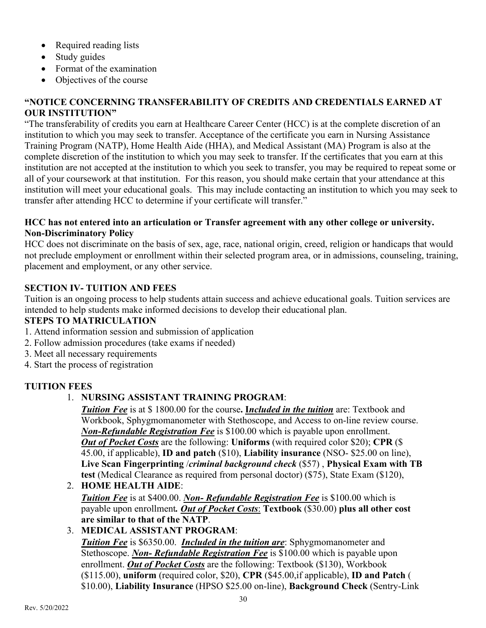- Required reading lists
- Study guides
- Format of the examination
- Objectives of the course

#### **"NOTICE CONCERNING TRANSFERABILITY OF CREDITS AND CREDENTIALS EARNED AT OUR INSTITUTION"**

"The transferability of credits you earn at Healthcare Career Center (HCC) is at the complete discretion of an institution to which you may seek to transfer. Acceptance of the certificate you earn in Nursing Assistance Training Program (NATP), Home Health Aide (HHA), and Medical Assistant (MA) Program is also at the complete discretion of the institution to which you may seek to transfer. If the certificates that you earn at this institution are not accepted at the institution to which you seek to transfer, you may be required to repeat some or all of your coursework at that institution. For this reason, you should make certain that your attendance at this institution will meet your educational goals. This may include contacting an institution to which you may seek to transfer after attending HCC to determine if your certificate will transfer."

#### **HCC has not entered into an articulation or Transfer agreement with any other college or university. Non-Discriminatory Policy**

HCC does not discriminate on the basis of sex, age, race, national origin, creed, religion or handicaps that would not preclude employment or enrollment within their selected program area, or in admissions, counseling, training, placement and employment, or any other service.

# **SECTION IV- TUITION AND FEES**

Tuition is an ongoing process to help students attain success and achieve educational goals. Tuition services are intended to help students make informed decisions to develop their educational plan.

#### **STEPS TO MATRICULATION**

- 1. Attend information session and submission of application
- 2. Follow admission procedures (take exams if needed)
- 3. Meet all necessary requirements
- 4. Start the process of registration

# **TUITION FEES**

# 1. **NURSING ASSISTANT TRAINING PROGRAM**:

*Tuition Fee* is at \$ 1800.00 for the course**. I***ncluded in the tuition* are: Textbook and Workbook, Sphygmomanometer with Stethoscope, and Access to on-line review course. *Non-Refundable Registration Fee* is \$100.00 which is payable upon enrollment. *Out of Pocket Costs* are the following: **Uniforms** (with required color \$20); **CPR** (\$ 45.00, if applicable), **ID and patch** (\$10), **Liability insurance** (NSO- \$25.00 on line), **Live Scan Fingerprinting** /*criminal background check* (\$57) , **Physical Exam with TB test** (Medical Clearance as required from personal doctor) (\$75), State Exam (\$120),

#### 2. **HOME HEALTH AIDE**: *Tuition Fee* is at \$400.00. *Non- Refundable Registration Fee* is \$100.00 which is payable upon enrollment*. Out of Pocket Costs*: **Textbook** (\$30.00) **plus all other cost are similar to that of the NATP**.

# 3. **MEDICAL ASSISTANT PROGRAM**:

*Tuition Fee* is \$6350.00. *Included in the tuition are*: Sphygmomanometer and Stethoscope. *Non- Refundable Registration Fee* is \$100.00 which is payable upon enrollment. *Out of Pocket Costs* are the following: Textbook (\$130), Workbook (\$115.00), **uniform** (required color, \$20), **CPR** (\$45.00,if applicable), **ID and Patch** ( \$10.00), **Liability Insurance** (HPSO \$25.00 on-line), **Background Check** (Sentry-Link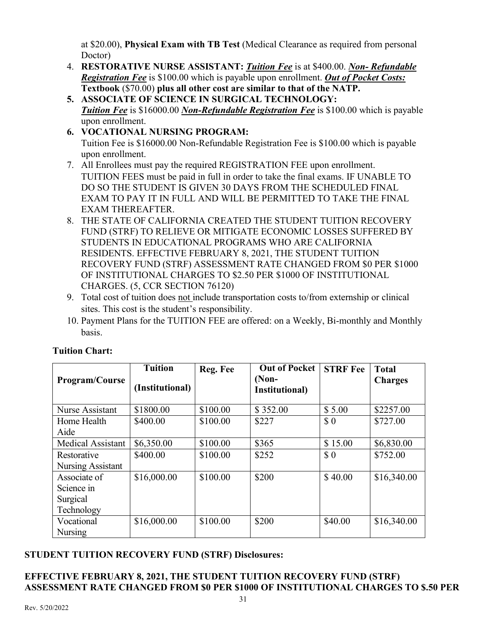at \$20.00), **Physical Exam with TB Test** (Medical Clearance as required from personal Doctor)

- 4. **RESTORATIVE NURSE ASSISTANT:** *Tuition Fee* is at \$400.00. *Non- Refundable Registration Fee* is \$100.00 which is payable upon enrollment. *Out of Pocket Costs:* **Textbook** (\$70.00) **plus all other cost are similar to that of the NATP.**
- **5. ASSOCIATE OF SCIENCE IN SURGICAL TECHNOLOGY:** *Tuition Fee* is \$16000.00 *Non-Refundable Registration Fee* is \$100.00 which is payable upon enrollment.
- **6. VOCATIONAL NURSING PROGRAM:**  Tuition Fee is \$16000.00 Non-Refundable Registration Fee is \$100.00 which is payable upon enrollment.
- 7. All Enrollees must pay the required REGISTRATION FEE upon enrollment. TUITION FEES must be paid in full in order to take the final exams. IF UNABLE TO DO SO THE STUDENT IS GIVEN 30 DAYS FROM THE SCHEDULED FINAL EXAM TO PAY IT IN FULL AND WILL BE PERMITTED TO TAKE THE FINAL EXAM THEREAFTER.
- 8. THE STATE OF CALIFORNIA CREATED THE STUDENT TUITION RECOVERY FUND (STRF) TO RELIEVE OR MITIGATE ECONOMIC LOSSES SUFFERED BY STUDENTS IN EDUCATIONAL PROGRAMS WHO ARE CALIFORNIA RESIDENTS. EFFECTIVE FEBRUARY 8, 2021, THE STUDENT TUITION RECOVERY FUND (STRF) ASSESSMENT RATE CHANGED FROM \$0 PER \$1000 OF INSTITUTIONAL CHARGES TO \$2.50 PER \$1000 OF INSTITUTIONAL CHARGES. (5, CCR SECTION 76120)
- 9. Total cost of tuition does not include transportation costs to/from externship or clinical sites. This cost is the student's responsibility.
- 10. Payment Plans for the TUITION FEE are offered: on a Weekly, Bi-monthly and Monthly basis.

|                          | <b>Tuition</b>  | Reg. Fee | <b>Out of Pocket</b> | <b>STRF Fee</b> | <b>Total</b>   |
|--------------------------|-----------------|----------|----------------------|-----------------|----------------|
| Program/Course           |                 |          | $(Non-$              |                 | <b>Charges</b> |
|                          | (Institutional) |          | Institutional)       |                 |                |
| Nurse Assistant          | \$1800.00       | \$100.00 | \$352.00             | \$5.00          | \$2257.00      |
| Home Health              | \$400.00        | \$100.00 | \$227                | $\Omega$        | \$727.00       |
| Aide                     |                 |          |                      |                 |                |
| <b>Medical Assistant</b> | \$6,350.00      | \$100.00 | \$365                | \$15.00         | \$6,830.00     |
| Restorative              | \$400.00        | \$100.00 | \$252                | $\Omega$        | \$752.00       |
| Nursing Assistant        |                 |          |                      |                 |                |
| Associate of             | \$16,000.00     | \$100.00 | \$200                | \$40.00         | \$16,340.00    |
| Science in               |                 |          |                      |                 |                |
| Surgical                 |                 |          |                      |                 |                |
| Technology               |                 |          |                      |                 |                |
| Vocational               | \$16,000.00     | \$100.00 | \$200                | \$40.00         | \$16,340.00    |
| <b>Nursing</b>           |                 |          |                      |                 |                |

# **Tuition Chart:**

# **STUDENT TUITION RECOVERY FUND (STRF) Disclosures:**

#### **EFFECTIVE FEBRUARY 8, 2021, THE STUDENT TUITION RECOVERY FUND (STRF) ASSESSMENT RATE CHANGED FROM \$0 PER \$1000 OF INSTITUTIONAL CHARGES TO \$.50 PER**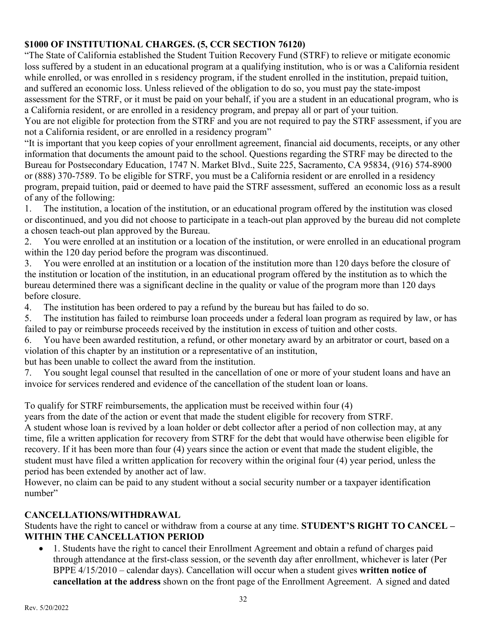# **\$1000 OF INSTITUTIONAL CHARGES. (5, CCR SECTION 76120)**

"The State of California established the Student Tuition Recovery Fund (STRF) to relieve or mitigate economic loss suffered by a student in an educational program at a qualifying institution, who is or was a California resident while enrolled, or was enrolled in s residency program, if the student enrolled in the institution, prepaid tuition, and suffered an economic loss. Unless relieved of the obligation to do so, you must pay the state-impost assessment for the STRF, or it must be paid on your behalf, if you are a student in an educational program, who is a California resident, or are enrolled in a residency program, and prepay all or part of your tuition.

You are not eligible for protection from the STRF and you are not required to pay the STRF assessment, if you are not a California resident, or are enrolled in a residency program"

"It is important that you keep copies of your enrollment agreement, financial aid documents, receipts, or any other information that documents the amount paid to the school. Questions regarding the STRF may be directed to the Bureau for Postsecondary Education, 1747 N. Market Blvd., Suite 225, Sacramento, CA 95834, (916) 574-8900 or (888) 370-7589. To be eligible for STRF, you must be a California resident or are enrolled in a residency program, prepaid tuition, paid or deemed to have paid the STRF assessment, suffered an economic loss as a result of any of the following:

1. The institution, a location of the institution, or an educational program offered by the institution was closed or discontinued, and you did not choose to participate in a teach-out plan approved by the bureau did not complete a chosen teach-out plan approved by the Bureau.

2. You were enrolled at an institution or a location of the institution, or were enrolled in an educational program within the 120 day period before the program was discontinued.

3. You were enrolled at an institution or a location of the institution more than 120 days before the closure of the institution or location of the institution, in an educational program offered by the institution as to which the bureau determined there was a significant decline in the quality or value of the program more than 120 days before closure.

4. The institution has been ordered to pay a refund by the bureau but has failed to do so.

5. The institution has failed to reimburse loan proceeds under a federal loan program as required by law, or has failed to pay or reimburse proceeds received by the institution in excess of tuition and other costs.

6. You have been awarded restitution, a refund, or other monetary award by an arbitrator or court, based on a violation of this chapter by an institution or a representative of an institution,

but has been unable to collect the award from the institution.

7. You sought legal counsel that resulted in the cancellation of one or more of your student loans and have an invoice for services rendered and evidence of the cancellation of the student loan or loans.

To qualify for STRF reimbursements, the application must be received within four (4)

years from the date of the action or event that made the student eligible for recovery from STRF.

A student whose loan is revived by a loan holder or debt collector after a period of non collection may, at any time, file a written application for recovery from STRF for the debt that would have otherwise been eligible for recovery. If it has been more than four (4) years since the action or event that made the student eligible, the student must have filed a written application for recovery within the original four (4) year period, unless the period has been extended by another act of law.

However, no claim can be paid to any student without a social security number or a taxpayer identification number"

# **CANCELLATIONS/WITHDRAWAL**

Students have the right to cancel or withdraw from a course at any time. **STUDENT'S RIGHT TO CANCEL – WITHIN THE CANCELLATION PERIOD** 

• 1. Students have the right to cancel their Enrollment Agreement and obtain a refund of charges paid through attendance at the first-class session, or the seventh day after enrollment, whichever is later (Per BPPE 4/15/2010 – calendar days). Cancellation will occur when a student gives **written notice of cancellation at the address** shown on the front page of the Enrollment Agreement. A signed and dated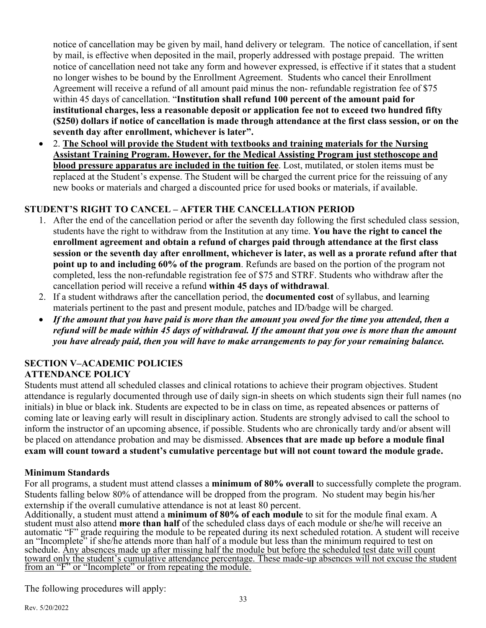notice of cancellation may be given by mail, hand delivery or telegram. The notice of cancellation, if sent by mail, is effective when deposited in the mail, properly addressed with postage prepaid. The written notice of cancellation need not take any form and however expressed, is effective if it states that a student no longer wishes to be bound by the Enrollment Agreement. Students who cancel their Enrollment Agreement will receive a refund of all amount paid minus the non- refundable registration fee of \$75 within 45 days of cancellation. "**Institution shall refund 100 percent of the amount paid for institutional charges, less a reasonable deposit or application fee not to exceed two hundred fifty (\$250) dollars if notice of cancellation is made through attendance at the first class session, or on the seventh day after enrollment, whichever is later".**

• 2. **The School will provide the Student with textbooks and training materials for the Nursing Assistant Training Program. However, for the Medical Assisting Program just stethoscope and blood pressure apparatus are included in the tuition fee**. Lost, mutilated, or stolen items must be replaced at the Student's expense. The Student will be charged the current price for the reissuing of any new books or materials and charged a discounted price for used books or materials, if available.

# **STUDENT'S RIGHT TO CANCEL – AFTER THE CANCELLATION PERIOD**

- 1. After the end of the cancellation period or after the seventh day following the first scheduled class session, students have the right to withdraw from the Institution at any time. **You have the right to cancel the enrollment agreement and obtain a refund of charges paid through attendance at the first class session or the seventh day after enrollment, whichever is later, as well as a prorate refund after that point up to and including 60% of the program**. Refunds are based on the portion of the program not completed, less the non-refundable registration fee of \$75 and STRF. Students who withdraw after the cancellation period will receive a refund **within 45 days of withdrawal**.
- 2. If a student withdraws after the cancellation period, the **documented cost** of syllabus, and learning materials pertinent to the past and present module, patches and ID/badge will be charged.
- *If the amount that you have paid is more than the amount you owed for the time you attended, then a refund will be made within 45 days of withdrawal. If the amount that you owe is more than the amount you have already paid, then you will have to make arrangements to pay for your remaining balance.*

#### **SECTION V–ACADEMIC POLICIES ATTENDANCE POLICY**

Students must attend all scheduled classes and clinical rotations to achieve their program objectives. Student attendance is regularly documented through use of daily sign-in sheets on which students sign their full names (no initials) in blue or black ink. Students are expected to be in class on time, as repeated absences or patterns of coming late or leaving early will result in disciplinary action. Students are strongly advised to call the school to inform the instructor of an upcoming absence, if possible. Students who are chronically tardy and/or absent will be placed on attendance probation and may be dismissed. **Absences that are made up before a module final exam will count toward a student's cumulative percentage but will not count toward the module grade.** 

# **Minimum Standards**

For all programs, a student must attend classes a **minimum of 80% overall** to successfully complete the program. Students falling below 80% of attendance will be dropped from the program. No student may begin his/her externship if the overall cumulative attendance is not at least 80 percent.

Additionally, a student must attend a **minimum of 80% of each module** to sit for the module final exam. A student must also attend **more than half** of the scheduled class days of each module or she/he will receive an automatic "F" grade requiring the module to be repeated during its next scheduled rotation. A student will receive an "Incomplete" if she/he attends more than half of a module but less than the minimum required to test on schedule. Any absences made up after missing half the module but before the scheduled test date will count toward only the student's cumulative attendance percentage. These made-up absences will not excuse the student from an "F" or "Incomplete" or from repeating the module.

The following procedures will apply: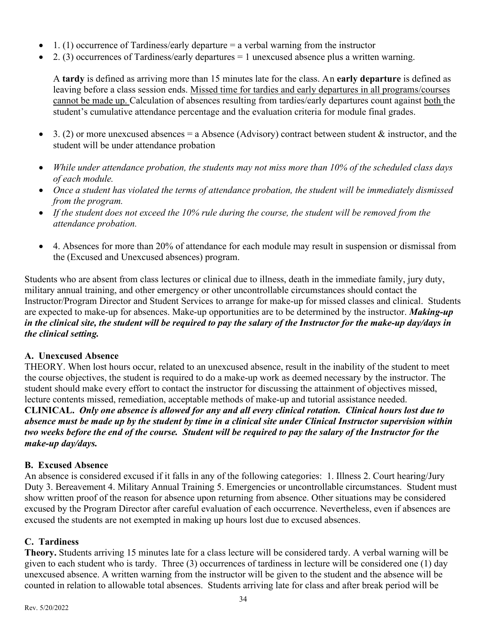- 1. (1) occurrence of Tardiness/early departure  $=$  a verbal warning from the instructor
- 2. (3) occurrences of Tardiness/early departures  $= 1$  unexcused absence plus a written warning.

A **tardy** is defined as arriving more than 15 minutes late for the class. An **early departure** is defined as leaving before a class session ends. Missed time for tardies and early departures in all programs/courses cannot be made up. Calculation of absences resulting from tardies/early departures count against both the student's cumulative attendance percentage and the evaluation criteria for module final grades.

- 3. (2) or more unexcused absences = a Absence (Advisory) contract between student  $\&$  instructor, and the student will be under attendance probation
- *While under attendance probation, the students may not miss more than 10% of the scheduled class days of each module.*
- *Once a student has violated the terms of attendance probation, the student will be immediately dismissed from the program.*
- *If the student does not exceed the 10% rule during the course, the student will be removed from the attendance probation.*
- 4. Absences for more than 20% of attendance for each module may result in suspension or dismissal from the (Excused and Unexcused absences) program.

Students who are absent from class lectures or clinical due to illness, death in the immediate family, jury duty, military annual training, and other emergency or other uncontrollable circumstances should contact the Instructor/Program Director and Student Services to arrange for make-up for missed classes and clinical. Students are expected to make-up for absences. Make-up opportunities are to be determined by the instructor. *Making-up in the clinical site, the student will be required to pay the salary of the Instructor for the make-up day/days in the clinical setting.*

# **A. Unexcused Absence**

THEORY. When lost hours occur, related to an unexcused absence, result in the inability of the student to meet the course objectives, the student is required to do a make-up work as deemed necessary by the instructor. The student should make every effort to contact the instructor for discussing the attainment of objectives missed, lecture contents missed, remediation, acceptable methods of make-up and tutorial assistance needed.

**CLINICAL.** *Only one absence is allowed for any and all every clinical rotation. Clinical hours lost due to absence must be made up by the student by time in a clinical site under Clinical Instructor supervision within two weeks before the end of the course. Student will be required to pay the salary of the Instructor for the make-up day/days.*

# **B. Excused Absence**

An absence is considered excused if it falls in any of the following categories: 1. Illness 2. Court hearing/Jury Duty 3. Bereavement 4. Military Annual Training 5. Emergencies or uncontrollable circumstances. Student must show written proof of the reason for absence upon returning from absence. Other situations may be considered excused by the Program Director after careful evaluation of each occurrence. Nevertheless, even if absences are excused the students are not exempted in making up hours lost due to excused absences.

#### **C. Tardiness**

**Theory.** Students arriving 15 minutes late for a class lecture will be considered tardy. A verbal warning will be given to each student who is tardy. Three (3) occurrences of tardiness in lecture will be considered one (1) day unexcused absence. A written warning from the instructor will be given to the student and the absence will be counted in relation to allowable total absences. Students arriving late for class and after break period will be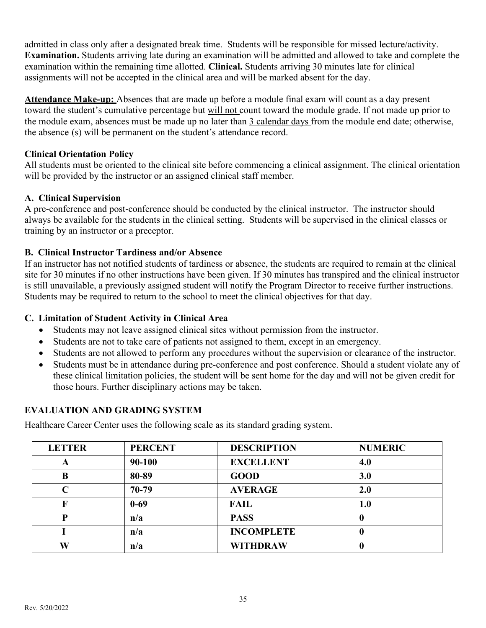admitted in class only after a designated break time. Students will be responsible for missed lecture/activity. **Examination.** Students arriving late during an examination will be admitted and allowed to take and complete the examination within the remaining time allotted. **Clinical.** Students arriving 30 minutes late for clinical assignments will not be accepted in the clinical area and will be marked absent for the day.

**Attendance Make-up:** Absences that are made up before a module final exam will count as a day present toward the student's cumulative percentage but will not count toward the module grade. If not made up prior to the module exam, absences must be made up no later than 3 calendar days from the module end date; otherwise, the absence (s) will be permanent on the student's attendance record.

#### **Clinical Orientation Policy**

All students must be oriented to the clinical site before commencing a clinical assignment. The clinical orientation will be provided by the instructor or an assigned clinical staff member.

#### **A. Clinical Supervision**

A pre-conference and post-conference should be conducted by the clinical instructor. The instructor should always be available for the students in the clinical setting. Students will be supervised in the clinical classes or training by an instructor or a preceptor.

# **B. Clinical Instructor Tardiness and/or Absence**

If an instructor has not notified students of tardiness or absence, the students are required to remain at the clinical site for 30 minutes if no other instructions have been given. If 30 minutes has transpired and the clinical instructor is still unavailable, a previously assigned student will notify the Program Director to receive further instructions. Students may be required to return to the school to meet the clinical objectives for that day.

#### **C. Limitation of Student Activity in Clinical Area**

- Students may not leave assigned clinical sites without permission from the instructor.
- Students are not to take care of patients not assigned to them, except in an emergency.
- Students are not allowed to perform any procedures without the supervision or clearance of the instructor.
- Students must be in attendance during pre-conference and post conference. Should a student violate any of these clinical limitation policies, the student will be sent home for the day and will not be given credit for those hours. Further disciplinary actions may be taken.

# **EVALUATION AND GRADING SYSTEM**

Healthcare Career Center uses the following scale as its standard grading system.

| <b>LETTER</b> | <b>PERCENT</b> | <b>DESCRIPTION</b> | <b>NUMERIC</b> |
|---------------|----------------|--------------------|----------------|
| A             | 90-100         | <b>EXCELLENT</b>   | 4.0            |
| B             | 80-89          | <b>GOOD</b>        | 3.0            |
| C             | 70-79          | <b>AVERAGE</b>     | 2.0            |
|               | $0 - 69$       | <b>FAIL</b>        | $1.0\,$        |
| P             | n/a            | <b>PASS</b>        | U              |
|               | n/a            | <b>INCOMPLETE</b>  | U              |
| W             | n/a            | <b>WITHDRAW</b>    | o              |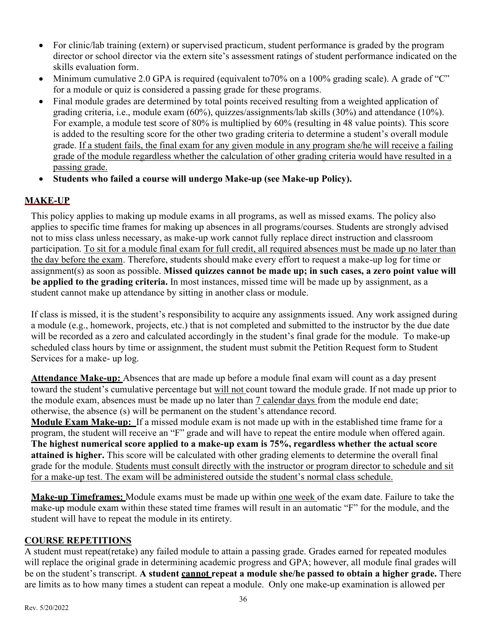- For clinic/lab training (extern) or supervised practicum, student performance is graded by the program director or school director via the extern site's assessment ratings of student performance indicated on the skills evaluation form.
- Minimum cumulative 2.0 GPA is required (equivalent to 70% on a 100% grading scale). A grade of "C" for a module or quiz is considered a passing grade for these programs.
- Final module grades are determined by total points received resulting from a weighted application of grading criteria, i.e., module exam (60%), quizzes/assignments/lab skills (30%) and attendance (10%). For example, a module test score of 80% is multiplied by 60% (resulting in 48 value points). This score is added to the resulting score for the other two grading criteria to determine a student's overall module grade. If a student fails, the final exam for any given module in any program she/he will receive a failing grade of the module regardless whether the calculation of other grading criteria would have resulted in a passing grade.
- **Students who failed a course will undergo Make-up (see Make-up Policy).**

# **MAKE-UP**

This policy applies to making up module exams in all programs, as well as missed exams. The policy also applies to specific time frames for making up absences in all programs/courses. Students are strongly advised not to miss class unless necessary, as make-up work cannot fully replace direct instruction and classroom participation. To sit for a module final exam for full credit, all required absences must be made up no later than the day before the exam. Therefore, students should make every effort to request a make-up log for time or assignment(s) as soon as possible. **Missed quizzes cannot be made up; in such cases, a zero point value will be applied to the grading criteria.** In most instances, missed time will be made up by assignment, as a student cannot make up attendance by sitting in another class or module.

If class is missed, it is the student's responsibility to acquire any assignments issued. Any work assigned during a module (e.g., homework, projects, etc.) that is not completed and submitted to the instructor by the due date will be recorded as a zero and calculated accordingly in the student's final grade for the module. To make-up scheduled class hours by time or assignment, the student must submit the Petition Request form to Student Services for a make- up log.

**Attendance Make-up:** Absences that are made up before a module final exam will count as a day present toward the student's cumulative percentage but will not count toward the module grade. If not made up prior to the module exam, absences must be made up no later than 7 calendar days from the module end date; otherwise, the absence (s) will be permanent on the student's attendance record.

**Module Exam Make-up:** If a missed module exam is not made up with in the established time frame for a program, the student will receive an "F" grade and will have to repeat the entire module when offered again. **The highest numerical score applied to a make-up exam is 75%, regardless whether the actual score attained is higher.** This score will be calculated with other grading elements to determine the overall final grade for the module. Students must consult directly with the instructor or program director to schedule and sit for a make-up test. The exam will be administered outside the student's normal class schedule.

**Make-up Timeframes:** Module exams must be made up within one week of the exam date. Failure to take the make-up module exam within these stated time frames will result in an automatic "F" for the module, and the student will have to repeat the module in its entirety.

#### **COURSE REPETITIONS**

A student must repeat(retake) any failed module to attain a passing grade. Grades earned for repeated modules will replace the original grade in determining academic progress and GPA; however, all module final grades will be on the student's transcript. **A student cannot repeat a module she/he passed to obtain a higher grade.** There are limits as to how many times a student can repeat a module. Only one make-up examination is allowed per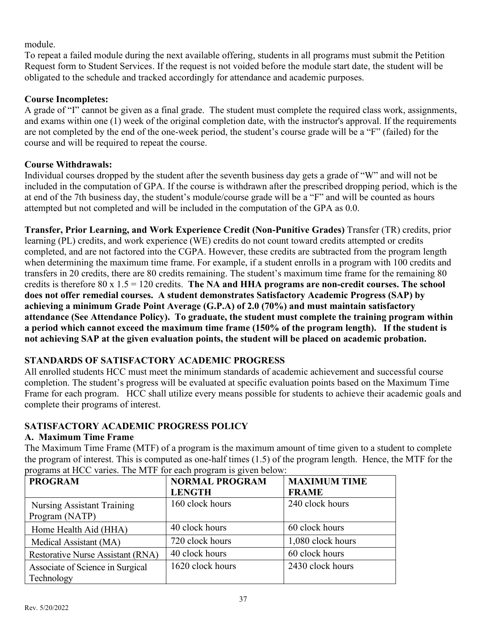module.

To repeat a failed module during the next available offering, students in all programs must submit the Petition Request form to Student Services. If the request is not voided before the module start date, the student will be obligated to the schedule and tracked accordingly for attendance and academic purposes.

# **Course Incompletes:**

A grade of "I" cannot be given as a final grade. The student must complete the required class work, assignments, and exams within one (1) week of the original completion date, with the instructor's approval. If the requirements are not completed by the end of the one-week period, the student's course grade will be a "F" (failed) for the course and will be required to repeat the course.

# **Course Withdrawals:**

Individual courses dropped by the student after the seventh business day gets a grade of "W" and will not be included in the computation of GPA. If the course is withdrawn after the prescribed dropping period, which is the at end of the 7th business day, the student's module/course grade will be a "F" and will be counted as hours attempted but not completed and will be included in the computation of the GPA as 0.0.

**Transfer, Prior Learning, and Work Experience Credit (Non-Punitive Grades)** Transfer (TR) credits, prior learning (PL) credits, and work experience (WE) credits do not count toward credits attempted or credits completed, and are not factored into the CGPA. However, these credits are subtracted from the program length when determining the maximum time frame. For example, if a student enrolls in a program with 100 credits and transfers in 20 credits, there are 80 credits remaining. The student's maximum time frame for the remaining 80 credits is therefore 80 x 1.5 = 120 credits. **The NA and HHA programs are non-credit courses. The school does not offer remedial courses. A student demonstrates Satisfactory Academic Progress (SAP) by achieving a minimum Grade Point Average (G.P.A) of 2.0 (70%) and must maintain satisfactory attendance (See Attendance Policy). To graduate, the student must complete the training program within a period which cannot exceed the maximum time frame (150% of the program length). If the student is not achieving SAP at the given evaluation points, the student will be placed on academic probation.** 

# **STANDARDS OF SATISFACTORY ACADEMIC PROGRESS**

All enrolled students HCC must meet the minimum standards of academic achievement and successful course completion. The student's progress will be evaluated at specific evaluation points based on the Maximum Time Frame for each program. HCC shall utilize every means possible for students to achieve their academic goals and complete their programs of interest.

# **SATISFACTORY ACADEMIC PROGRESS POLICY**

# **A. Maximum Time Frame**

The Maximum Time Frame (MTF) of a program is the maximum amount of time given to a student to complete the program of interest. This is computed as one-half times (1.5) of the program length. Hence, the MTF for the programs at HCC varies. The MTF for each program is given below:

| <b>PROGRAM</b>                           | <b>NORMAL PROGRAM</b> | <b>MAXIMUM TIME</b> |
|------------------------------------------|-----------------------|---------------------|
|                                          | <b>LENGTH</b>         | <b>FRAME</b>        |
| <b>Nursing Assistant Training</b>        | 160 clock hours       | 240 clock hours     |
| Program (NATP)                           |                       |                     |
| Home Health Aid (HHA)                    | 40 clock hours        | 60 clock hours      |
| Medical Assistant (MA)                   | 720 clock hours       | 1,080 clock hours   |
| <b>Restorative Nurse Assistant (RNA)</b> | 40 clock hours        | 60 clock hours      |
| Associate of Science in Surgical         | 1620 clock hours      | 2430 clock hours    |
| Technology                               |                       |                     |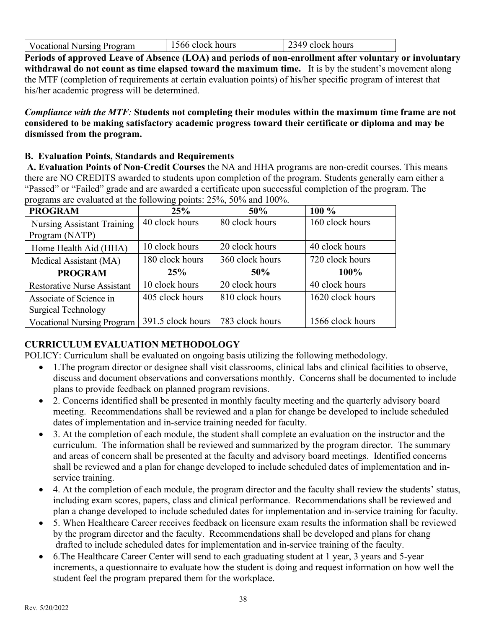| 2349 clock hours<br>1566 clock hours<br>Vocational Nursing Program |
|--------------------------------------------------------------------|
|--------------------------------------------------------------------|

**Periods of approved Leave of Absence (LOA) and periods of non-enrollment after voluntary or involuntary withdrawal do not count as time elapsed toward the maximum time.** It is by the student's movement along the MTF (completion of requirements at certain evaluation points) of his/her specific program of interest that his/her academic progress will be determined.

*Compliance with the MTF:* **Students not completing their modules within the maximum time frame are not considered to be making satisfactory academic progress toward their certificate or diploma and may be dismissed from the program.** 

#### **B. Evaluation Points, Standards and Requirements**

**A. Evaluation Points of Non-Credit Courses** the NA and HHA programs are non-credit courses. This means there are NO CREDITS awarded to students upon completion of the program. Students generally earn either a "Passed" or "Failed" grade and are awarded a certificate upon successful completion of the program. The programs are evaluated at the following points: 25%, 50% and 100%.

| <b>PROGRAM</b>                     | 25%               | 50%             | $100\%$          |
|------------------------------------|-------------------|-----------------|------------------|
| <b>Nursing Assistant Training</b>  | 40 clock hours    | 80 clock hours  | 160 clock hours  |
| Program (NATP)                     |                   |                 |                  |
| Home Health Aid (HHA)              | 10 clock hours    | 20 clock hours  | 40 clock hours   |
| Medical Assistant (MA)             | 180 clock hours   | 360 clock hours | 720 clock hours  |
| <b>PROGRAM</b>                     | 25%               | 50%             | 100%             |
| <b>Restorative Nurse Assistant</b> | 10 clock hours    | 20 clock hours  | 40 clock hours   |
| Associate of Science in            | 405 clock hours   | 810 clock hours | 1620 clock hours |
| <b>Surgical Technology</b>         |                   |                 |                  |
| <b>Vocational Nursing Program</b>  | 391.5 clock hours | 783 clock hours | 1566 clock hours |

# **CURRICULUM EVALUATION METHODOLOGY**

POLICY: Curriculum shall be evaluated on ongoing basis utilizing the following methodology.

- 1.The program director or designee shall visit classrooms, clinical labs and clinical facilities to observe, discuss and document observations and conversations monthly. Concerns shall be documented to include plans to provide feedback on planned program revisions.
- 2. Concerns identified shall be presented in monthly faculty meeting and the quarterly advisory board meeting. Recommendations shall be reviewed and a plan for change be developed to include scheduled dates of implementation and in-service training needed for faculty.
- 3. At the completion of each module, the student shall complete an evaluation on the instructor and the curriculum. The information shall be reviewed and summarized by the program director. The summary and areas of concern shall be presented at the faculty and advisory board meetings. Identified concerns shall be reviewed and a plan for change developed to include scheduled dates of implementation and inservice training.
- 4. At the completion of each module, the program director and the faculty shall review the students' status, including exam scores, papers, class and clinical performance. Recommendations shall be reviewed and plan a change developed to include scheduled dates for implementation and in-service training for faculty.
- 5. When Healthcare Career receives feedback on licensure exam results the information shall be reviewed by the program director and the faculty. Recommendations shall be developed and plans for chang drafted to include scheduled dates for implementation and in-service training of the faculty.
- 6. The Healthcare Career Center will send to each graduating student at 1 year, 3 years and 5-year increments, a questionnaire to evaluate how the student is doing and request information on how well the student feel the program prepared them for the workplace.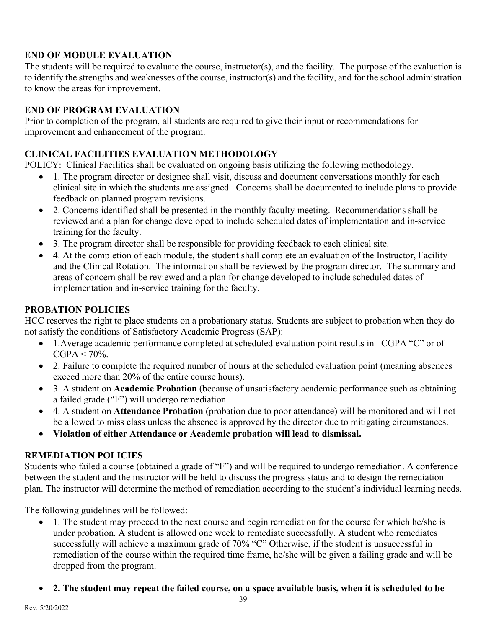# **END OF MODULE EVALUATION**

The students will be required to evaluate the course, instructor(s), and the facility. The purpose of the evaluation is to identify the strengths and weaknesses of the course, instructor(s) and the facility, and for the school administration to know the areas for improvement.

#### **END OF PROGRAM EVALUATION**

Prior to completion of the program, all students are required to give their input or recommendations for improvement and enhancement of the program.

# **CLINICAL FACILITIES EVALUATION METHODOLOGY**

POLICY: Clinical Facilities shall be evaluated on ongoing basis utilizing the following methodology.

- 1. The program director or designee shall visit, discuss and document conversations monthly for each clinical site in which the students are assigned. Concerns shall be documented to include plans to provide feedback on planned program revisions.
- 2. Concerns identified shall be presented in the monthly faculty meeting. Recommendations shall be reviewed and a plan for change developed to include scheduled dates of implementation and in-service training for the faculty.
- 3. The program director shall be responsible for providing feedback to each clinical site.
- 4. At the completion of each module, the student shall complete an evaluation of the Instructor, Facility and the Clinical Rotation. The information shall be reviewed by the program director. The summary and areas of concern shall be reviewed and a plan for change developed to include scheduled dates of implementation and in-service training for the faculty.

# **PROBATION POLICIES**

HCC reserves the right to place students on a probationary status. Students are subject to probation when they do not satisfy the conditions of Satisfactory Academic Progress (SAP):

- 1. Average academic performance completed at scheduled evaluation point results in CGPA "C" or of  $CGPA < 70\%$ .
- 2. Failure to complete the required number of hours at the scheduled evaluation point (meaning absences exceed more than 20% of the entire course hours).
- 3. A student on **Academic Probation** (because of unsatisfactory academic performance such as obtaining a failed grade ("F") will undergo remediation.
- 4. A student on **Attendance Probation** (probation due to poor attendance) will be monitored and will not be allowed to miss class unless the absence is approved by the director due to mitigating circumstances.
- **Violation of either Attendance or Academic probation will lead to dismissal.**

# **REMEDIATION POLICIES**

Students who failed a course (obtained a grade of "F") and will be required to undergo remediation. A conference between the student and the instructor will be held to discuss the progress status and to design the remediation plan. The instructor will determine the method of remediation according to the student's individual learning needs.

The following guidelines will be followed:

- 1. The student may proceed to the next course and begin remediation for the course for which he/she is under probation. A student is allowed one week to remediate successfully. A student who remediates successfully will achieve a maximum grade of 70% "C" Otherwise, if the student is unsuccessful in remediation of the course within the required time frame, he/she will be given a failing grade and will be dropped from the program.
- **2. The student may repeat the failed course, on a space available basis, when it is scheduled to be**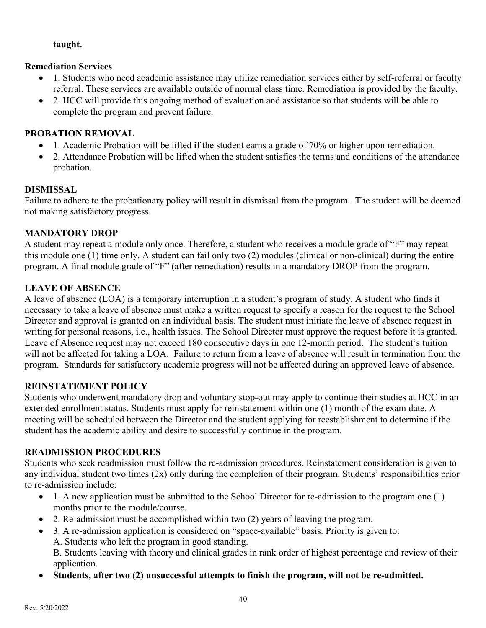#### **taught.**

#### **Remediation Services**

- 1. Students who need academic assistance may utilize remediation services either by self-referral or faculty referral. These services are available outside of normal class time. Remediation is provided by the faculty.
- 2. HCC will provide this ongoing method of evaluation and assistance so that students will be able to complete the program and prevent failure.

#### **PROBATION REMOVAL**

- 1. Academic Probation will be lifted **i**f the student earns a grade of 70% or higher upon remediation.
- 2. Attendance Probation will be lifted when the student satisfies the terms and conditions of the attendance probation.

#### **DISMISSAL**

Failure to adhere to the probationary policy will result in dismissal from the program. The student will be deemed not making satisfactory progress.

#### **MANDATORY DROP**

A student may repeat a module only once. Therefore, a student who receives a module grade of "F" may repeat this module one (1) time only. A student can fail only two (2) modules (clinical or non-clinical) during the entire program. A final module grade of "F" (after remediation) results in a mandatory DROP from the program.

#### **LEAVE OF ABSENCE**

A leave of absence (LOA) is a temporary interruption in a student's program of study. A student who finds it necessary to take a leave of absence must make a written request to specify a reason for the request to the School Director and approval is granted on an individual basis. The student must initiate the leave of absence request in writing for personal reasons, i.e., health issues. The School Director must approve the request before it is granted. Leave of Absence request may not exceed 180 consecutive days in one 12-month period. The student's tuition will not be affected for taking a LOA. Failure to return from a leave of absence will result in termination from the program. Standards for satisfactory academic progress will not be affected during an approved leave of absence.

#### **REINSTATEMENT POLICY**

Students who underwent mandatory drop and voluntary stop-out may apply to continue their studies at HCC in an extended enrollment status. Students must apply for reinstatement within one (1) month of the exam date. A meeting will be scheduled between the Director and the student applying for reestablishment to determine if the student has the academic ability and desire to successfully continue in the program.

#### **READMISSION PROCEDURES**

Students who seek readmission must follow the re-admission procedures. Reinstatement consideration is given to any individual student two times (2x) only during the completion of their program. Students' responsibilities prior to re-admission include:

- 1. A new application must be submitted to the School Director for re-admission to the program one (1) months prior to the module/course.
- 2. Re-admission must be accomplished within two (2) years of leaving the program.
- 3. A re-admission application is considered on "space-available" basis. Priority is given to: A. Students who left the program in good standing. B. Students leaving with theory and clinical grades in rank order of highest percentage and review of their

application.

• **Students, after two (2) unsuccessful attempts to finish the program, will not be re-admitted.**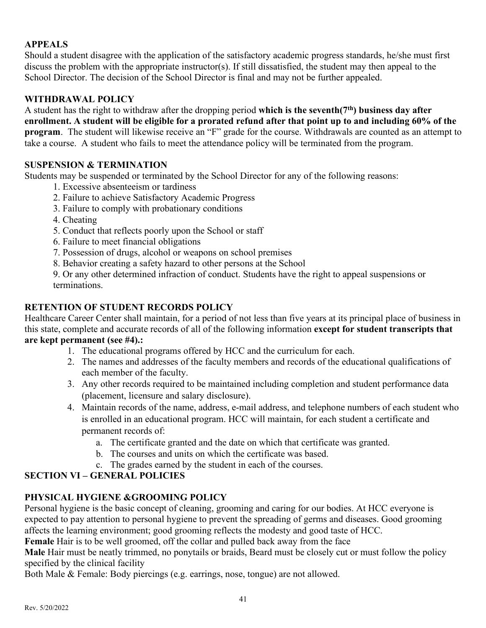# **APPEALS**

Should a student disagree with the application of the satisfactory academic progress standards, he/she must first discuss the problem with the appropriate instructor(s). If still dissatisfied, the student may then appeal to the School Director. The decision of the School Director is final and may not be further appealed.

#### **WITHDRAWAL POLICY**

A student has the right to withdraw after the dropping period **which is the seventh(7th) business day after enrollment. A student will be eligible for a prorated refund after that point up to and including 60% of the program**. The student will likewise receive an "F" grade for the course. Withdrawals are counted as an attempt to take a course. A student who fails to meet the attendance policy will be terminated from the program.

#### **SUSPENSION & TERMINATION**

Students may be suspended or terminated by the School Director for any of the following reasons:

- 1. Excessive absenteeism or tardiness
- 2. Failure to achieve Satisfactory Academic Progress
- 3. Failure to comply with probationary conditions
- 4. Cheating
- 5. Conduct that reflects poorly upon the School or staff
- 6. Failure to meet financial obligations
- 7. Possession of drugs, alcohol or weapons on school premises
- 8. Behavior creating a safety hazard to other persons at the School

9. Or any other determined infraction of conduct. Students have the right to appeal suspensions or terminations.

#### **RETENTION OF STUDENT RECORDS POLICY**

Healthcare Career Center shall maintain, for a period of not less than five years at its principal place of business in this state, complete and accurate records of all of the following information **except for student transcripts that are kept permanent (see #4).:**

- 1. The educational programs offered by HCC and the curriculum for each.
- 2. The names and addresses of the faculty members and records of the educational qualifications of each member of the faculty.
- 3. Any other records required to be maintained including completion and student performance data (placement, licensure and salary disclosure).
- 4. Maintain records of the name, address, e-mail address, and telephone numbers of each student who is enrolled in an educational program. HCC will maintain, for each student a certificate and permanent records of:
	- a. The certificate granted and the date on which that certificate was granted.
	- b. The courses and units on which the certificate was based.
	- c. The grades earned by the student in each of the courses.

# **SECTION VI – GENERAL POLICIES**

# **PHYSICAL HYGIENE &GROOMING POLICY**

Personal hygiene is the basic concept of cleaning, grooming and caring for our bodies. At HCC everyone is expected to pay attention to personal hygiene to prevent the spreading of germs and diseases. Good grooming affects the learning environment; good grooming reflects the modesty and good taste of HCC.

**Female** Hair is to be well groomed, off the collar and pulled back away from the face

**Male** Hair must be neatly trimmed, no ponytails or braids, Beard must be closely cut or must follow the policy specified by the clinical facility

Both Male & Female: Body piercings (e.g. earrings, nose, tongue) are not allowed.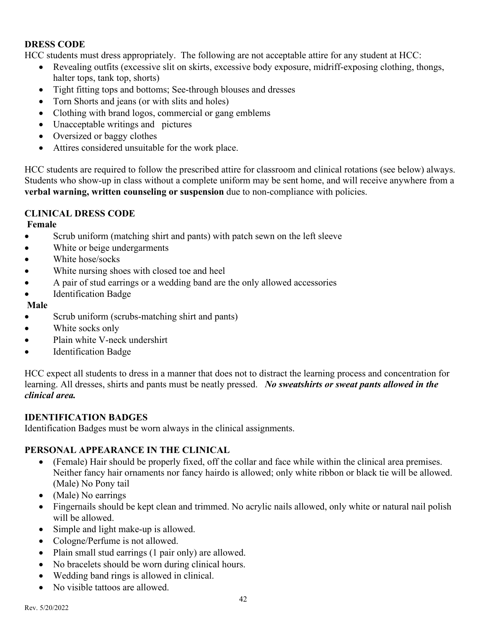#### **DRESS CODE**

HCC students must dress appropriately. The following are not acceptable attire for any student at HCC:

- Revealing outfits (excessive slit on skirts, excessive body exposure, midriff-exposing clothing, thongs, halter tops, tank top, shorts)
- Tight fitting tops and bottoms; See-through blouses and dresses
- Torn Shorts and jeans (or with slits and holes)
- Clothing with brand logos, commercial or gang emblems
- Unacceptable writings and pictures
- Oversized or baggy clothes
- Attires considered unsuitable for the work place.

HCC students are required to follow the prescribed attire for classroom and clinical rotations (see below) always. Students who show-up in class without a complete uniform may be sent home, and will receive anywhere from a **verbal warning, written counseling or suspension** due to non-compliance with policies.

# **CLINICAL DRESS CODE**

**Female** 

- Scrub uniform (matching shirt and pants) with patch sewn on the left sleeve
- White or beige undergarments
- White hose/socks
- White nursing shoes with closed toe and heel
- A pair of stud earrings or a wedding band are the only allowed accessories
- Identification Badge

# **Male**

- Scrub uniform (scrubs-matching shirt and pants)
- White socks only
- Plain white V-neck undershirt
- Identification Badge

HCC expect all students to dress in a manner that does not to distract the learning process and concentration for learning. All dresses, shirts and pants must be neatly pressed. *No sweatshirts or sweat pants allowed in the clinical area.* 

# **IDENTIFICATION BADGES**

Identification Badges must be worn always in the clinical assignments.

# **PERSONAL APPEARANCE IN THE CLINICAL**

- (Female) Hair should be properly fixed, off the collar and face while within the clinical area premises. Neither fancy hair ornaments nor fancy hairdo is allowed; only white ribbon or black tie will be allowed. (Male) No Pony tail
- (Male) No earrings
- Fingernails should be kept clean and trimmed. No acrylic nails allowed, only white or natural nail polish will be allowed.
- Simple and light make-up is allowed.
- Cologne/Perfume is not allowed.
- Plain small stud earrings (1 pair only) are allowed.
- No bracelets should be worn during clinical hours.
- Wedding band rings is allowed in clinical.
- No visible tattoos are allowed.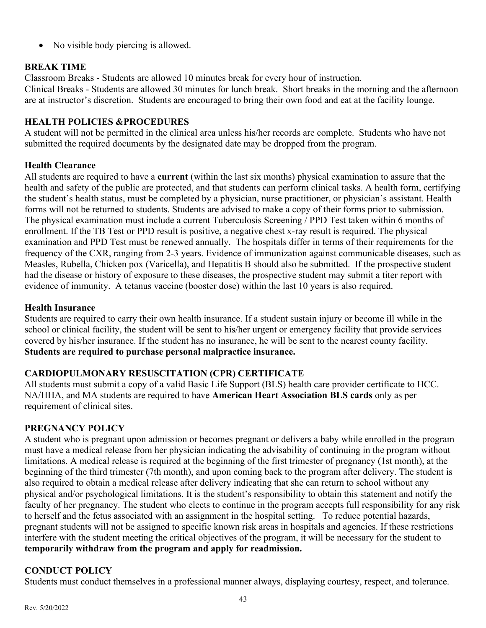• No visible body piercing is allowed.

# **BREAK TIME**

Classroom Breaks - Students are allowed 10 minutes break for every hour of instruction.

Clinical Breaks - Students are allowed 30 minutes for lunch break. Short breaks in the morning and the afternoon are at instructor's discretion. Students are encouraged to bring their own food and eat at the facility lounge.

#### **HEALTH POLICIES &PROCEDURES**

A student will not be permitted in the clinical area unless his/her records are complete. Students who have not submitted the required documents by the designated date may be dropped from the program.

# **Health Clearance**

All students are required to have a **current** (within the last six months) physical examination to assure that the health and safety of the public are protected, and that students can perform clinical tasks. A health form, certifying the student's health status, must be completed by a physician, nurse practitioner, or physician's assistant. Health forms will not be returned to students. Students are advised to make a copy of their forms prior to submission. The physical examination must include a current Tuberculosis Screening / PPD Test taken within 6 months of enrollment. If the TB Test or PPD result is positive, a negative chest x-ray result is required. The physical examination and PPD Test must be renewed annually. The hospitals differ in terms of their requirements for the frequency of the CXR, ranging from 2-3 years. Evidence of immunization against communicable diseases, such as Measles, Rubella, Chicken pox (Varicella), and Hepatitis B should also be submitted. If the prospective student had the disease or history of exposure to these diseases, the prospective student may submit a titer report with evidence of immunity. A tetanus vaccine (booster dose) within the last 10 years is also required.

#### **Health Insurance**

Students are required to carry their own health insurance. If a student sustain injury or become ill while in the school or clinical facility, the student will be sent to his/her urgent or emergency facility that provide services covered by his/her insurance. If the student has no insurance, he will be sent to the nearest county facility. **Students are required to purchase personal malpractice insurance.**

# **CARDIOPULMONARY RESUSCITATION (CPR) CERTIFICATE**

All students must submit a copy of a valid Basic Life Support (BLS) health care provider certificate to HCC. NA/HHA, and MA students are required to have **American Heart Association BLS cards** only as per requirement of clinical sites.

# **PREGNANCY POLICY**

A student who is pregnant upon admission or becomes pregnant or delivers a baby while enrolled in the program must have a medical release from her physician indicating the advisability of continuing in the program without limitations. A medical release is required at the beginning of the first trimester of pregnancy (1st month), at the beginning of the third trimester (7th month), and upon coming back to the program after delivery. The student is also required to obtain a medical release after delivery indicating that she can return to school without any physical and/or psychological limitations. It is the student's responsibility to obtain this statement and notify the faculty of her pregnancy. The student who elects to continue in the program accepts full responsibility for any risk to herself and the fetus associated with an assignment in the hospital setting. To reduce potential hazards, pregnant students will not be assigned to specific known risk areas in hospitals and agencies. If these restrictions interfere with the student meeting the critical objectives of the program, it will be necessary for the student to **temporarily withdraw from the program and apply for readmission.** 

# **CONDUCT POLICY**

Students must conduct themselves in a professional manner always, displaying courtesy, respect, and tolerance.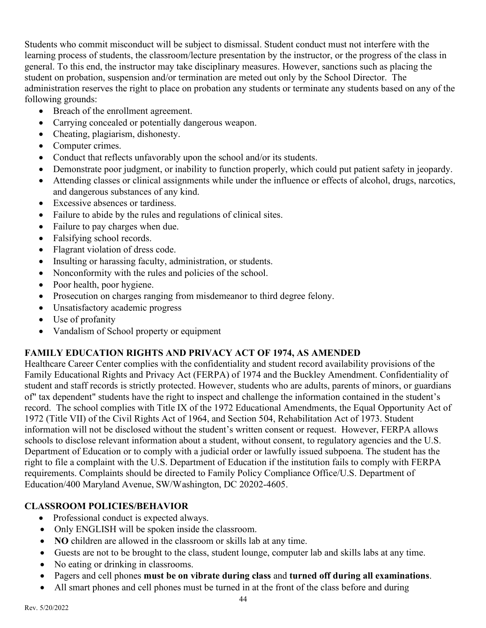Students who commit misconduct will be subject to dismissal. Student conduct must not interfere with the learning process of students, the classroom/lecture presentation by the instructor, or the progress of the class in general. To this end, the instructor may take disciplinary measures. However, sanctions such as placing the student on probation, suspension and/or termination are meted out only by the School Director. The administration reserves the right to place on probation any students or terminate any students based on any of the following grounds:

- Breach of the enrollment agreement.
- Carrying concealed or potentially dangerous weapon.
- Cheating, plagiarism, dishonesty.
- Computer crimes.
- Conduct that reflects unfavorably upon the school and/or its students.
- Demonstrate poor judgment, or inability to function properly, which could put patient safety in jeopardy.
- Attending classes or clinical assignments while under the influence or effects of alcohol, drugs, narcotics, and dangerous substances of any kind.
- Excessive absences or tardiness.
- Failure to abide by the rules and regulations of clinical sites.
- Failure to pay charges when due.
- Falsifying school records.
- Flagrant violation of dress code.
- Insulting or harassing faculty, administration, or students.
- Nonconformity with the rules and policies of the school.
- Poor health, poor hygiene.
- Prosecution on charges ranging from misdemeanor to third degree felony.
- Unsatisfactory academic progress
- Use of profanity
- Vandalism of School property or equipment

# **FAMILY EDUCATION RIGHTS AND PRIVACY ACT OF 1974, AS AMENDED**

Healthcare Career Center complies with the confidentiality and student record availability provisions of the Family Educational Rights and Privacy Act (FERPA) of 1974 and the Buckley Amendment. Confidentiality of student and staff records is strictly protected. However, students who are adults, parents of minors, or guardians of" tax dependent" students have the right to inspect and challenge the information contained in the student's record. The school complies with Title IX of the 1972 Educational Amendments, the Equal Opportunity Act of 1972 (Title VII) of the Civil Rights Act of 1964, and Section 504, Rehabilitation Act of 1973. Student information will not be disclosed without the student's written consent or request. However, FERPA allows schools to disclose relevant information about a student, without consent, to regulatory agencies and the U.S. Department of Education or to comply with a judicial order or lawfully issued subpoena. The student has the right to file a complaint with the U.S. Department of Education if the institution fails to comply with FERPA requirements. Complaints should be directed to Family Policy Compliance Office/U.S. Department of Education/400 Maryland Avenue, SW/Washington, DC 20202-4605.

# **CLASSROOM POLICIES/BEHAVIOR**

- Professional conduct is expected always.
- Only ENGLISH will be spoken inside the classroom.
- **NO** children are allowed in the classroom or skills lab at any time.
- Guests are not to be brought to the class, student lounge, computer lab and skills labs at any time.
- No eating or drinking in classrooms.
- Pagers and cell phones **must be on vibrate during class** and **turned off during all examinations**.
- All smart phones and cell phones must be turned in at the front of the class before and during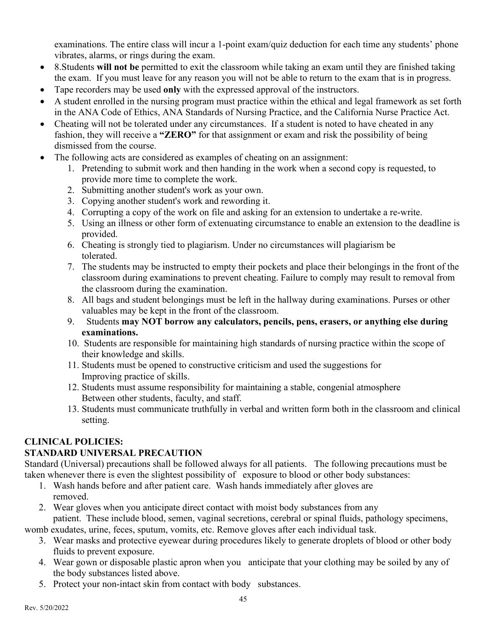examinations. The entire class will incur a 1-point exam/quiz deduction for each time any students' phone vibrates, alarms, or rings during the exam.

- 8.Students **will not be** permitted to exit the classroom while taking an exam until they are finished taking the exam. If you must leave for any reason you will not be able to return to the exam that is in progress.
- Tape recorders may be used **only** with the expressed approval of the instructors.
- A student enrolled in the nursing program must practice within the ethical and legal framework as set forth in the ANA Code of Ethics, ANA Standards of Nursing Practice, and the California Nurse Practice Act.
- Cheating will not be tolerated under any circumstances. If a student is noted to have cheated in any fashion, they will receive a **"ZERO"** for that assignment or exam and risk the possibility of being dismissed from the course.
- The following acts are considered as examples of cheating on an assignment:
	- 1. Pretending to submit work and then handing in the work when a second copy is requested, to provide more time to complete the work.
	- 2. Submitting another student's work as your own.
	- 3. Copying another student's work and rewording it.
	- 4. Corrupting a copy of the work on file and asking for an extension to undertake a re-write.
	- 5. Using an illness or other form of extenuating circumstance to enable an extension to the deadline is provided.
	- 6. Cheating is strongly tied to plagiarism. Under no circumstances will plagiarism be tolerated.
	- 7. The students may be instructed to empty their pockets and place their belongings in the front of the classroom during examinations to prevent cheating. Failure to comply may result to removal from the classroom during the examination.
	- 8. All bags and student belongings must be left in the hallway during examinations. Purses or other valuables may be kept in the front of the classroom.
	- 9. Students **may NOT borrow any calculators, pencils, pens, erasers, or anything else during examinations.**
	- 10. Students are responsible for maintaining high standards of nursing practice within the scope of their knowledge and skills.
	- 11. Students must be opened to constructive criticism and used the suggestions for Improving practice of skills.
	- 12. Students must assume responsibility for maintaining a stable, congenial atmosphere Between other students, faculty, and staff.
	- 13. Students must communicate truthfully in verbal and written form both in the classroom and clinical setting.

# **CLINICAL POLICIES:**

# **STANDARD UNIVERSAL PRECAUTION**

Standard (Universal) precautions shall be followed always for all patients. The following precautions must be taken whenever there is even the slightest possibility of exposure to blood or other body substances:

- 1. Wash hands before and after patient care. Wash hands immediately after gloves are removed.
- 2. Wear gloves when you anticipate direct contact with moist body substances from any patient. These include blood, semen, vaginal secretions, cerebral or spinal fluids, pathology specimens,

womb exudates, urine, feces, sputum, vomits, etc. Remove gloves after each individual task.

- 3. Wear masks and protective eyewear during procedures likely to generate droplets of blood or other body fluids to prevent exposure.
- 4. Wear gown or disposable plastic apron when you anticipate that your clothing may be soiled by any of the body substances listed above.
- 5. Protect your non-intact skin from contact with body substances.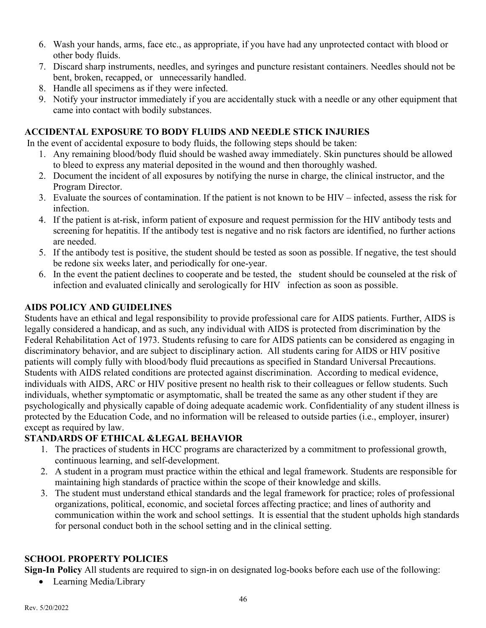- 6. Wash your hands, arms, face etc., as appropriate, if you have had any unprotected contact with blood or other body fluids.
- 7. Discard sharp instruments, needles, and syringes and puncture resistant containers. Needles should not be bent, broken, recapped, or unnecessarily handled.
- 8. Handle all specimens as if they were infected.
- 9. Notify your instructor immediately if you are accidentally stuck with a needle or any other equipment that came into contact with bodily substances.

# **ACCIDENTAL EXPOSURE TO BODY FLUIDS AND NEEDLE STICK INJURIES**

In the event of accidental exposure to body fluids, the following steps should be taken:

- 1. Any remaining blood/body fluid should be washed away immediately. Skin punctures should be allowed to bleed to express any material deposited in the wound and then thoroughly washed.
- 2. Document the incident of all exposures by notifying the nurse in charge, the clinical instructor, and the Program Director.
- 3. Evaluate the sources of contamination. If the patient is not known to be HIV infected, assess the risk for infection.
- 4. If the patient is at-risk, inform patient of exposure and request permission for the HIV antibody tests and screening for hepatitis. If the antibody test is negative and no risk factors are identified, no further actions are needed.
- 5. If the antibody test is positive, the student should be tested as soon as possible. If negative, the test should be redone six weeks later, and periodically for one-year.
- 6. In the event the patient declines to cooperate and be tested, the student should be counseled at the risk of infection and evaluated clinically and serologically for HIV infection as soon as possible.

# **AIDS POLICY AND GUIDELINES**

Students have an ethical and legal responsibility to provide professional care for AIDS patients. Further, AIDS is legally considered a handicap, and as such, any individual with AIDS is protected from discrimination by the Federal Rehabilitation Act of 1973. Students refusing to care for AIDS patients can be considered as engaging in discriminatory behavior, and are subject to disciplinary action. All students caring for AIDS or HIV positive patients will comply fully with blood/body fluid precautions as specified in Standard Universal Precautions. Students with AIDS related conditions are protected against discrimination. According to medical evidence, individuals with AIDS, ARC or HIV positive present no health risk to their colleagues or fellow students. Such individuals, whether symptomatic or asymptomatic, shall be treated the same as any other student if they are psychologically and physically capable of doing adequate academic work. Confidentiality of any student illness is protected by the Education Code, and no information will be released to outside parties (i.e., employer, insurer) except as required by law.

# **STANDARDS OF ETHICAL &LEGAL BEHAVIOR**

- 1. The practices of students in HCC programs are characterized by a commitment to professional growth, continuous learning, and self-development.
- 2. A student in a program must practice within the ethical and legal framework. Students are responsible for maintaining high standards of practice within the scope of their knowledge and skills.
- 3. The student must understand ethical standards and the legal framework for practice; roles of professional organizations, political, economic, and societal forces affecting practice; and lines of authority and communication within the work and school settings. It is essential that the student upholds high standards for personal conduct both in the school setting and in the clinical setting.

# **SCHOOL PROPERTY POLICIES**

**Sign-In Policy** All students are required to sign-in on designated log-books before each use of the following:

• Learning Media/Library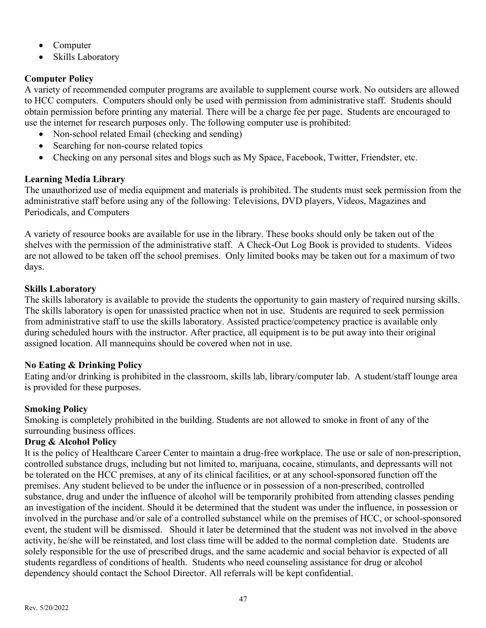- Computer
- Skills Laboratory

# **Computer Policy**

A variety of recommended computer programs are available to supplement course work. No outsiders are allowed to HCC computers. Computers should only be used with permission from administrative staff. Students should obtain permission before printing any material. There will be a charge fee per page. Students are encouraged to use the internet for research purposes only. The following computer use is prohibited:

- Non-school related Email (checking and sending)
- Searching for non-course related topics
- Checking on any personal sites and blogs such as My Space, Facebook, Twitter, Friendster, etc.

# **Learning Media Library**

The unauthorized use of media equipment and materials is prohibited. The students must seek permission from the administrative staff before using any of the following: Televisions, DVD players, Videos, Magazines and Periodicals, and Computers

A variety of resource books are available for use in the library. These books should only be taken out of the shelves with the permission of the administrative staff. A Check-Out Log Book is provided to students. Videos are not allowed to be taken off the school premises. Only limited books may be taken out for a maximum of two days.

# **Skills Laboratory**

The skills laboratory is available to provide the students the opportunity to gain mastery of required nursing skills. The skills laboratory is open for unassisted practice when not in use. Students are required to seek permission from administrative staff to use the skills laboratory. Assisted practice/competency practice is available only during scheduled hours with the instructor. After practice, all equipment is to be put away into their original assigned location. All mannequins should be covered when not in use.

# **No Eating & Drinking Policy**

Eating and/or drinking is prohibited in the classroom, skills lab, library/computer lab. A student/staff lounge area is provided for these purposes.

# **Smoking Policy**

Smoking is completely prohibited in the building. Students are not allowed to smoke in front of any of the surrounding business offices.

# **Drug & Alcohol Policy**

It is the policy of Healthcare Career Center to maintain a drug-free workplace. The use or sale of non-prescription, controlled substance drugs, including but not limited to, marijuana, cocaine, stimulants, and depressants will not be tolerated on the HCC premises, at any of its clinical facilities, or at any school-sponsored function off the premises. Any student believed to be under the influence or in possession of a non-prescribed, controlled substance, drug and under the influence of alcohol will be temporarily prohibited from attending classes pending an investigation of the incident. Should it be determined that the student was under the influence, in possession or involved in the purchase and/or sale of a controlled substance‖ while on the premises of HCC, or school-sponsored event, the student will be dismissed. Should it later be determined that the student was not involved in the above activity, he/she will be reinstated, and lost class time will be added to the normal completion date. Students are solely responsible for the use of prescribed drugs, and the same academic and social behavior is expected of all students regardless of conditions of health. Students who need counseling assistance for drug or alcohol dependency should contact the School Director. All referrals will be kept confidential.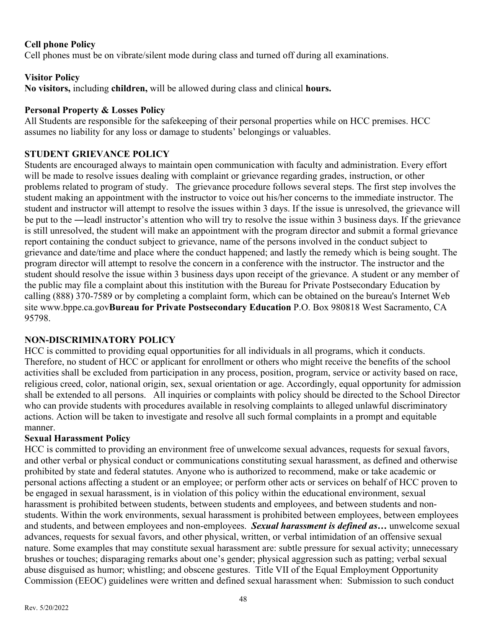#### **Cell phone Policy**

Cell phones must be on vibrate/silent mode during class and turned off during all examinations.

#### **Visitor Policy**

**No visitors,** including **children,** will be allowed during class and clinical **hours.** 

#### **Personal Property & Losses Policy**

All Students are responsible for the safekeeping of their personal properties while on HCC premises. HCC assumes no liability for any loss or damage to students' belongings or valuables.

#### **STUDENT GRIEVANCE POLICY**

Students are encouraged always to maintain open communication with faculty and administration. Every effort will be made to resolve issues dealing with complaint or grievance regarding grades, instruction, or other problems related to program of study. The grievance procedure follows several steps. The first step involves the student making an appointment with the instructor to voice out his/her concerns to the immediate instructor. The student and instructor will attempt to resolve the issues within 3 days. If the issue is unresolved, the grievance will be put to the —leadl instructor's attention who will try to resolve the issue within 3 business days. If the grievance is still unresolved, the student will make an appointment with the program director and submit a formal grievance report containing the conduct subject to grievance, name of the persons involved in the conduct subject to grievance and date/time and place where the conduct happened; and lastly the remedy which is being sought. The program director will attempt to resolve the concern in a conference with the instructor. The instructor and the student should resolve the issue within 3 business days upon receipt of the grievance. A student or any member of the public may file a complaint about this institution with the Bureau for Private Postsecondary Education by calling (888) 370-7589 or by completing a complaint form, which can be obtained on the bureau's Internet Web site [www.bppe.ca.gov](http://www.bppe.ca.gov/)**Bureau for Private Postsecondary Education** P.O. Box 980818 West Sacramento, CA 95798.

# **NON-DISCRIMINATORY POLICY**

HCC is committed to providing equal opportunities for all individuals in all programs, which it conducts. Therefore, no student of HCC or applicant for enrollment or others who might receive the benefits of the school activities shall be excluded from participation in any process, position, program, service or activity based on race, religious creed, color, national origin, sex, sexual orientation or age. Accordingly, equal opportunity for admission shall be extended to all persons. All inquiries or complaints with policy should be directed to the School Director who can provide students with procedures available in resolving complaints to alleged unlawful discriminatory actions. Action will be taken to investigate and resolve all such formal complaints in a prompt and equitable manner.

#### **Sexual Harassment Policy**

HCC is committed to providing an environment free of unwelcome sexual advances, requests for sexual favors, and other verbal or physical conduct or communications constituting sexual harassment, as defined and otherwise prohibited by state and federal statutes. Anyone who is authorized to recommend, make or take academic or personal actions affecting a student or an employee; or perform other acts or services on behalf of HCC proven to be engaged in sexual harassment, is in violation of this policy within the educational environment, sexual harassment is prohibited between students, between students and employees, and between students and nonstudents. Within the work environments, sexual harassment is prohibited between employees, between employees and students, and between employees and non-employees. *Sexual harassment is defined as…* unwelcome sexual advances, requests for sexual favors, and other physical, written, or verbal intimidation of an offensive sexual nature. Some examples that may constitute sexual harassment are: subtle pressure for sexual activity; unnecessary brushes or touches; disparaging remarks about one's gender; physical aggression such as patting; verbal sexual abuse disguised as humor; whistling; and obscene gestures. Title VII of the Equal Employment Opportunity Commission (EEOC) guidelines were written and defined sexual harassment when: Submission to such conduct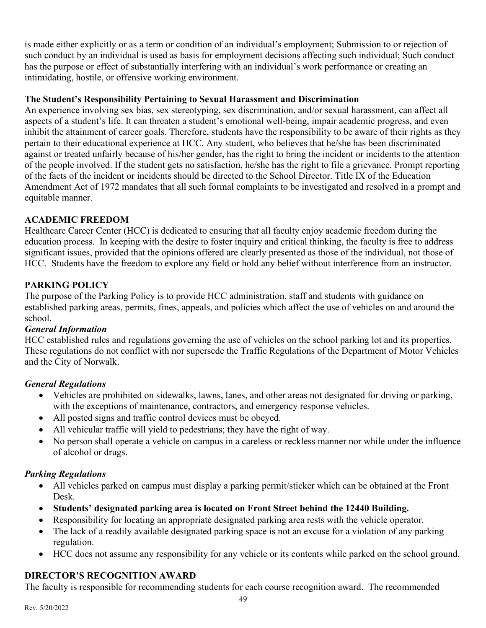is made either explicitly or as a term or condition of an individual's employment; Submission to or rejection of such conduct by an individual is used as basis for employment decisions affecting such individual; Such conduct has the purpose or effect of substantially interfering with an individual's work performance or creating an intimidating, hostile, or offensive working environment.

#### **The Student's Responsibility Pertaining to Sexual Harassment and Discrimination**

An experience involving sex bias, sex stereotyping, sex discrimination, and/or sexual harassment, can affect all aspects of a student's life. It can threaten a student's emotional well-being, impair academic progress, and even inhibit the attainment of career goals. Therefore, students have the responsibility to be aware of their rights as they pertain to their educational experience at HCC. Any student, who believes that he/she has been discriminated against or treated unfairly because of his/her gender, has the right to bring the incident or incidents to the attention of the people involved. If the student gets no satisfaction, he/she has the right to file a grievance. Prompt reporting of the facts of the incident or incidents should be directed to the School Director. Title IX of the Education Amendment Act of 1972 mandates that all such formal complaints to be investigated and resolved in a prompt and equitable manner.

# **ACADEMIC FREEDOM**

Healthcare Career Center (HCC) is dedicated to ensuring that all faculty enjoy academic freedom during the education process. In keeping with the desire to foster inquiry and critical thinking, the faculty is free to address significant issues, provided that the opinions offered are clearly presented as those of the individual, not those of HCC. Students have the freedom to explore any field or hold any belief without interference from an instructor.

# **PARKING POLICY**

The purpose of the Parking Policy is to provide HCC administration, staff and students with guidance on established parking areas, permits, fines, appeals, and policies which affect the use of vehicles on and around the school.

#### *General Information*

HCC established rules and regulations governing the use of vehicles on the school parking lot and its properties. These regulations do not conflict with nor supersede the Traffic Regulations of the Department of Motor Vehicles and the City of Norwalk.

# *General Regulations*

- Vehicles are prohibited on sidewalks, lawns, lanes, and other areas not designated for driving or parking, with the exceptions of maintenance, contractors, and emergency response vehicles.
- All posted signs and traffic control devices must be obeyed.
- All vehicular traffic will yield to pedestrians; they have the right of way.
- No person shall operate a vehicle on campus in a careless or reckless manner nor while under the influence of alcohol or drugs.

# *Parking Regulations*

- All vehicles parked on campus must display a parking permit/sticker which can be obtained at the Front Desk.
- **Students' designated parking area is located on Front Street behind the 12440 Building.**
- Responsibility for locating an appropriate designated parking area rests with the vehicle operator.
- The lack of a readily available designated parking space is not an excuse for a violation of any parking regulation.
- HCC does not assume any responsibility for any vehicle or its contents while parked on the school ground.

# **DIRECTOR'S RECOGNITION AWARD**

The faculty is responsible for recommending students for each course recognition award. The recommended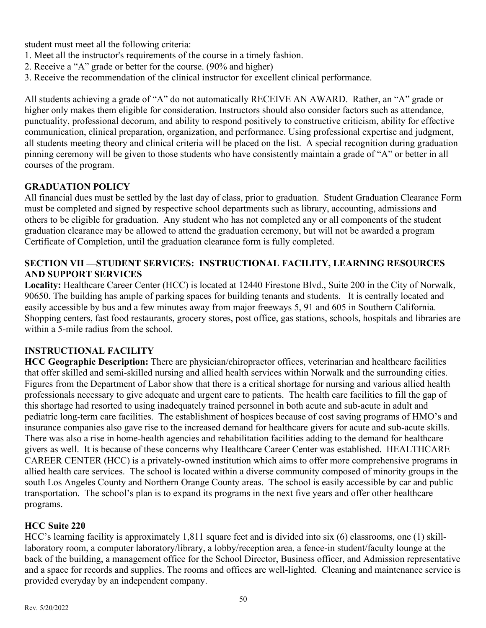student must meet all the following criteria:

- 1. Meet all the instructor's requirements of the course in a timely fashion.
- 2. Receive a "A" grade or better for the course. (90% and higher)
- 3. Receive the recommendation of the clinical instructor for excellent clinical performance.

All students achieving a grade of "A" do not automatically RECEIVE AN AWARD. Rather, an "A" grade or higher only makes them eligible for consideration. Instructors should also consider factors such as attendance, punctuality, professional decorum, and ability to respond positively to constructive criticism, ability for effective communication, clinical preparation, organization, and performance. Using professional expertise and judgment, all students meeting theory and clinical criteria will be placed on the list. A special recognition during graduation pinning ceremony will be given to those students who have consistently maintain a grade of "A" or better in all courses of the program.

#### **GRADUATION POLICY**

All financial dues must be settled by the last day of class, prior to graduation. Student Graduation Clearance Form must be completed and signed by respective school departments such as library, accounting, admissions and others to be eligible for graduation. Any student who has not completed any or all components of the student graduation clearance may be allowed to attend the graduation ceremony, but will not be awarded a program Certificate of Completion, until the graduation clearance form is fully completed.

#### **SECTION VII —STUDENT SERVICES: INSTRUCTIONAL FACILITY, LEARNING RESOURCES AND SUPPORT SERVICES**

**Locality:** Healthcare Career Center (HCC) is located at 12440 Firestone Blvd., Suite 200 in the City of Norwalk, 90650. The building has ample of parking spaces for building tenants and students. It is centrally located and easily accessible by bus and a few minutes away from major freeways 5, 91 and 605 in Southern California. Shopping centers, fast food restaurants, grocery stores, post office, gas stations, schools, hospitals and libraries are within a 5-mile radius from the school.

# **INSTRUCTIONAL FACILITY**

**HCC Geographic Description:** There are physician/chiropractor offices, veterinarian and healthcare facilities that offer skilled and semi-skilled nursing and allied health services within Norwalk and the surrounding cities. Figures from the Department of Labor show that there is a critical shortage for nursing and various allied health professionals necessary to give adequate and urgent care to patients. The health care facilities to fill the gap of this shortage had resorted to using inadequately trained personnel in both acute and sub-acute in adult and pediatric long-term care facilities. The establishment of hospices because of cost saving programs of HMO's and insurance companies also gave rise to the increased demand for healthcare givers for acute and sub-acute skills. There was also a rise in home-health agencies and rehabilitation facilities adding to the demand for healthcare givers as well. It is because of these concerns why Healthcare Career Center was established. HEALTHCARE CAREER CENTER (HCC) is a privately-owned institution which aims to offer more comprehensive programs in allied health care services. The school is located within a diverse community composed of minority groups in the south Los Angeles County and Northern Orange County areas. The school is easily accessible by car and public transportation. The school's plan is to expand its programs in the next five years and offer other healthcare programs.

#### **HCC Suite 220**

HCC's learning facility is approximately 1,811 square feet and is divided into six (6) classrooms, one (1) skilllaboratory room, a computer laboratory/library, a lobby/reception area, a fence-in student/faculty lounge at the back of the building, a management office for the School Director, Business officer, and Admission representative and a space for records and supplies. The rooms and offices are well-lighted. Cleaning and maintenance service is provided everyday by an independent company.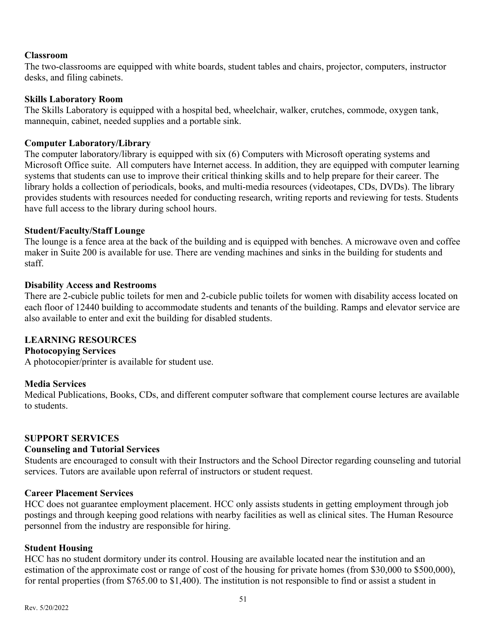#### **Classroom**

The two-classrooms are equipped with white boards, student tables and chairs, projector, computers, instructor desks, and filing cabinets.

#### **Skills Laboratory Room**

The Skills Laboratory is equipped with a hospital bed, wheelchair, walker, crutches, commode, oxygen tank, mannequin, cabinet, needed supplies and a portable sink.

#### **Computer Laboratory/Library**

The computer laboratory/library is equipped with six (6) Computers with Microsoft operating systems and Microsoft Office suite. All computers have Internet access. In addition, they are equipped with computer learning systems that students can use to improve their critical thinking skills and to help prepare for their career. The library holds a collection of periodicals, books, and multi-media resources (videotapes, CDs, DVDs). The library provides students with resources needed for conducting research, writing reports and reviewing for tests. Students have full access to the library during school hours.

#### **Student/Faculty/Staff Lounge**

The lounge is a fence area at the back of the building and is equipped with benches. A microwave oven and coffee maker in Suite 200 is available for use. There are vending machines and sinks in the building for students and staff.

#### **Disability Access and Restrooms**

There are 2-cubicle public toilets for men and 2-cubicle public toilets for women with disability access located on each floor of 12440 building to accommodate students and tenants of the building. Ramps and elevator service are also available to enter and exit the building for disabled students.

#### **LEARNING RESOURCES**

#### **Photocopying Services**

A photocopier/printer is available for student use.

#### **Media Services**

Medical Publications, Books, CDs, and different computer software that complement course lectures are available to students.

#### **SUPPORT SERVICES**

#### **Counseling and Tutorial Services**

Students are encouraged to consult with their Instructors and the School Director regarding counseling and tutorial services. Tutors are available upon referral of instructors or student request.

#### **Career Placement Services**

HCC does not guarantee employment placement. HCC only assists students in getting employment through job postings and through keeping good relations with nearby facilities as well as clinical sites. The Human Resource personnel from the industry are responsible for hiring.

#### **Student Housing**

HCC has no student dormitory under its control. Housing are available located near the institution and an estimation of the approximate cost or range of cost of the housing for private homes (from \$30,000 to \$500,000), for rental properties (from \$765.00 to \$1,400). The institution is not responsible to find or assist a student in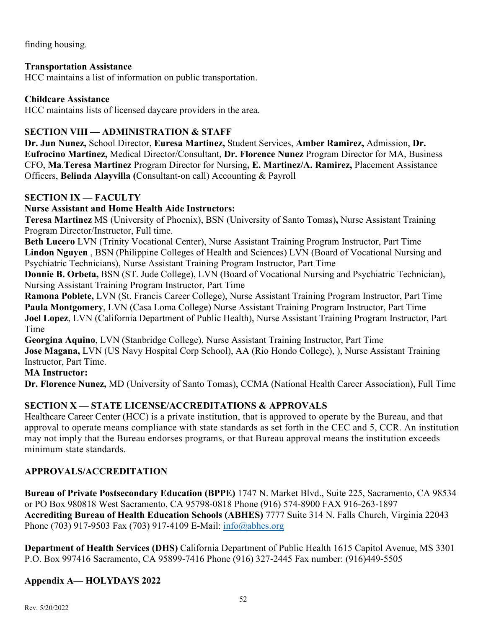finding housing.

#### **Transportation Assistance**

HCC maintains a list of information on public transportation.

#### **Childcare Assistance**

HCC maintains lists of licensed daycare providers in the area.

# **SECTION VIII — ADMINISTRATION & STAFF**

**Dr. Jun Nunez,** School Director, **Euresa Martinez,** Student Services, **Amber Ramirez,** Admission, **Dr. Eufrocino Martinez,** Medical Director/Consultant, **Dr. Florence Nunez** Program Director for MA, Business CFO, **Ma**.**Teresa Martinez** Program Director for Nursing**, E. Martinez/A. Ramirez,** Placement Assistance Officers, **Belinda Alayvilla (**Consultant-on call) Accounting & Payroll

# **SECTION IX — FACULTY**

# **Nurse Assistant and Home Health Aide Instructors:**

**Teresa Martinez** MS (University of Phoenix), BSN (University of Santo Tomas)**,** Nurse Assistant Training Program Director/Instructor, Full time.

**Beth Lucero** LVN (Trinity Vocational Center), Nurse Assistant Training Program Instructor, Part Time **Lindon Nguyen** , BSN (Philippine Colleges of Health and Sciences) LVN (Board of Vocational Nursing and Psychiatric Technicians), Nurse Assistant Training Program Instructor, Part Time

**Donnie B. Orbeta,** BSN (ST. Jude College), LVN (Board of Vocational Nursing and Psychiatric Technician), Nursing Assistant Training Program Instructor, Part Time

**Ramona Poblete,** LVN (St. Francis Career College), Nurse Assistant Training Program Instructor, Part Time **Paula Montgomery**, LVN (Casa Loma College) Nurse Assistant Training Program Instructor, Part Time **Joel Lopez**, LVN (California Department of Public Health), Nurse Assistant Training Program Instructor, Part Time

**Georgina Aquino**, LVN (Stanbridge College), Nurse Assistant Training Instructor, Part Time **Jose Magana,** LVN (US Navy Hospital Corp School), AA (Rio Hondo College), ), Nurse Assistant Training Instructor, Part Time.

#### **MA Instructor:**

**Dr. Florence Nunez,** MD (University of Santo Tomas), CCMA (National Health Career Association), Full Time

# **SECTION X — STATE LICENSE/ACCREDITATIONS & APPROVALS**

Healthcare Career Center (HCC) is a private institution, that is approved to operate by the Bureau, and that approval to operate means compliance with state standards as set forth in the CEC and 5, CCR. An institution may not imply that the Bureau endorses programs, or that Bureau approval means the institution exceeds minimum state standards.

# **APPROVALS/ACCREDITATION**

**Bureau of Private Postsecondary Education (BPPE)** 1747 N. Market Blvd., Suite 225, Sacramento, CA 98534 or PO Box 980818 West Sacramento, CA 95798-0818 Phone (916) 574-8900 FAX 916-263-1897 **Accrediting Bureau of Health Education Schools (ABHES)** 7777 Suite 314 N. Falls Church, Virginia 22043 Phone (703) 917-9503 Fax (703) 917-4109 E-Mail: [info@abhes.org](mailto:info@abhes.org)

**Department of Health Services (DHS)** California Department of Public Health 1615 Capitol Avenue, MS 3301 P.O. Box 997416 Sacramento, CA 95899-7416 Phone (916) 327-2445 Fax number: (916)449-5505

# **Appendix A— HOLYDAYS 2022**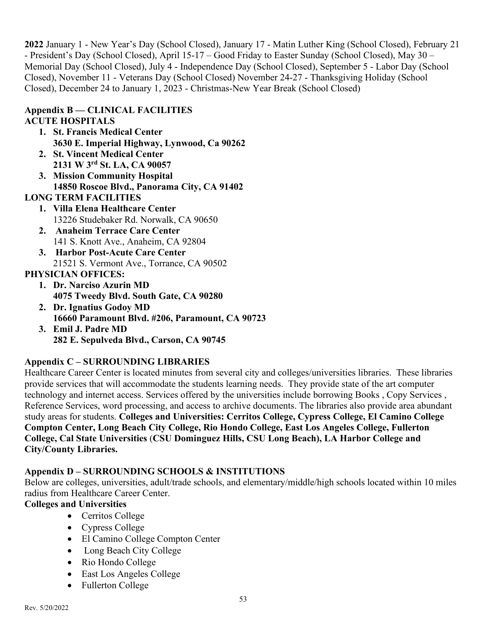**2022** January 1 - New Year's Day (School Closed), January 17 - Matin Luther King (School Closed), February 21 - President's Day (School Closed), April 15-17 – Good Friday to Easter Sunday (School Closed), May 30 – Memorial Day (School Closed), July 4 - Independence Day (School Closed), September 5 - Labor Day (School Closed), November 11 - Veterans Day (School Closed) November 24-27 - Thanksgiving Holiday (School Closed), December 24 to January 1, 2023 - Christmas-New Year Break (School Closed)

# **Appendix B — CLINICAL FACILITIES**

#### **ACUTE HOSPITALS**

- **1. St. Francis Medical Center 3630 E. Imperial Highway, Lynwood, Ca 90262**
- **2. St. Vincent Medical Center 2131 W 3rd St. LA, CA 90057**
- **3. Mission Community Hospital 14850 Roscoe Blvd., Panorama City, CA 91402**

# **LONG TERM FACILITIES**

- **1. Villa Elena Healthcare Center** 13226 Studebaker Rd. Norwalk, CA 90650
- **2. Anaheim Terrace Care Center** 141 S. Knott Ave., Anaheim, CA 92804
- **3. Harbor Post-Acute Care Center** 21521 S. Vermont Ave., Torrance, CA 90502

# **PHYSICIAN OFFICES:**

- **1. Dr. Narciso Azurin MD 4075 Tweedy Blvd. South Gate, CA 90280**
- **2. Dr. Ignatius Godoy MD 16660 Paramount Blvd. #206, Paramount, CA 90723**
- **3. Emil J. Padre MD 282 E. Sepulveda Blvd., Carson, CA 90745**

# **Appendix C – SURROUNDING LIBRARIES**

Healthcare Career Center is located minutes from several city and colleges/universities libraries. These libraries provide services that will accommodate the students learning needs. They provide state of the art computer technology and internet access. Services offered by the universities include [borrowing Books](http://library.csudh.edu/circ.htm) , [Copy Services](http://library.csudh.edu/copy.htm) , [Reference Services,](http://library.csudh.edu/RefDesk.htm) word processing, and access to archive documents. The libraries also provide area abundant study areas for students. **Colleges and Universities: Cerritos College, Cypress College, El Camino College Compton Center, Long Beach City College, Rio Hondo College, East Los Angeles College, Fullerton College, Cal State Universities** (**CSU Dominguez Hills, CSU Long Beach), LA Harbor College and City/County Libraries.**

# **Appendix D – SURROUNDING SCHOOLS & INSTITUTIONS**

Below are colleges, universities, adult/trade schools, and elementary/middle/high schools located within 10 miles radius from Healthcare Career Center.

#### **Colleges and Universities**

- Cerritos College
- Cypress College
- El Camino College Compton Center
- Long Beach City College
- Rio Hondo College
- East Los Angeles College
- Fullerton College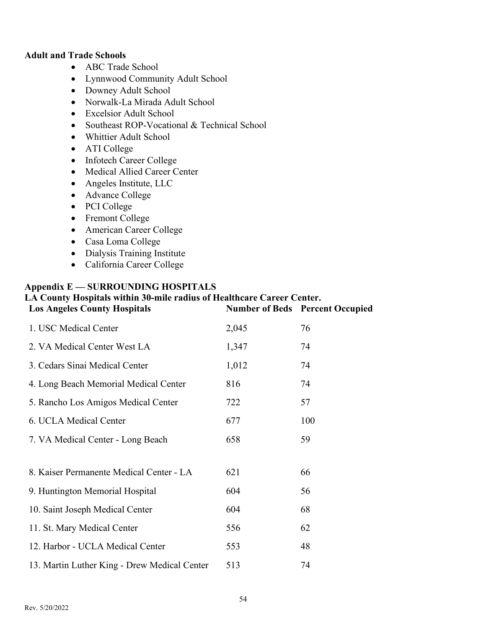#### **Adult and Trade Schools**

- ABC Trade School
- Lynnwood Community Adult School
- Downey Adult School
- Norwalk-La Mirada Adult School
- Excelsior Adult School
- Southeast ROP-Vocational & Technical School
- Whittier Adult School
- ATI College
- Infotech Career College
- Medical Allied Career Center
- Angeles Institute, LLC
- Advance College
- PCI College
- Fremont College
- American Career College
- Casa Loma College
- Dialysis Training Institute
- California Career College

#### **Appendix E — SURROUNDING HOSPITALS**

# **LA County Hospitals within 30-mile radius of Healthcare Career Center.**

| <b>Los Angeles County Hospitals</b>          |       | <b>Number of Beds</b> Percent Occupied |
|----------------------------------------------|-------|----------------------------------------|
| 1. USC Medical Center                        | 2,045 | 76                                     |
| 2. VA Medical Center West LA                 | 1,347 | 74                                     |
| 3. Cedars Sinai Medical Center               | 1,012 | 74                                     |
| 4. Long Beach Memorial Medical Center        | 816   | 74                                     |
| 5. Rancho Los Amigos Medical Center          | 722   | 57                                     |
| 6. UCLA Medical Center                       | 677   | 100                                    |
| 7. VA Medical Center - Long Beach            | 658   | 59                                     |
|                                              |       |                                        |
| 8. Kaiser Permanente Medical Center - LA     | 621   | 66                                     |
| 9. Huntington Memorial Hospital              | 604   | 56                                     |
| 10. Saint Joseph Medical Center              | 604   | 68                                     |
| 11. St. Mary Medical Center                  | 556   | 62                                     |
| 12. Harbor - UCLA Medical Center             | 553   | 48                                     |
| 13. Martin Luther King - Drew Medical Center | 513   | 74                                     |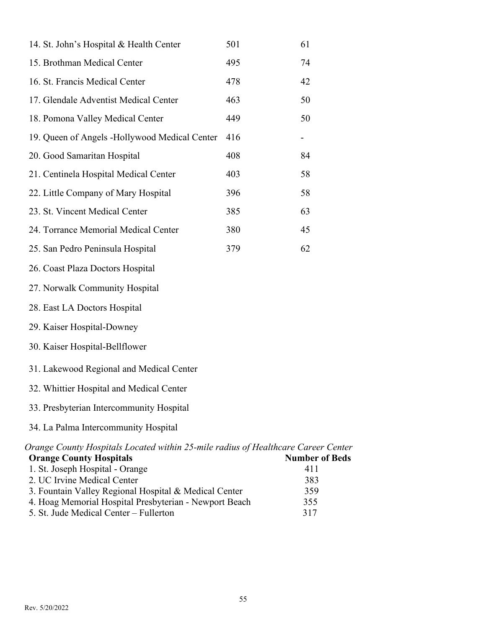| 14. St. John's Hospital & Health Center       | 501 | 61 |
|-----------------------------------------------|-----|----|
| 15. Brothman Medical Center                   | 495 | 74 |
| 16. St. Francis Medical Center                | 478 | 42 |
| 17. Glendale Adventist Medical Center         | 463 | 50 |
| 18. Pomona Valley Medical Center              | 449 | 50 |
| 19. Queen of Angels -Hollywood Medical Center | 416 |    |
| 20. Good Samaritan Hospital                   | 408 | 84 |
| 21. Centinela Hospital Medical Center         | 403 | 58 |
| 22. Little Company of Mary Hospital           | 396 | 58 |
| 23. St. Vincent Medical Center                | 385 | 63 |
| 24. Torrance Memorial Medical Center          | 380 | 45 |
| 25. San Pedro Peninsula Hospital              | 379 | 62 |
| 26. Coast Plaza Doctors Hospital              |     |    |
| 27. Norwalk Community Hospital                |     |    |
| 28. East LA Doctors Hospital                  |     |    |
| 29. Kaiser Hospital-Downey                    |     |    |
| 30. Kaiser Hospital-Bellflower                |     |    |
| 31. Lakewood Regional and Medical Center      |     |    |
| 32. Whittier Hospital and Medical Center      |     |    |

- 33. Presbyterian Intercommunity Hospital
- 34. La Palma Intercommunity Hospital

# *Orange County Hospitals Located within 25-mile radius of Healthcare Career Center* **Orange County Hospitals 1986** Number of Beds

| 1. St. Joseph Hospital - Orange                        | 411 |
|--------------------------------------------------------|-----|
| 2. UC Irvine Medical Center                            | 383 |
| 3. Fountain Valley Regional Hospital & Medical Center  | 359 |
| 4. Hoag Memorial Hospital Presbyterian - Newport Beach | 355 |
| 5. St. Jude Medical Center – Fullerton                 | 317 |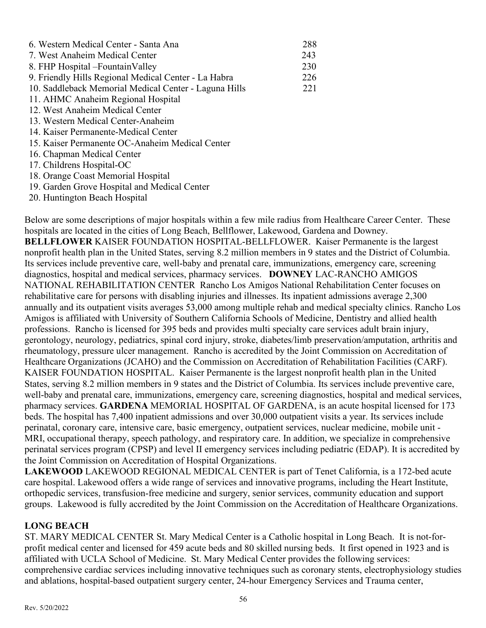| 6. Western Medical Center - Santa Ana                 | 288 |
|-------------------------------------------------------|-----|
| 7. West Anaheim Medical Center                        | 243 |
| 8. FHP Hospital – Fountain Valley                     | 230 |
| 9. Friendly Hills Regional Medical Center - La Habra  | 226 |
| 10. Saddleback Memorial Medical Center - Laguna Hills | 221 |
| 11. AHMC Anaheim Regional Hospital                    |     |
| 12. West Anaheim Medical Center                       |     |
| 13. Western Medical Center-Anaheim                    |     |
| 14. Kaiser Permanente-Medical Center                  |     |
| 15. Kaiser Permanente OC-Anaheim Medical Center       |     |
| 16. Chapman Medical Center                            |     |
| 17. Childrens Hospital-OC                             |     |
| 18. Orange Coast Memorial Hospital                    |     |
| 19. Garden Grove Hospital and Medical Center          |     |

20. Huntington Beach Hospital

Below are some descriptions of major hospitals within a few mile radius from Healthcare Career Center. These hospitals are located in the cities of Long Beach, Bellflower, Lakewood, Gardena and Downey. **BELLFLOWER** KAISER FOUNDATION HOSPITAL-BELLFLOWER. Kaiser Permanente is the largest nonprofit health plan in the United States, serving 8.2 million members in 9 states and the District of Columbia. Its services include preventive care, well-baby and prenatal care, immunizations, emergency care, screening diagnostics, hospital and medical services, pharmacy services. **DOWNEY** [LAC-RANCHO AMIGOS](http://www.rancho.org/)  [NATIONAL REHABILITATION CENTER](http://www.rancho.org/) Rancho Los Amigos National Rehabilitation Center focuses on rehabilitative care for persons with disabling injuries and illnesses. Its inpatient admissions average 2,300 annually and its outpatient visits averages 53,000 among multiple rehab and medical specialty clinics. Rancho Los Amigos is affiliated with University of Southern California Schools of Medicine, Dentistry and allied health professions. Rancho is licensed for 395 beds and provides multi specialty care services adult brain injury, gerontology, neurology, pediatrics, spinal cord injury, stroke, diabetes/limb preservation/amputation, arthritis and rheumatology, pressure ulcer management. Rancho is accredited by the Joint Commission on Accreditation of Healthcare Organizations (JCAHO) and the Commission on Accreditation of Rehabilitation Facilities (CARF). KAISER FOUNDATION HOSPITAL. Kaiser Permanente is the largest nonprofit health plan in the United States, serving 8.2 million members in 9 states and the District of Columbia. Its services include preventive care, well-baby and prenatal care, immunizations, emergency care, screening diagnostics, hospital and medical services, pharmacy services. **GARDENA** MEMORIAL HOSPITAL OF GARDENA, is an acute hospital licensed for 173 beds. The hospital has 7,400 inpatient admissions and over 30,000 outpatient visits a year. Its services include perinatal, coronary care, intensive care, basic emergency, outpatient services, nuclear medicine, mobile unit - MRI, occupational therapy, speech pathology, and respiratory care. In addition, we specialize in comprehensive perinatal services program (CPSP) and level II emergency services including pediatric (EDAP). It is accredited by the Joint Commission on Accreditation of Hospital Organizations.

**LAKEWOOD** LAKEWOOD REGIONAL MEDICAL CENTER is part of Tenet California, is a 172-bed acute care hospital. Lakewood offers a wide range of services and innovative programs, including the Heart Institute, orthopedic services, transfusion-free medicine and surgery, senior services, community education and support groups. Lakewood is fully accredited by the Joint Commission on the Accreditation of Healthcare Organizations.

#### **LONG BEACH**

[ST. MARY MEDICAL CENTER](http://192.234.77.100/smmc2_files/main_screen/main.htm) St. Mary Medical Center is a Catholic hospital in Long Beach. It is not-forprofit medical center and licensed for 459 acute beds and 80 skilled nursing beds. It first opened in 1923 and is affiliated with UCLA School of Medicine. St. Mary Medical Center provides the following services: comprehensive cardiac services including innovative techniques such as coronary stents, electrophysiology studies and ablations, hospital-based outpatient surgery center, 24-hour Emergency Services and Trauma center,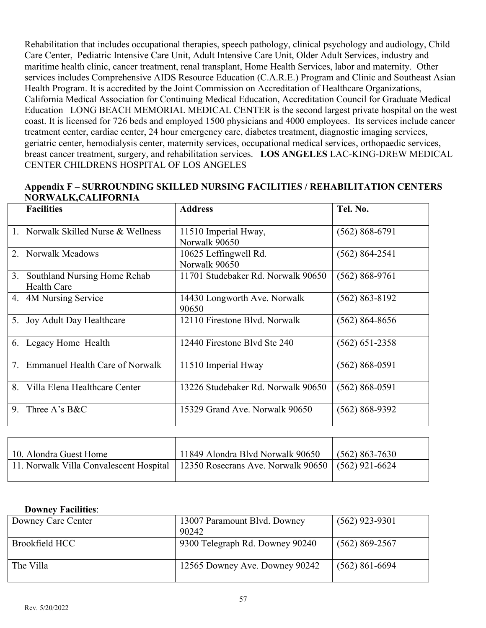Rehabilitation that includes occupational therapies, speech pathology, clinical psychology and audiology, Child Care Center, Pediatric Intensive Care Unit, Adult Intensive Care Unit, Older Adult Services, industry and maritime health clinic, cancer treatment, renal transplant, Home Health Services, labor and maternity. Other services includes Comprehensive AIDS Resource Education (C.A.R.E.) Program and Clinic and Southeast Asian Health Program. It is accredited by the Joint Commission on Accreditation of Healthcare Organizations, California Medical Association for Continuing Medical Education, Accreditation Council for Graduate Medical Education LONG BEACH MEMORIAL MEDICAL CENTER is the second largest private hospital on the west coast. It is licensed for 726 beds and employed 1500 physicians and 4000 employees. Its services include cancer treatment center, cardiac center, 24 hour emergency care, diabetes treatment, diagnostic imaging services, geriatric center, hemodialysis center, maternity services, occupational medical services, orthopaedic services, breast cancer treatment, surgery, and rehabilitation services. **LOS ANGELES** LAC-KING-DREW MEDICAL CENTER CHILDRENS HOSPITAL OF LOS ANGELES

#### **Appendix F – SURROUNDING SKILLED NURSING FACILITIES / REHABILITATION CENTERS NORWALK,CALIFORNIA**

|             | <b>Facilities</b>                                  | <b>Address</b>                         | Tel. No.           |
|-------------|----------------------------------------------------|----------------------------------------|--------------------|
|             | Norwalk Skilled Nurse & Wellness                   | 11510 Imperial Hway,<br>Norwalk 90650  | $(562) 868 - 6791$ |
| $2^{1}$     | <b>Norwalk Meadows</b>                             | 10625 Leffingwell Rd.<br>Norwalk 90650 | $(562) 864 - 2541$ |
| 3.          | Southland Nursing Home Rehab<br><b>Health Care</b> | 11701 Studebaker Rd. Norwalk 90650     | $(562) 868 - 9761$ |
|             | 4. 4M Nursing Service                              | 14430 Longworth Ave. Norwalk<br>90650  | $(562) 863 - 8192$ |
| 5.          | Joy Adult Day Healthcare                           | 12110 Firestone Blvd. Norwalk          | $(562) 864 - 8656$ |
| 6.          | Legacy Home Health                                 | 12440 Firestone Blvd Ste 240           | $(562)$ 651-2358   |
| 7.          | <b>Emmanuel Health Care of Norwalk</b>             | 11510 Imperial Hway                    | $(562) 868 - 0591$ |
| $8_{\cdot}$ | Villa Elena Healthcare Center                      | 13226 Studebaker Rd. Norwalk 90650     | $(562) 868 - 0591$ |
| 9.          | Three A's B&C                                      | 15329 Grand Ave. Norwalk 90650         | $(562) 868 - 9392$ |

| 10. Alondra Guest Home                                                                        | 11849 Alondra Blvd Norwalk 90650 | $(562) 863 - 7630$ |
|-----------------------------------------------------------------------------------------------|----------------------------------|--------------------|
| 11. Norwalk Villa Convalescent Hospital   12350 Rosecrans Ave. Norwalk 90650   (562) 921-6624 |                                  |                    |
|                                                                                               |                                  |                    |

#### **Downey Facilities**:

| Downey Care Center | 13007 Paramount Blvd. Downey    | $(562)$ 923-9301   |
|--------------------|---------------------------------|--------------------|
|                    | 90242                           |                    |
| Brookfield HCC     | 9300 Telegraph Rd. Downey 90240 | $(562) 869 - 2567$ |
| The Villa          | 12565 Downey Ave. Downey 90242  | $(562) 861 - 6694$ |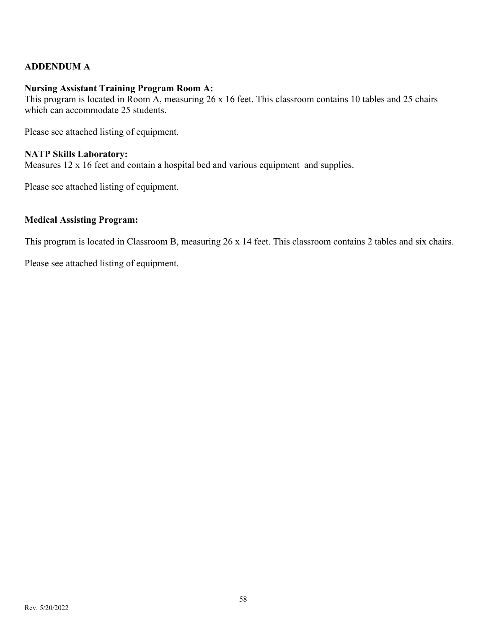#### **ADDENDUM A**

#### **Nursing Assistant Training Program Room A:**

This program is located in Room A, measuring 26 x 16 feet. This classroom contains 10 tables and 25 chairs which can accommodate 25 students.

Please see attached listing of equipment.

#### **NATP Skills Laboratory:**

Measures 12 x 16 feet and contain a hospital bed and various equipment and supplies.

Please see attached listing of equipment.

#### **Medical Assisting Program:**

This program is located in Classroom B, measuring 26 x 14 feet. This classroom contains 2 tables and six chairs.

Please see attached listing of equipment.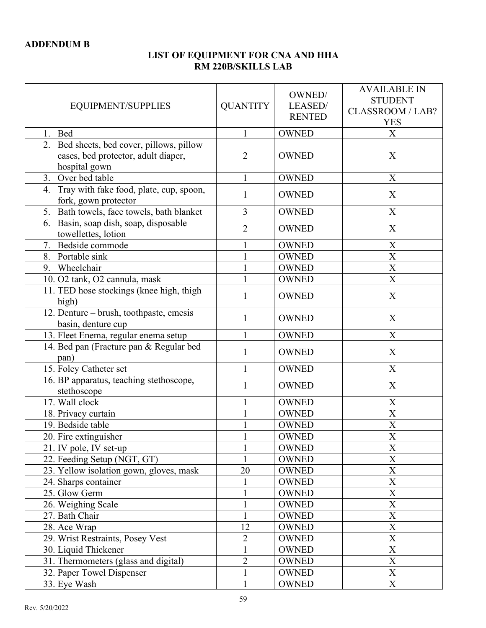#### **LIST OF EQUIPMENT FOR CNA AND HHA RM 220B/SKILLS LAB**

| EQUIPMENT/SUPPLIES                                                                                | <b>QUANTITY</b> | OWNED/<br>LEASED/<br><b>RENTED</b> | <b>AVAILABLE IN</b><br><b>STUDENT</b><br><b>CLASSROOM / LAB?</b><br><b>YES</b> |
|---------------------------------------------------------------------------------------------------|-----------------|------------------------------------|--------------------------------------------------------------------------------|
| 1.<br>Bed                                                                                         | $\mathbf{1}$    | <b>OWNED</b>                       | X                                                                              |
| 2. Bed sheets, bed cover, pillows, pillow<br>cases, bed protector, adult diaper,<br>hospital gown | $\overline{2}$  | <b>OWNED</b>                       | X                                                                              |
| Over bed table<br>3.                                                                              | $\mathbf{1}$    | <b>OWNED</b>                       | X                                                                              |
| Tray with fake food, plate, cup, spoon,<br>4.<br>fork, gown protector                             | 1               | <b>OWNED</b>                       | X                                                                              |
| 5. Bath towels, face towels, bath blanket                                                         | 3               | <b>OWNED</b>                       | $\boldsymbol{\mathrm{X}}$                                                      |
| 6. Basin, soap dish, soap, disposable<br>towellettes, lotion                                      | $\overline{2}$  | <b>OWNED</b>                       | X                                                                              |
| 7. Bedside commode                                                                                | $\mathbf{1}$    | <b>OWNED</b>                       | $\mathbf X$                                                                    |
| 8. Portable sink                                                                                  |                 | <b>OWNED</b>                       | $\mathbf X$                                                                    |
| 9. Wheelchair                                                                                     | 1               | <b>OWNED</b>                       | $\overline{X}$                                                                 |
| 10. O2 tank, O2 cannula, mask                                                                     |                 | <b>OWNED</b>                       | $\overline{\text{X}}$                                                          |
| 11. TED hose stockings (knee high, thigh<br>high)                                                 | 1               | <b>OWNED</b>                       | X                                                                              |
| 12. Denture – brush, toothpaste, emesis<br>basin, denture cup                                     | $\mathbf{1}$    | <b>OWNED</b>                       | X                                                                              |
| 13. Fleet Enema, regular enema setup                                                              | 1               | <b>OWNED</b>                       | $\boldsymbol{\mathrm{X}}$                                                      |
| 14. Bed pan (Fracture pan & Regular bed<br>pan)                                                   | $\mathbf{1}$    | <b>OWNED</b>                       | X                                                                              |
| 15. Foley Catheter set                                                                            | $\mathbf{1}$    | <b>OWNED</b>                       | X                                                                              |
| 16. BP apparatus, teaching stethoscope,<br>stethoscope                                            | $\mathbf{1}$    | <b>OWNED</b>                       | X                                                                              |
| 17. Wall clock                                                                                    | 1               | <b>OWNED</b>                       | $\boldsymbol{\mathrm{X}}$                                                      |
| 18. Privacy curtain                                                                               |                 | <b>OWNED</b>                       | X                                                                              |
| 19. Bedside table                                                                                 |                 | <b>OWNED</b>                       | X                                                                              |
| 20. Fire extinguisher                                                                             |                 | <b>OWNED</b>                       | $\overline{\text{X}}$                                                          |
| 21. IV pole, IV set-up                                                                            | 1               | <b>OWNED</b>                       | X                                                                              |
| 22. Feeding Setup (NGT, GT)                                                                       | $\mathbf{1}$    | <b>OWNED</b>                       | $\mathbf X$                                                                    |
| 23. Yellow isolation gown, gloves, mask                                                           | 20              | <b>OWNED</b>                       | $\boldsymbol{\mathrm{X}}$                                                      |
| 24. Sharps container                                                                              | $\mathbf{1}$    | <b>OWNED</b>                       | $\overline{X}$                                                                 |
| 25. Glow Germ                                                                                     |                 | <b>OWNED</b>                       | $\mathbf X$                                                                    |
| 26. Weighing Scale                                                                                |                 | <b>OWNED</b>                       | $\boldsymbol{\mathrm{X}}$                                                      |
| 27. Bath Chair                                                                                    |                 | <b>OWNED</b>                       | $\overline{\text{X}}$                                                          |
| 28. Ace Wrap                                                                                      | 12              | <b>OWNED</b>                       | $\boldsymbol{\mathrm{X}}$                                                      |
| 29. Wrist Restraints, Posey Vest                                                                  | $\overline{2}$  | <b>OWNED</b>                       | $\overline{X}$                                                                 |
| 30. Liquid Thickener                                                                              | $\mathbf{1}$    | <b>OWNED</b>                       | $\boldsymbol{\mathrm{X}}$                                                      |
| 31. Thermometers (glass and digital)                                                              | $\overline{2}$  | <b>OWNED</b>                       | $\overline{X}$                                                                 |
| 32. Paper Towel Dispenser                                                                         |                 | <b>OWNED</b>                       | $\mathbf X$                                                                    |
| 33. Eye Wash                                                                                      | $\mathbf{1}$    | <b>OWNED</b>                       | $\overline{X}$                                                                 |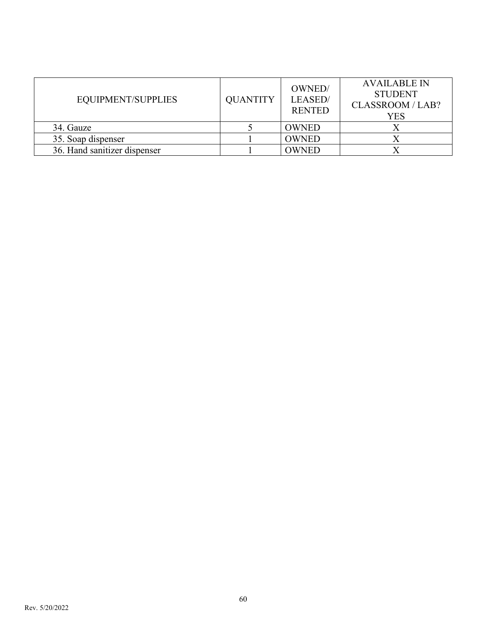| EQUIPMENT/SUPPLIES           | <b>QUANTITY</b> | OWNED/<br>LEASED/<br><b>RENTED</b> | <b>AVAILABLE IN</b><br><b>STUDENT</b><br>CLASSROOM / LAB?<br>YES |
|------------------------------|-----------------|------------------------------------|------------------------------------------------------------------|
| 34. Gauze                    |                 | <b>OWNED</b>                       |                                                                  |
| 35. Soap dispenser           |                 | <b>OWNED</b>                       |                                                                  |
| 36. Hand sanitizer dispenser |                 | <b>OWNED</b>                       |                                                                  |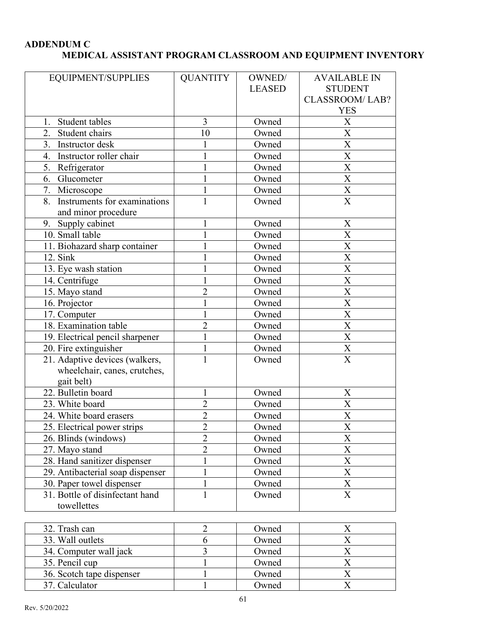#### **ADDENDUM C MEDICAL ASSISTANT PROGRAM CLASSROOM AND EQUIPMENT INVENTORY**

| EQUIPMENT/SUPPLIES                 | <b>QUANTITY</b> | OWNED/        | <b>AVAILABLE IN</b>       |
|------------------------------------|-----------------|---------------|---------------------------|
|                                    |                 | <b>LEASED</b> | <b>STUDENT</b>            |
|                                    |                 |               | <b>CLASSROOM/LAB?</b>     |
|                                    |                 |               | <b>YES</b>                |
| Student tables<br>1.               | 3               | Owned         | X                         |
| 2.<br>Student chairs               | 10              | Owned         | $\overline{X}$            |
| 3.<br>Instructor desk              | 1               | Owned         | $\mathbf X$               |
| Instructor roller chair<br>4.      | $\mathbf{1}$    | Owned         | $\overline{\text{X}}$     |
| 5. Refrigerator                    | $\mathbf{1}$    | Owned         | $\overline{\text{X}}$     |
| 6. Glucometer                      | $\mathbf 1$     | Owned         | $\overline{\text{X}}$     |
|                                    |                 |               |                           |
| 7. Microscope                      | 1               | Owned         | $\mathbf X$               |
| Instruments for examinations<br>8. | $\mathbf{1}$    | Owned         | $\overline{X}$            |
| and minor procedure                |                 |               |                           |
| 9. Supply cabinet                  | $\mathbf{1}$    | Owned         | $\mathbf X$               |
| 10. Small table                    | $\mathbf{1}$    | Owned         | $\overline{\mathbf{X}}$   |
| 11. Biohazard sharp container      | 1               | Owned         | $\overline{\text{X}}$     |
| 12. Sink                           | 1               | Owned         | $\boldsymbol{\mathrm{X}}$ |
| 13. Eye wash station               | $\mathbf{1}$    | Owned         | $\overline{\text{X}}$     |
| 14. Centrifuge                     | $\mathbf{1}$    | Owned         | $\overline{\text{X}}$     |
| 15. Mayo stand                     | $\overline{2}$  | Owned         | $\overline{\text{X}}$     |
| 16. Projector                      | 1               | Owned         | X                         |
| 17. Computer                       | $\mathbf{1}$    | Owned         | X                         |
| 18. Examination table              | $\overline{c}$  | Owned         | $\mathbf X$               |
| 19. Electrical pencil sharpener    | $\mathbf{1}$    | Owned         | $\overline{\text{X}}$     |
| 20. Fire extinguisher              | $\mathbf{1}$    | Owned         | $\mathbf X$               |
| 21. Adaptive devices (walkers,     | $\mathbf{1}$    | Owned         | $\overline{X}$            |
| wheelchair, canes, crutches,       |                 |               |                           |
| gait belt)                         |                 |               |                           |
| 22. Bulletin board                 | $\mathbf{1}$    | Owned         | X                         |
| 23. White board                    | $\overline{c}$  | Owned         | $\boldsymbol{\mathrm{X}}$ |
| 24. White board erasers            | $\overline{2}$  | Owned         | $\overline{\text{X}}$     |
| 25. Electrical power strips        | 2               | Owned         | Χ                         |
| 26. Blinds (windows)               | $\overline{2}$  | Owned         | $\overline{X}$            |
| 27. Mayo stand                     | $\overline{2}$  | Owned         | $\boldsymbol{\mathrm{X}}$ |
| 28. Hand sanitizer dispenser       | 1               | Owned         | $\boldsymbol{\mathrm{X}}$ |
| 29. Antibacterial soap dispenser   | $\mathbf{1}$    | Owned         | $\boldsymbol{\mathrm{X}}$ |
| 30. Paper towel dispenser          | $\mathbf{1}$    | Owned         | $\mathbf X$               |
| 31. Bottle of disinfectant hand    | $\mathbf{1}$    | Owned         | $\overline{X}$            |
| towellettes                        |                 |               |                           |

| 32. Trash can             | Owned |  |
|---------------------------|-------|--|
| 33. Wall outlets          | Owned |  |
| 34. Computer wall jack    | Owned |  |
| 35. Pencil cup            | Owned |  |
| 36. Scotch tape dispenser | Owned |  |
| 37. Calculator            | Owned |  |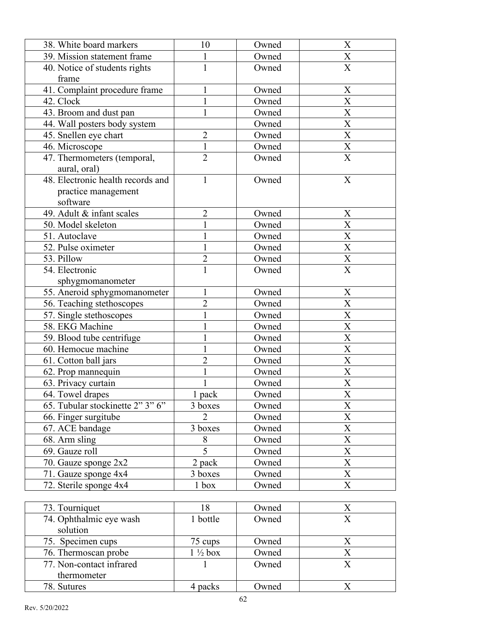| 38. White board markers           | 10                 | Owned | $\mathbf X$               |
|-----------------------------------|--------------------|-------|---------------------------|
| 39. Mission statement frame       | $\mathbf{1}$       | Owned | $\boldsymbol{\mathrm{X}}$ |
| 40. Notice of students rights     | $\mathbf{1}$       | Owned | $\overline{X}$            |
| frame                             |                    |       |                           |
| 41. Complaint procedure frame     | $\mathbf{1}$       | Owned | $\mathbf X$               |
| 42. Clock                         | $\mathbf{1}$       | Owned | $\mathbf X$               |
| 43. Broom and dust pan            | 1                  | Owned | $\overline{\text{X}}$     |
| 44. Wall posters body system      |                    | Owned | $\mathbf X$               |
| 45. Snellen eye chart             | $\overline{2}$     | Owned | $\overline{\mathbf{X}}$   |
| 46. Microscope                    | $\mathbf{1}$       | Owned | $\boldsymbol{\mathrm{X}}$ |
| 47. Thermometers (temporal,       | $\overline{2}$     | Owned | $\overline{X}$            |
| aural, oral)                      |                    |       |                           |
| 48. Electronic health records and | 1                  | Owned | X                         |
| practice management               |                    |       |                           |
| software                          |                    |       |                           |
| 49. Adult & infant scales         | $\overline{c}$     | Owned | X                         |
| 50. Model skeleton                | $\mathbf{1}$       | Owned | X                         |
| 51. Autoclave                     | $\mathbf 1$        | Owned | $\mathbf X$               |
| 52. Pulse oximeter                | $\mathbf{1}$       | Owned | $\boldsymbol{\mathrm{X}}$ |
| 53. Pillow                        | $\overline{c}$     | Owned | $\mathbf X$               |
| 54. Electronic                    | $\mathbf{1}$       | Owned | $\overline{\text{X}}$     |
| sphygmomanometer                  |                    |       |                           |
| 55. Aneroid sphygmomanometer      | 1                  | Owned | $\boldsymbol{X}$          |
| 56. Teaching stethoscopes         | $\overline{2}$     | Owned | $\mathbf X$               |
| 57. Single stethoscopes           | $\mathbf{1}$       | Owned | $\overline{\text{X}}$     |
| 58. EKG Machine                   | $\mathbf{1}$       | Owned | $\overline{\text{X}}$     |
| 59. Blood tube centrifuge         |                    | Owned | $\mathbf X$               |
| 60. Hemocue machine               | 1                  | Owned | $\mathbf X$               |
| 61. Cotton ball jars              | $\overline{2}$     | Owned | $\mathbf X$               |
| 62. Prop mannequin                |                    | Owned | $\mathbf X$               |
| 63. Privacy curtain               | $\mathbf{1}$       | Owned | $\mathbf X$               |
| 64. Towel drapes                  | $1$ pack           | Owned | $\overline{X}$            |
| 65. Tubular stockinette 2" 3" 6"  | 3 boxes            | Owned | $\overline{\text{X}}$     |
| 66. Finger surgitube              | $\overline{2}$     | Owned | $\overline{\text{X}}$     |
| 67. ACE bandage                   | 3 boxes            | Owned | X                         |
| 68. Arm sling                     | 8                  | Owned | $\overline{X}$            |
| 69. Gauze roll                    | $\overline{5}$     | Owned | $\mathbf X$               |
| 70. Gauze sponge $2x2$            | 2 pack             | Owned | $\overline{\text{X}}$     |
| 71. Gauze sponge 4x4              | 3 boxes            | Owned | $\mathbf X$               |
| 72. Sterile sponge 4x4            | 1 <sub>box</sub>   | Owned | $\boldsymbol{\mathrm{X}}$ |
|                                   |                    |       |                           |
| 73. Tourniquet                    | 18                 | Owned | $\boldsymbol{\mathrm{X}}$ |
| 74. Ophthalmic eye wash           | 1 bottle           | Owned | $\overline{\text{X}}$     |
| solution                          |                    |       |                           |
| 75. Specimen cups                 | 75 cups            | Owned | $\boldsymbol{\mathrm{X}}$ |
| 76. Thermoscan probe              | $1\frac{1}{2}$ box | Owned | $\mathbf X$               |
| 77. Non-contact infrared          | 1                  | Owned | $\mathbf X$               |

77. Non -contact infrared thermometer

78. Sutures 4 packs Owned

**Owned** 

X

X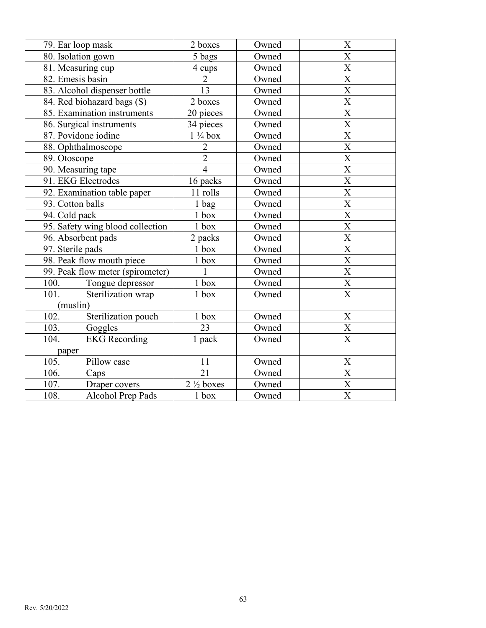| 79. Ear loop mask                | 2 boxes              | Owned | $\boldsymbol{\mathrm{X}}$           |
|----------------------------------|----------------------|-------|-------------------------------------|
| 80. Isolation gown               | 5 bags               | Owned | $\overline{X}$                      |
| 81. Measuring cup                | 4 cups               | Owned | $\overline{\text{X}}$               |
| 82. Emesis basin                 | $\overline{2}$       | Owned | $\overline{\text{X}}$               |
| 83. Alcohol dispenser bottle     | 13                   | Owned | $\overline{\text{X}}$               |
| 84. Red biohazard bags (S)       | 2 boxes              | Owned | $\overline{\text{X}}$               |
| 85. Examination instruments      | 20 pieces            | Owned | $\overline{\text{X}}$               |
| 86. Surgical instruments         | 34 pieces            | Owned | $\overline{\text{X}}$               |
| 87. Povidone iodine              | $1\frac{1}{4}$ box   | Owned | $\overline{\text{X}}$               |
| 88. Ophthalmoscope               | $\overline{2}$       | Owned | $\overline{\text{X}}$               |
| 89. Otoscope                     | $\overline{2}$       | Owned | $\overline{\text{X}}$               |
| 90. Measuring tape               | $\overline{4}$       | Owned | $\overline{\text{X}}$               |
| 91. EKG Electrodes               | 16 packs             | Owned | $\overline{\text{X}}$               |
| 92. Examination table paper      | 11 rolls             | Owned | $\overline{X}$                      |
| 93. Cotton balls                 | 1 bag                | Owned | $\overline{\text{X}}$               |
| 94. Cold pack                    | 1 box                | Owned | $\overline{\text{X}}$               |
| 95. Safety wing blood collection | $1$ box              | Owned | $\overline{\text{X}}$               |
| 96. Absorbent pads               | 2 packs              | Owned | $\overline{\text{X}}$               |
| 97. Sterile pads                 | $1$ box              | Owned | $\overline{\text{X}}$               |
| 98. Peak flow mouth piece        | 1 box                | Owned | $\overline{\textbf{X}}$             |
| 99. Peak flow meter (spirometer) | $\mathbf{1}$         | Owned | $\overline{\textbf{X}}$             |
| 100.<br>Tongue depressor         | $1\;{\rm box}$       | Owned | $\frac{\overline{X}}{\overline{X}}$ |
| 101.<br>Sterilization wrap       | 1 box                | Owned |                                     |
| (muslin)                         |                      |       |                                     |
| 102.<br>Sterilization pouch      | $1$ box              | Owned | $\mathbf X$                         |
| 103.<br>Goggles                  | 23                   | Owned | $\frac{\overline{X}}{\overline{X}}$ |
| 104.<br><b>EKG</b> Recording     | 1 pack               | Owned |                                     |
| paper                            |                      |       |                                     |
| 105.<br>Pillow case              | 11                   | Owned | $\mathbf X$                         |
| 106.<br>Caps                     | 21                   | Owned | $\overline{\text{X}}$               |
| 107.<br>Draper covers            | $2\frac{1}{2}$ boxes | Owned | $\overline{\text{X}}$               |
| 108.<br>Alcohol Prep Pads        | 1 box                | Owned | $\overline{\text{X}}$               |
|                                  |                      |       |                                     |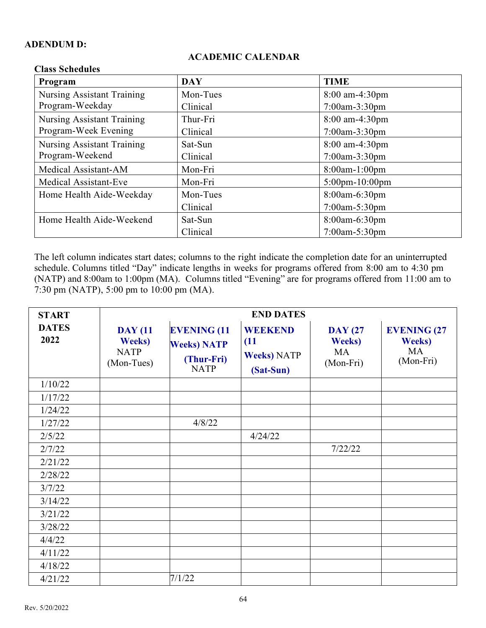#### **ADENDUM D:**

#### **ACADEMIC CALENDAR**

| Спазэ Эспечится                   |            |                       |
|-----------------------------------|------------|-----------------------|
| Program                           | <b>DAY</b> | <b>TIME</b>           |
| <b>Nursing Assistant Training</b> | Mon-Tues   | $8:00$ am-4:30pm      |
| Program-Weekday                   | Clinical   | $7:00$ am-3:30pm      |
| <b>Nursing Assistant Training</b> | Thur-Fri   | 8:00 am-4:30pm        |
| Program-Week Evening              | Clinical   | 7:00am-3:30pm         |
| <b>Nursing Assistant Training</b> | Sat-Sun    | 8:00 am-4:30pm        |
| Program-Weekend                   | Clinical   | $7:00$ am-3:30pm      |
| Medical Assistant-AM              | Mon-Fri    | $8:00$ am-1:00pm      |
| <b>Medical Assistant-Eve</b>      | Mon-Fri    | $5:00$ pm $-10:00$ pm |
| Home Health Aide-Weekday          | Mon-Tues   | 8:00am-6:30pm         |
|                                   | Clinical   | 7:00am-5:30pm         |
| Home Health Aide-Weekend          | Sat-Sun    | 8:00am-6:30pm         |
|                                   | Clinical   | $7:00$ am $-5:30$ pm  |

#### **Class Schedules**

The left column indicates start dates; columns to the right indicate the completion date for an uninterrupted schedule. Columns titled "Day" indicate lengths in weeks for programs offered from 8:00 am to 4:30 pm (NATP) and 8:00am to 1:00pm (MA). Columns titled "Evening" are for programs offered from 11:00 am to 7:30 pm (NATP), 5:00 pm to 10:00 pm (MA).

| <b>START</b>         | <b>END DATES</b>                                              |                                                                       |                                                           |                                                            |                                                         |  |  |
|----------------------|---------------------------------------------------------------|-----------------------------------------------------------------------|-----------------------------------------------------------|------------------------------------------------------------|---------------------------------------------------------|--|--|
| <b>DATES</b><br>2022 | <b>DAY</b> (11<br><b>Weeks</b> )<br><b>NATP</b><br>(Mon-Tues) | <b>EVENING (11</b><br><b>Weeks) NATP</b><br>(Thur-Fri)<br><b>NATP</b> | <b>WEEKEND</b><br>(11)<br><b>Weeks) NATP</b><br>(Sat-Sun) | <b>DAY</b> (27<br><b>Weeks</b> )<br><b>MA</b><br>(Mon-Fri) | <b>EVENING (27</b><br><b>Weeks</b> )<br>MA<br>(Mon-Fri) |  |  |
| 1/10/22              |                                                               |                                                                       |                                                           |                                                            |                                                         |  |  |
| 1/17/22              |                                                               |                                                                       |                                                           |                                                            |                                                         |  |  |
| 1/24/22              |                                                               |                                                                       |                                                           |                                                            |                                                         |  |  |
| 1/27/22              |                                                               | 4/8/22                                                                |                                                           |                                                            |                                                         |  |  |
| 2/5/22               |                                                               |                                                                       | 4/24/22                                                   |                                                            |                                                         |  |  |
| 2/7/22               |                                                               |                                                                       |                                                           | 7/22/22                                                    |                                                         |  |  |
| 2/21/22              |                                                               |                                                                       |                                                           |                                                            |                                                         |  |  |
| 2/28/22              |                                                               |                                                                       |                                                           |                                                            |                                                         |  |  |
| 3/7/22               |                                                               |                                                                       |                                                           |                                                            |                                                         |  |  |
| 3/14/22              |                                                               |                                                                       |                                                           |                                                            |                                                         |  |  |
| 3/21/22              |                                                               |                                                                       |                                                           |                                                            |                                                         |  |  |
| 3/28/22              |                                                               |                                                                       |                                                           |                                                            |                                                         |  |  |
| 4/4/22               |                                                               |                                                                       |                                                           |                                                            |                                                         |  |  |
| 4/11/22              |                                                               |                                                                       |                                                           |                                                            |                                                         |  |  |
| 4/18/22              |                                                               |                                                                       |                                                           |                                                            |                                                         |  |  |
| 4/21/22              |                                                               | 7/1/22                                                                |                                                           |                                                            |                                                         |  |  |